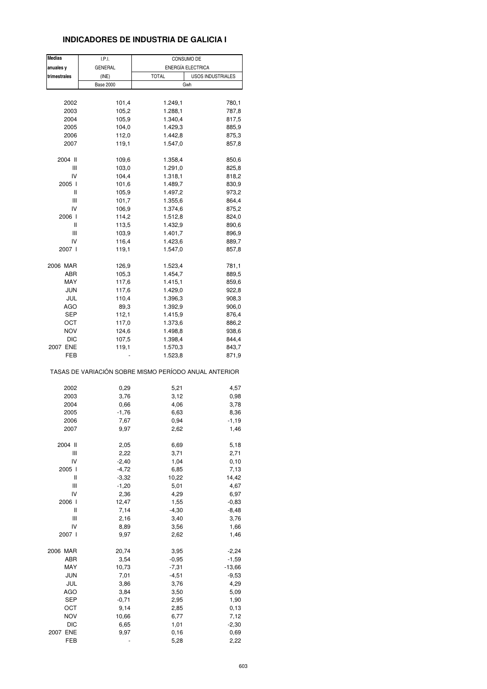## **INDICADORES DE INDUSTRIA DE GALICIA I**

| <b>Medias</b> | I.P.I.           | CONSUMO DE                                            |
|---------------|------------------|-------------------------------------------------------|
| anuales y     | <b>GENERAL</b>   | ENERGÍA ELECTRICA                                     |
| trimestrales  | (INE)            | <b>TOTAL</b><br>USOS INDUSTRIALES                     |
|               | <b>Base 2000</b> | Gwh                                                   |
|               |                  |                                                       |
| 2002          | 101,4            | 1.249,1<br>780,1                                      |
| 2003          | 105,2            | 1.288,1<br>787,8                                      |
| 2004          | 105,9            | 1.340,4<br>817,5                                      |
| 2005          | 104,0            | 1.429,3<br>885,9                                      |
| 2006          | 112,0            | 1.442,8<br>875,3                                      |
| 2007          | 119,1            | 1.547,0                                               |
|               |                  | 857,8                                                 |
| 2004 II       | 109,6            | 1.358,4<br>850,6                                      |
| Ш             | 103,0            | 1.291,0                                               |
|               |                  | 825,8                                                 |
| IV            | 104,4            | 1.318,1<br>818,2                                      |
| 2005 l        | 101,6            | 1.489,7<br>830,9                                      |
| Ш             | 105,9            | 1.497,2<br>973,2                                      |
| Ш             | 101,7            | 1.355,6<br>864,4                                      |
| IV            | 106,9            | 1.374,6<br>875,2                                      |
| 2006 l        | 114,2            | 1.512,8<br>824,0                                      |
| Ш             | 113,5            | 1.432,9<br>890,6                                      |
| Ш             | 103,9            | 1.401,7<br>896,9                                      |
| IV            | 116,4            | 1.423,6<br>889,7                                      |
| 2007 l        | 119,1            | 1.547,0<br>857,8                                      |
|               |                  |                                                       |
| 2006 MAR      | 126,9            | 1.523,4<br>781,1                                      |
| ABR           | 105,3            | 1.454,7<br>889,5                                      |
| MAY           | 117,6            | 1.415,1<br>859,6                                      |
| <b>JUN</b>    | 117,6            | 1.429,0<br>922,8                                      |
| JUL           | 110,4            | 1.396,3                                               |
|               |                  | 908,3                                                 |
| <b>AGO</b>    | 89,3             | 1.392,9<br>906,0                                      |
| SEP           | 112,1            | 1.415,9<br>876,4                                      |
| ост           | 117,0            | 1.373,6<br>886,2                                      |
| <b>NOV</b>    | 124,6            | 1.498,8<br>938,6                                      |
| <b>DIC</b>    | 107,5            | 1.398,4<br>844,4                                      |
| 2007 ENE      | 119,1            | 1.570,3<br>843,7                                      |
| FEB           |                  | 1.523,8<br>871,9                                      |
|               |                  | TASAS DE VARIACIÓN SOBRE MISMO PERÍODO ANUAL ANTERIOR |
|               |                  |                                                       |
| 2002          | 0,29             | 5,21<br>4,57                                          |
| 2003          | 3,76             | 3,12<br>0,98                                          |
| 2004          | 0,66             | 4,06<br>3,78                                          |
| 2005          | $-1,76$          | 6,63<br>8,36                                          |
| 2006          | 7,67             | 0,94<br>$-1,19$                                       |
| 2007          | 9,97             | 2,62<br>1,46                                          |
|               |                  |                                                       |
| 2004 II       | 2,05             | 6,69<br>5,18                                          |
| Ш             | 2,22             | 3,71<br>2,71                                          |
| IV            | $-2,40$          | 1,04<br>0, 10                                         |
| 2005 l        | $-4,72$          | 6,85<br>7,13                                          |
| Ш             | $-3,32$          | 10,22<br>14,42                                        |
| Ш             | $-1,20$          | 5,01<br>4,67                                          |
| IV            | 2,36             | 4,29<br>6,97                                          |
| 2006 l        | 12,47            | 1,55<br>$-0,83$                                       |
|               |                  |                                                       |
| Ш             | 7,14             | $-4,30$<br>$-8,48$                                    |
| Ш             | 2,16             | 3,40<br>3,76                                          |
| IV            | 8,89             | 3,56<br>1,66                                          |
| 2007 l        | 9,97             | 1,46<br>2,62                                          |
| 2006 MAR      | 20,74            | 3,95<br>$-2,24$                                       |
| ABR           | 3,54             | $-1,59$<br>$-0,95$                                    |
| <b>MAY</b>    | 10,73            | $-7,31$<br>$-13,66$                                   |
| JUN           | 7,01             | $-4,51$<br>$-9,53$                                    |
| JUL           | 3,86             | 3,76<br>4,29                                          |
| AGO           | 3,84             | 5,09                                                  |
|               |                  | 3,50                                                  |
| <b>SEP</b>    | $-0,71$          | 2,95<br>1,90                                          |
| OCT           | 9,14             | 2,85<br>0,13                                          |
| <b>NOV</b>    | 10,66            | 6,77<br>7,12                                          |
| <b>DIC</b>    | 6,65             | 1,01<br>$-2,30$                                       |
| 2007 ENE      | 9,97             | 0, 16<br>0,69                                         |
| FEB           |                  | 5,28<br>2,22                                          |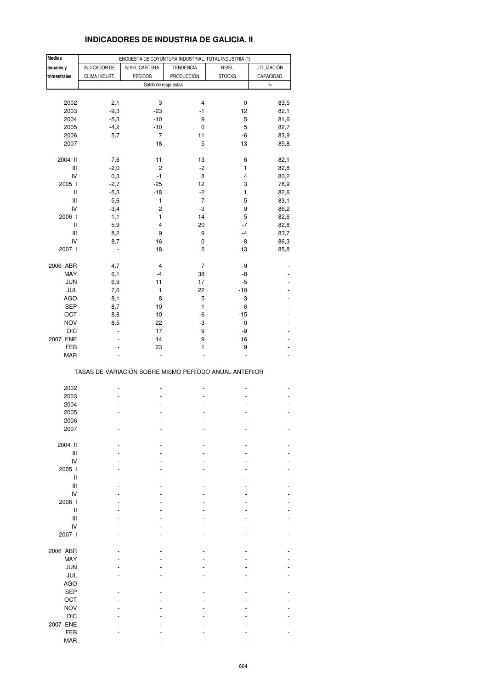## **INDICADORES DE INDUSTRIA DE GALICIA. II**

| <b>Medias</b>                      |               | ENCUESTA DE COYUNTURA INDUSTRIAL: TOTAL INDUSTRIA (1) |                  |               |                    |
|------------------------------------|---------------|-------------------------------------------------------|------------------|---------------|--------------------|
| anuales y                          | INDICADOR DE  | NIVEL CARTERA                                         | <b>TENDENCIA</b> | NIVEL         | <b>UTILIZACIÓN</b> |
| trimestrales                       | CLIMA INDUST. | <b>PEDIDOS</b>                                        | PRODUCCIÓN       | <b>STOCKS</b> | CAPACIDAD          |
|                                    |               | Saldo de respuestas                                   |                  |               | $\%$               |
|                                    |               |                                                       |                  |               |                    |
| 2002                               | 2,1           | 3                                                     | 4                | 0             | 83,5               |
| 2003                               | $-9,3$        | $-23$                                                 | $-1$             | 12            | 82,1               |
| 2004                               | $-5,3$        | $-10$                                                 | 9                | 5             | 81,6               |
| 2005                               | $-4,2$        | $-10$                                                 | 0                | 5             | 82,7               |
| 2006                               | 5,7           | 7                                                     | 11               | -6            | 83,9               |
| 2007                               |               | 18                                                    | 5                | 13            | 85,8               |
|                                    |               |                                                       |                  |               |                    |
| 2004 II                            | $-7,6$        | $-11$                                                 | 13               | 6             | 82,1               |
| Ш                                  | $-2,0$        | $\overline{c}$                                        | $-2$             | 1             | 82,8               |
| IV                                 | 0,3           | $-1$                                                  | 8                | 4             | 80,2               |
| 2005 l                             | $-2,7$        | $-25$                                                 | 12               | 3             | 78,9               |
| $\, \parallel$                     | $-5,3$        | $-18$                                                 | $-2$             | 1             | 82,6               |
| Ш                                  | $-5,6$        | $-1$                                                  | $-7$             | 5             | 83,1               |
| IV                                 | $-3,4$        | $\overline{\mathbf{c}}$                               | $-3$             | 9             | 86,2               |
| 2006                               | 1,1           | $-1$                                                  | 14               | -5            | 82,6               |
| Ш                                  | 5,9           | 4                                                     | 20               | $-7$          | 82,8               |
| $\ensuremath{\mathsf{III}}\xspace$ | 8,2           | 9                                                     | 9                | $-4$          | 83,7               |
| IV                                 | 8,7           | 16                                                    | 0                | -8            | 86,3               |
| 2007                               |               | 18                                                    | 5                | 13            | 85,8               |
| 2006 ABR                           | 4,7           | 4                                                     | 7                | -9            |                    |
| MAY                                | 6,1           | $-4$                                                  | 38               | -8            |                    |
| <b>JUN</b>                         | 6,9           | 11                                                    | 17               | $-5$          |                    |
| JUL                                | 7,6           | 1                                                     | 22               | $-10$         |                    |
| <b>AGO</b>                         | 8,1           | 8                                                     | 5                | 3             |                    |
| SEP                                | 8,7           | 19                                                    | 1                | -6            |                    |
| OCT                                | 8,8           | 10                                                    | -6               | $-15$         |                    |
| <b>NOV</b>                         | 8,5           | 22                                                    | -3               | 0             |                    |
| <b>DIC</b>                         |               | 17                                                    | 9                | -9            |                    |
| 2007 ENE                           | ä,            | 14                                                    | 9                | 16            |                    |
| FEB                                |               | 23                                                    | 1                | 9             |                    |
| <b>MAR</b>                         |               |                                                       |                  |               |                    |
|                                    |               | TASAS DE VARIACIÓN SOBRE MISMO PERÍODO ANUAL ANTERIOR |                  |               |                    |
|                                    |               |                                                       |                  |               |                    |
| 2002                               |               |                                                       |                  |               |                    |
| 2003<br>2004                       |               |                                                       |                  |               |                    |
| 2005                               |               |                                                       |                  |               |                    |
| 2006                               |               |                                                       |                  |               |                    |
| 2007                               |               |                                                       |                  |               |                    |
|                                    |               |                                                       |                  |               |                    |
| 2004 II                            |               |                                                       |                  |               |                    |
| Ш                                  |               |                                                       |                  |               |                    |
| IV                                 |               |                                                       |                  |               |                    |
| 2005 l                             |               |                                                       |                  |               |                    |
| Ш                                  |               |                                                       |                  |               |                    |
| Ш                                  |               |                                                       |                  |               |                    |
| IV                                 |               |                                                       |                  |               |                    |
| 2006                               |               |                                                       |                  |               |                    |
| $\mathsf{I}$                       |               |                                                       |                  |               |                    |
| Ш                                  |               |                                                       |                  |               |                    |
| IV                                 |               |                                                       |                  |               |                    |
| 2007 l                             |               |                                                       |                  |               |                    |
| 2006 ABR                           |               |                                                       |                  |               |                    |
| MAY                                |               |                                                       |                  |               |                    |
| <b>JUN</b>                         |               |                                                       |                  |               |                    |
| JUL                                |               |                                                       |                  |               |                    |
| <b>AGO</b>                         |               |                                                       |                  |               |                    |
| <b>SEP</b>                         |               |                                                       |                  |               |                    |
| OCT                                |               |                                                       |                  |               |                    |
| <b>NOV</b>                         |               |                                                       |                  |               |                    |
| <b>DIC</b>                         |               |                                                       |                  |               |                    |
| 2007 ENE                           |               |                                                       |                  |               |                    |
| FEB                                |               |                                                       |                  |               |                    |
| <b>MAR</b>                         |               |                                                       |                  |               |                    |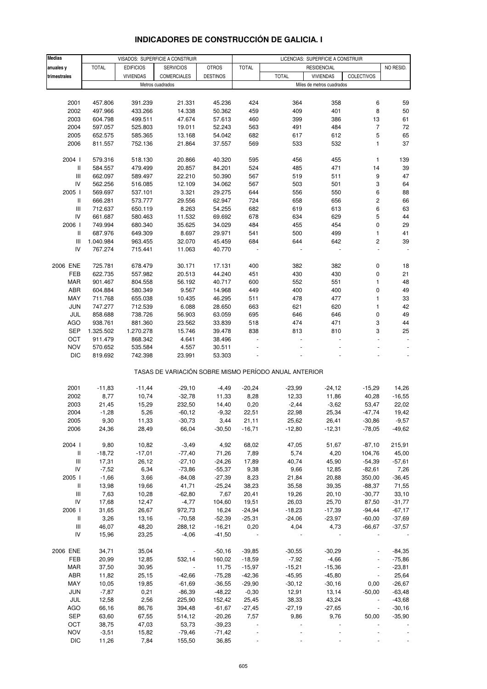| <b>Medias</b> |                    |                  | VISADOS: SUPERFICIE A CONSTRUIR |                 | LICENCIAS: SUPERFICIE A CONSTRUIR |                                                       |                           |                          |           |
|---------------|--------------------|------------------|---------------------------------|-----------------|-----------------------------------|-------------------------------------------------------|---------------------------|--------------------------|-----------|
| anuales y     | <b>TOTAL</b>       | <b>EDIFICIOS</b> | <b>SERVICIOS</b>                | <b>OTROS</b>    | <b>TOTAL</b>                      |                                                       | <b>RESIDENCIAL</b>        |                          | NO RESID. |
| trimestrales  |                    | <b>VIVIENDAS</b> | <b>COMERCIALES</b>              | <b>DESTINOS</b> |                                   | <b>TOTAL</b>                                          | <b>VIVIENDAS</b>          | COLECTIVOS               |           |
|               |                    |                  | Metros cuadrados                |                 |                                   |                                                       | Miles de metros cuadrados |                          |           |
|               |                    |                  |                                 |                 |                                   |                                                       |                           |                          |           |
| 2001          | 457.806            | 391.239          | 21.331                          | 45.236          | 424                               | 364                                                   | 358                       | 6                        | 59        |
| 2002          | 497.966            | 433.266          | 14.338                          | 50.362          | 459                               | 409                                                   | 401                       | 8                        | 50        |
| 2003          | 604.798            | 499.511          | 47.674                          | 57.613          | 460                               | 399                                                   | 386                       | 13                       | 61        |
|               |                    |                  |                                 |                 |                                   |                                                       |                           | $\overline{7}$           | 72        |
| 2004          | 597.057<br>652.575 | 525.803          | 19.011                          | 52.243          | 563                               | 491                                                   | 484                       |                          |           |
| 2005          |                    | 585.365          | 13.168                          | 54.042          | 682                               | 617                                                   | 612                       | 5                        | 65        |
| 2006          | 811.557            | 752.136          | 21.864                          | 37.557          | 569                               | 533                                                   | 532                       | 1                        | 37        |
| 2004 l        | 579.316            | 518.130          | 20.866                          | 40.320          | 595                               | 456                                                   | 455                       | 1                        | 139       |
| Ш             | 584.557            | 479.499          | 20.857                          | 84.201          | 524                               | 485                                                   | 471                       | 14                       | 39        |
| Ш             | 662.097            | 589.497          | 22.210                          | 50.390          | 567                               | 519                                                   | 511                       | 9                        | 47        |
| IV            | 562.256            | 516.085          | 12.109                          | 34.062          | 567                               | 503                                                   | 501                       | 3                        | 64        |
| 2005          | 569.697            | 537.101          | 3.321                           | 29.275          | 644                               | 556                                                   | 550                       | 6                        | 88        |
| Ш             | 666.281            | 573.777          | 29.556                          | 62.947          | 724                               | 658                                                   | 656                       | $\overline{\mathbf{c}}$  | 66        |
| Ш             | 712.637            | 650.119          | 8.263                           | 54.255          | 682                               | 619                                                   | 613                       | 6                        | 63        |
| IV            | 661.687            | 580.463          | 11.532                          | 69.692          | 678                               | 634                                                   | 629                       | 5                        | 44        |
| 2006          | 749.994            | 680.340          | 35.625                          | 34.029          | 484                               | 455                                                   | 454                       | 0                        | 29        |
| Ш             | 687.976            | 649.309          | 8.697                           | 29.971          | 541                               | 500                                                   | 499                       | 1                        | 41        |
| Ш             | 1.040.984          | 963.455          | 32.070                          | 45.459          | 684                               | 644                                                   | 642                       | 2                        | 39        |
| IV            | 767.274            | 715.441          | 11.063                          | 40.770          |                                   |                                                       |                           | ä,                       |           |
|               |                    |                  |                                 |                 |                                   |                                                       |                           |                          |           |
| 2006 ENE      | 725.781            | 678.479          | 30.171                          | 17.131          | 400                               | 382                                                   | 382                       | 0                        | 18        |
| FEB           | 622.735            | 557.982          | 20.513                          | 44.240          | 451                               | 430                                                   | 430                       | 0                        | 21        |
| MAR           | 901.467            | 804.558          | 56.192                          | 40.717          | 600                               | 552                                                   | 551                       | 1                        | 48        |
| ABR           | 604.884            | 580.349          | 9.567                           | 14.968          | 449                               | 400                                                   | 400                       | 0                        | 49        |
| MAY           | 711.768            | 655.038          | 10.435                          | 46.295          | 511                               | 478                                                   | 477                       | 1                        | 33        |
| JUN           | 747.277            | 712.539          | 6.088                           | 28.650          | 663                               | 621                                                   | 620                       | 1                        | 42        |
| JUL           | 858.688            | 738.726          | 56.903                          | 63.059          | 695                               | 646                                                   | 646                       | 0                        | 49        |
| AGO           | 938.761            | 881.360          | 23.562                          | 33.839          | 518                               | 474                                                   | 471                       | 3                        | 44        |
| SEP           | 1.325.502          | 1.270.278        | 15.746                          | 39.478          | 838                               | 813                                                   | 810                       | 3                        | 25        |
| OCT           | 911.479            | 868.342          | 4.641                           | 38.496          |                                   |                                                       |                           |                          |           |
| <b>NOV</b>    | 570.652            | 535.584          | 4.557                           | 30.511          |                                   |                                                       |                           |                          |           |
| <b>DIC</b>    | 819.692            | 742.398          | 23.991                          | 53.303          |                                   |                                                       |                           |                          |           |
|               |                    |                  |                                 |                 |                                   | TASAS DE VARIACIÓN SOBRE MISMO PERÍODO ANUAL ANTERIOR |                           |                          |           |
| 2001          |                    | $-11,44$         | $-29,10$                        |                 | $-20,24$                          | $-23,99$                                              |                           |                          | 14,26     |
|               | $-11,83$           |                  |                                 | $-4,49$         |                                   |                                                       | $-24,12$                  | $-15,29$                 |           |
| 2002          | 8,77               | 10,74            | $-32,78$                        | 11,33           | 8,28                              | 12,33                                                 | 11,86                     | 40,28                    | $-16,55$  |
| 2003          | 21,45              | 15,29            | 232,50                          | 14,40           | 0,20                              | $-2,44$                                               | $-3,62$                   | 53,47                    | 22,02     |
| 2004          | $-1,28$            | 5,26             | $-60, 12$                       | $-9,32$         | 22,51                             | 22,98                                                 | 25,34                     | $-47,74$                 | 19.42     |
| 2005          | 9,30               | 11,33            | $-30,73$                        | 3,44            | 21,11                             | 25,62                                                 | 26,41                     | $-30,86$                 | $-9,57$   |
| 2006          | 24,36              | 28,49            | 66,04                           | $-30,50$        | $-16,71$                          | $-12,80$                                              | $-12,31$                  | $-78,05$                 | $-49,62$  |
| 2004 l        | 9,80               | 10,82            | $-3,49$                         | 4,92            | 68,02                             | 47,05                                                 | 51,67                     | $-87,10$                 | 215,91    |
| Ш             | $-18,72$           | $-17,01$         | $-77,40$                        | 71,26           | 7,89                              | 5,74                                                  | 4,20                      | 104,76                   | 45,00     |
| Ш             | 17,31              | 26,12            | $-27,10$                        | $-24,26$        | 17,89                             | 40,74                                                 | 45,90                     | $-54,39$                 | $-57,61$  |
| IV            | $-7,52$            | 6,34             | $-73,86$                        | $-55,37$        | 9,38                              | 9,66                                                  | 12,85                     | $-82,61$                 | 7,26      |
| 2005 l        | $-1,66$            | 3,66             | $-84,08$                        | $-27,39$        | 8,23                              | 21,84                                                 | 20,88                     | 350,00                   | $-36,45$  |
| Ш             | 13,98              | 19,66            | 41,71                           | $-25,24$        | 38,23                             | 35,58                                                 | 39,35                     | $-88,37$                 | 71,55     |
| Ш             | 7,63               | 10,28            | $-62,80$                        | 7,67            | 20,41                             | 19,26                                                 | 20,10                     | $-30,77$                 | 33,10     |
| IV            | 17,68              | 12,47            | $-4,77$                         | 104,60          | 19,51                             | 26,03                                                 | 25,70                     | 87,50                    | $-31,77$  |
| 2006          | 31,65              | 26,67            | 972,73                          | 16,24           | $-24,94$                          | $-18,23$                                              | $-17,39$                  | $-94,44$                 | $-67,17$  |
| Ш             | 3,26               | 13,16            | $-70,58$                        | $-52,39$        | $-25,31$                          | $-24,06$                                              | $-23,97$                  | $-60,00$                 | $-37,69$  |
| Ш             | 46,07              | 48,20            | 288,12                          | $-16,21$        | 0,20                              | 4,04                                                  | 4,73                      | $-66,67$                 | $-37,57$  |
| IV            | 15,96              | 23,25            | $-4,06$                         | $-41,50$        |                                   |                                                       |                           |                          |           |
|               |                    |                  |                                 |                 |                                   |                                                       |                           |                          |           |
| 2006 ENE      | 34,71              | 35,04            |                                 | $-50,16$        | $-39,85$                          | $-30,55$                                              | $-30,29$                  |                          | $-84,35$  |
| FEB           | 20,99              | 12,85            | 532,14                          | 160,02          | $-18,59$                          | $-7,92$                                               | $-4,66$                   |                          | $-75,86$  |
| MAR           | 37,50              | 30,95            |                                 | 11,75           | $-15,97$                          | $-15,21$                                              | $-15,36$                  |                          | $-23,81$  |
| ABR           | 11,82              | 25,15            | $-42,66$                        | $-75,28$        | $-42,36$                          | $-45,95$                                              | $-45,80$                  | $\blacksquare$           | 25,64     |
| MAY           | 10,05              | 19,85            | $-61,69$                        | $-36,55$        | $-29,90$                          | $-30,12$                                              | $-30,16$                  | 0,00                     | $-26,67$  |
| JUN           | $-7,87$            | 0,21             | $-86,39$                        | $-48,22$        | $-0,30$                           | 12,91                                                 | 13,14                     | $-50,00$                 | $-63,48$  |
| JUL           | 12,58              | 2,56             | 225,90                          | 152,42          | 25,45                             | 38,33                                                 | 43,24                     | $\overline{\phantom{a}}$ | $-43,68$  |
| AGO           | 66,16              | 86,76            | 394,48                          | $-61,67$        | $-27,45$                          | $-27,19$                                              | $-27,65$                  | $\overline{\phantom{a}}$ | $-30,16$  |
| <b>SEP</b>    | 63,60              | 67,55            | 514,12                          | $-20,26$        | 7,57                              | 9,86                                                  | 9,76                      | 50,00                    | $-35,90$  |
| OCT           | 38,75              | 47,03            | 53,73                           | $-39,23$        |                                   |                                                       |                           |                          |           |
| <b>NOV</b>    | $-3,51$            | 15,82            | $-79,46$                        | $-71,42$        |                                   |                                                       |                           |                          |           |
| <b>DIC</b>    | 11,26              | 7,84             | 155,50                          | 36,85           |                                   |                                                       |                           |                          |           |

## **INDICADORES DE CONSTRUCCIÓN DE GALICIA. I**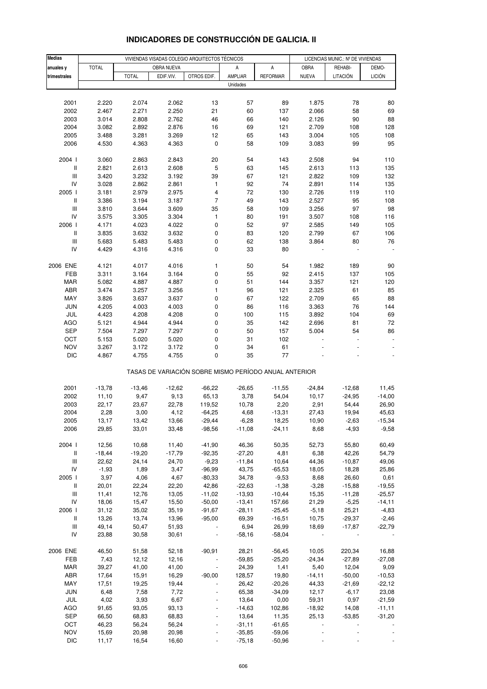| <b>Medias</b>                      |                 | VIVIENDAS VISADAS COLEGIO ARQUITECTOS TÉCNICOS |                |                                                       |                |                     |                | LICENCIAS MUNIC.: Nº DE VIVIENDAS |               |  |
|------------------------------------|-----------------|------------------------------------------------|----------------|-------------------------------------------------------|----------------|---------------------|----------------|-----------------------------------|---------------|--|
| anuales y                          | <b>TOTAL</b>    |                                                | OBRA NUEVA     |                                                       | Α              | A                   | <b>OBRA</b>    | REHABI-                           | DEMO-         |  |
| trimestrales                       |                 | <b>TOTAL</b>                                   | EDIF.VIV.      | OTROS EDIF.                                           | AMPLIAR        | <b>REFORMAR</b>     | <b>NUEVA</b>   | LITACIÓN                          | <b>LICIÓN</b> |  |
|                                    |                 |                                                |                |                                                       | Unidades       |                     |                |                                   |               |  |
|                                    |                 |                                                |                |                                                       |                |                     |                |                                   |               |  |
| 2001                               | 2.220           | 2.074                                          | 2.062          | 13                                                    | 57             | 89                  | 1.875          | 78                                | 80            |  |
| 2002                               | 2.467           | 2.271                                          | 2.250          | 21                                                    | 60             | 137                 | 2.066          | 58                                | 69            |  |
| 2003                               | 3.014           | 2.808                                          | 2.762          | 46                                                    | 66             | 140                 | 2.126          | 90                                | 88            |  |
| 2004                               | 3.082           | 2.892                                          | 2.876          | 16                                                    | 69             | 121                 | 2.709          | 108                               | 128           |  |
| 2005                               | 3.488           | 3.281                                          | 3.269          | 12                                                    | 65             | 143                 | 3.004          | 105                               | 108           |  |
| 2006                               | 4.530           | 4.363                                          | 4.363          | $\pmb{0}$                                             | 58             | 109                 | 3.083          | 99                                | 95            |  |
| 2004 l                             |                 |                                                | 2.843          |                                                       |                |                     |                | 94                                |               |  |
| Ш                                  | 3.060<br>2.821  | 2.863<br>2.613                                 | 2.608          | 20<br>5                                               | 54<br>63       | 143<br>145          | 2.508<br>2.613 | 113                               | 110<br>135    |  |
| $\ensuremath{\mathsf{III}}\xspace$ | 3.420           | 3.232                                          | 3.192          | 39                                                    | 67             | 121                 | 2.822          | 109                               | 132           |  |
| IV                                 | 3.028           | 2.862                                          | 2.861          | 1                                                     | 92             | 74                  | 2.891          | 114                               | 135           |  |
| 2005 l                             | 3.181           | 2.979                                          | 2.975          | 4                                                     | 72             | 130                 | 2.726          | 119                               | 110           |  |
| $\, \parallel$                     | 3.386           | 3.194                                          | 3.187          | $\overline{7}$                                        | 49             | 143                 | 2.527          | 95                                | 108           |  |
| $\ensuremath{\mathsf{III}}\xspace$ | 3.810           | 3.644                                          | 3.609          | 35                                                    | 58             | 109                 | 3.256          | 97                                | 98            |  |
| IV                                 | 3.575           | 3.305                                          | 3.304          | $\mathbf{1}$                                          | 80             | 191                 | 3.507          | 108                               | 116           |  |
| 2006                               | 4.171           | 4.023                                          | 4.022          | $\pmb{0}$                                             | 52             | 97                  | 2.585          | 149                               | 105           |  |
| $\, \parallel$                     | 3.835           | 3.632                                          | 3.632          | 0                                                     | 83             | 120                 | 2.799          | 67                                | 106           |  |
| $\ensuremath{\mathsf{III}}\xspace$ | 5.683           | 5.483                                          | 5.483          | 0                                                     | 62             | 138                 | 3.864          | 80                                | 76            |  |
| IV                                 | 4.429           | 4.316                                          | 4.316          | $\pmb{0}$                                             | 33             | 80                  |                |                                   |               |  |
|                                    |                 |                                                |                |                                                       |                |                     |                |                                   |               |  |
| 2006 ENE                           | 4.121           | 4.017                                          | 4.016          | $\mathbf{1}$                                          | 50             | 54                  | 1.982          | 189                               | 90            |  |
| FEB                                | 3.311           | 3.164                                          | 3.164<br>4.887 | 0                                                     | 55<br>51       | 92                  | 2.415<br>3.357 | 137                               | 105           |  |
| MAR<br>ABR                         | 5.082<br>3.474  | 4.887<br>3.257                                 | 3.256          | 0<br>$\mathbf{1}$                                     | 96             | 144<br>121          | 2.325          | 121<br>61                         | 120<br>85     |  |
| MAY                                | 3.826           | 3.637                                          | 3.637          | 0                                                     | 67             | 122                 | 2.709          | 65                                | 88            |  |
| <b>JUN</b>                         | 4.205           | 4.003                                          | 4.003          | 0                                                     | 86             | 116                 | 3.363          | 76                                | 144           |  |
| JUL                                | 4.423           | 4.208                                          | 4.208          | 0                                                     | 100            | 115                 | 3.892          | 104                               | 69            |  |
| AGO                                | 5.121           | 4.944                                          | 4.944          | 0                                                     | 35             | 142                 | 2.696          | 81                                | 72            |  |
| <b>SEP</b>                         | 7.504           | 7.297                                          | 7.297          | 0                                                     | 50             | 157                 | 5.004          | 54                                | 86            |  |
| OCT                                | 5.153           | 5.020                                          | 5.020          | 0                                                     | 31             | 102                 |                |                                   |               |  |
| <b>NOV</b>                         | 3.267           | 3.172                                          | 3.172          | 0                                                     | 34             | 61                  |                |                                   |               |  |
| <b>DIC</b>                         | 4.867           | 4.755                                          | 4.755          | 0                                                     | 35             | 77                  |                |                                   |               |  |
|                                    |                 |                                                |                | TASAS DE VARIACIÓN SOBRE MISMO PERÍODO ANUAL ANTERIOR |                |                     |                |                                   |               |  |
| 2001                               | $-13,78$        | $-13,46$                                       | $-12,62$       | $-66,22$                                              | $-26,65$       | $-11,55$            | $-24,84$       | $-12,68$                          | 11,45         |  |
| 2002                               | 11,10           | 9,47                                           | 9,13           | 65,13                                                 | 3,78           | 54,04               | 10,17          | $-24,95$                          | $-14,00$      |  |
| 2003                               | 22,17           | 23,67                                          | 22,78          | 119,52                                                | 10,78          | 2,20                | 2,91           | 54,44                             | 26,90         |  |
| 2004                               | 2,28            | 3,00                                           | 4,12           | $-64,25$                                              | 4,68           | $-13,31$            | 27,43          | 19,94                             | 45,63         |  |
| 2005                               | 13,17           | 13,42                                          | 13,66          | $-29,44$                                              | $-6,28$        | 18,25               | 10,90          | $-2,63$                           | $-15,34$      |  |
| 2006                               | 29,85           | 33,01                                          | 33,48          | -98,56                                                | $-11,08$       | $-24, 11$           | 8,68           | $-4,93$                           | $-9,58$       |  |
|                                    |                 |                                                |                |                                                       |                |                     |                |                                   |               |  |
| 2004 l                             | 12,56           | 10,68                                          | 11,40          | $-41,90$                                              | 46,36          | 50,35               | 52,73          | 55,80                             | 60,49         |  |
| $\, \parallel$                     | $-18,44$        | $-19,20$                                       | $-17,79$       | $-92,35$                                              | $-27,20$       | 4,81                | 6,38           | 42,26                             | 54,79         |  |
| Ш                                  | 22,62           | 24,14                                          | 24,70          | $-9,23$                                               | $-11,84$       | 10,64               | 44,36          | $-10,87$                          | 49,06         |  |
| IV<br>2005                         | $-1,93$<br>3,97 | 1,89<br>4,06                                   | 3,47<br>4,67   | $-96,99$<br>$-80,33$                                  | 43,75<br>34,78 | $-65,53$<br>$-9,53$ | 18,05<br>8,68  | 18,28<br>26,60                    | 25,86<br>0,61 |  |
| Ш                                  | 20,01           | 22,24                                          | 22,20          | 42,86                                                 | $-22,63$       | $-1,38$             | $-3,28$        | $-15,88$                          | $-19,55$      |  |
| $\ensuremath{\mathsf{III}}\xspace$ | 11,41           | 12,76                                          | 13,05          | $-11,02$                                              | $-13,93$       | $-10,44$            | 15,35          | $-11,28$                          | $-25,57$      |  |
| IV                                 | 18,06           | 15,47                                          | 15,50          | $-50,00$                                              | $-13,41$       | 157,66              | 21,29          | $-5,25$                           | $-14, 11$     |  |
| 2006                               | 31,12           | 35,02                                          | 35,19          | $-91,67$                                              | $-28,11$       | $-25,45$            | $-5,18$        | 25,21                             | $-4,83$       |  |
| Ш                                  | 13,26           | 13,74                                          | 13,96          | $-95,00$                                              | 69,39          | $-16,51$            | 10,75          | $-29,37$                          | $-2,46$       |  |
| $\ensuremath{\mathsf{III}}\xspace$ | 49,14           | 50,47                                          | 51,93          |                                                       | 6,94           | 26,99               | 18,69          | $-17,87$                          | $-22,79$      |  |
| IV                                 | 23,88           | 30,58                                          | 30,61          | $\blacksquare$                                        | $-58,16$       | $-58,04$            |                |                                   |               |  |
| 2006 ENE                           |                 | 51,58                                          | 52,18          | $-90,91$                                              | 28,21          | $-56,45$            | 10,05          | 220,34                            | 16,88         |  |
| FEB                                | 46,50<br>7,43   | 12,12                                          | 12,16          | $\overline{\phantom{a}}$                              | $-59,85$       | $-25,20$            | $-24,34$       | $-27,89$                          | $-27,08$      |  |
| MAR                                | 39,27           | 41,00                                          | 41,00          | ÷                                                     | 24,39          | 1,41                | 5,40           | 12,04                             | 9,09          |  |
| ABR                                | 17,64           | 15,91                                          | 16,29          | $-90,00$                                              | 128,57         | 19,80               | $-14, 11$      | $-50,00$                          | $-10,53$      |  |
| MAY                                | 17,51           | 19,25                                          | 19,44          |                                                       | 26,42          | $-20,26$            | 44,33          | $-21,69$                          | $-22,12$      |  |
| <b>JUN</b>                         | 6,48            | 7,58                                           | 7,72           |                                                       | 65,38          | $-34,09$            | 12,17          | $-6,17$                           | 23,08         |  |
| JUL                                | 4,02            | 3,93                                           | 6,67           |                                                       | 13,64          | 0,00                | 59,31          | 0,97                              | $-21,59$      |  |
| AGO                                | 91,65           | 93,05                                          | 93,13          |                                                       | $-14,63$       | 102,86              | $-18,92$       | 14,08                             | $-11,11$      |  |
| <b>SEP</b>                         | 66,50           | 68,83                                          | 68,83          |                                                       | 13,64          | 11,35               | 25,13          | $-53,85$                          | $-31,20$      |  |
| OCT                                | 46,23           | 56,24                                          | 56,24          |                                                       | $-31,11$       | $-61,65$            |                |                                   |               |  |
| <b>NOV</b>                         | 15,69           | 20,98                                          | 20,98          |                                                       | $-35,85$       | $-59,06$            |                |                                   |               |  |
| <b>DIC</b>                         | 11,17           | 16,54                                          | 16,60          |                                                       | $-75,18$       | $-50,96$            |                |                                   |               |  |

## **INDICADORES DE CONSTRUCCIÓN DE GALICIA. II**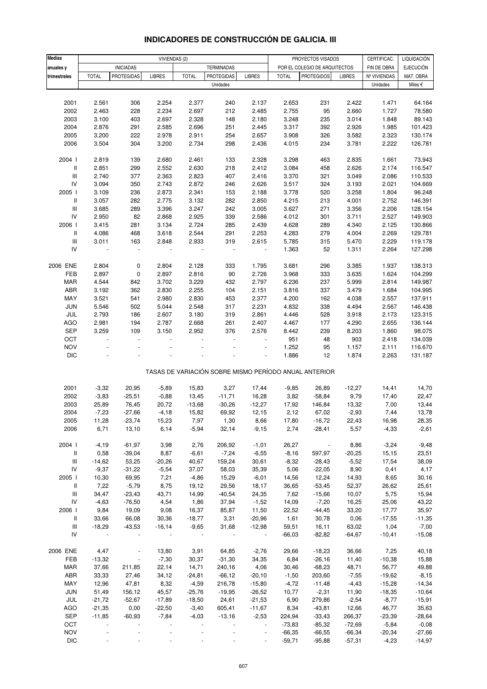| <b>Medias</b>                      |               |                             | VIVIENDAS (2)   |                   |                   |                          |               | PROYECTOS VISADOS                                     |                | CERTIFICAC.       | LIQUIDACIÓN       |
|------------------------------------|---------------|-----------------------------|-----------------|-------------------|-------------------|--------------------------|---------------|-------------------------------------------------------|----------------|-------------------|-------------------|
| anuales y                          |               | <b>INICIADAS</b>            |                 |                   | TERMINADAS        |                          |               | POR EL COLEGIO DE ARQUITECTOS                         |                | FIN DE OBRA       | <b>EJECUCIÓN</b>  |
| trimestrales                       | <b>TOTAL</b>  | <b>PROTEGIDAS</b>           | <b>LIBRES</b>   | <b>TOTAL</b>      | <b>PROTEGIDAS</b> | <b>LIBRES</b>            | <b>TOTAL</b>  | <b>PROTEGIDOS</b>                                     | <b>LIBRES</b>  | Nº VIVIENDAS      | MAT. OBRA         |
|                                    |               |                             |                 |                   | Unidades          |                          |               |                                                       |                | Unidades          | Miles €           |
|                                    |               |                             |                 |                   |                   |                          |               |                                                       |                |                   |                   |
| 2001                               | 2.561         | 306                         | 2.254           | 2.377             | 240               | 2.137                    | 2.653         | 231                                                   | 2.422          | 1.471             | 64.164            |
| 2002                               | 2.463         | 228                         | 2.234           | 2.697             | 212               | 2.485                    | 2.755         | 95                                                    | 2.660          | 1.727             | 78.580            |
| 2003                               | 3.100         | 403                         | 2.697           | 2.328             | 148               | 2.180                    | 3.248         | 235                                                   | 3.014          | 1.848             | 89.143            |
| 2004                               | 2.876         | 291                         | 2.585           | 2.696             | 251               | 2.445                    | 3.317         | 392                                                   | 2.926          | 1.985             | 101.423           |
| 2005                               | 3.200         | 222                         | 2.978           | 2.911             | 254               | 2.657                    | 3.908         | 326                                                   | 3.582          | 2.323             | 130.174           |
| 2006                               | 3.504         | 304                         | 3.200           | 2.734             | 298               | 2.436                    | 4.015         | 234                                                   | 3.781          | 2.222             | 126.781           |
|                                    |               |                             |                 |                   |                   |                          |               |                                                       |                |                   |                   |
| 2004 l                             | 2.819         | 139                         | 2.680           | 2.461             | 133               | 2.328                    | 3.298         | 463                                                   | 2.835          | 1.661             | 73.943            |
| Ш                                  | 2.851         | 299                         | 2.552           | 2.630             | 218               | 2.412                    | 3.084         | 458                                                   | 2.626          | 2.174             | 116.547           |
| $\ensuremath{\mathsf{III}}\xspace$ | 2.740         | 377                         | 2.363           | 2.823             | 407               | 2.416                    | 3.370         | 321                                                   | 3.049          | 2.086             | 110.533           |
| ${\sf IV}$                         | 3.094         | 350                         | 2.743           | 2.872             | 246               | 2.626                    | 3.517         | 324                                                   | 3.193          | 2.021             | 104.669           |
| 2005 l                             | 3.109         | 236                         | 2.873           | 2.341             | 153               | 2.188                    | 3.778         | 520                                                   | 3.258          | 1.804             | 96.248            |
| Ш                                  | 3.057         | 282                         | 2.775           | 3.132             | 282               | 2.850                    | 4.215         | 213                                                   | 4.001          | 2.752             | 146.391           |
| $\ensuremath{\mathsf{III}}\xspace$ | 3.685         | 289                         | 3.396           | 3.247             | 242               | 3.005                    | 3.627         | 271                                                   | 3.356          | 2.206             | 128.154           |
| IV                                 | 2.950         | 82                          | 2.868           | 2.925             | 339               | 2.586                    | 4.012         | 301                                                   | 3.711          | 2.527             | 149.903           |
| 2006                               | 3.415         | 281                         | 3.134           | 2.724             | 285               | 2.439                    | 4.628         | 289                                                   | 4.340          | 2.125             | 130.866           |
| II                                 | 4.086         | 468                         | 3.618           | 2.544             | 291               | 2.253                    | 4.283         | 279                                                   | 4.004          | 2.269             | 129.781           |
| $\ensuremath{\mathsf{III}}\xspace$ | 3.011         | 163                         | 2.848           | 2.933             | 319               | 2.615                    | 5.785         | 315                                                   | 5.470          | 2.229             | 119.178           |
| IV                                 |               | ÷,                          |                 |                   | $\overline{a}$    | $\ddot{\phantom{1}}$     | 1.363         | 52                                                    | 1.311          | 2.264             | 127.298           |
|                                    |               |                             |                 |                   |                   |                          |               |                                                       |                |                   |                   |
| 2006 ENE                           | 2.804         | 0                           | 2.804           | 2.128             | 333               | 1.795                    | 3.681         | 296                                                   | 3.385          | 1.937             | 138.313           |
| FEB                                | 2.897         | $\pmb{0}$                   | 2.897           | 2.816             | 90                | 2.726                    | 3.968         | 333                                                   | 3.635          | 1.624             | 104.299           |
| <b>MAR</b>                         | 4.544         | 842                         | 3.702           | 3.229             | 432               | 2.797                    | 6.236         | 237                                                   | 5.999          | 2.814             | 149.987           |
| ABR                                | 3.192         | 362                         | 2.830           | 2.255             | 104               | 2.151                    | 3.816         | 337                                                   | 3.479          | 1.684             | 104.995           |
| MAY                                | 3.521         | 541                         | 2.980           | 2.830             | 453               | 2.377                    | 4.200         | 162                                                   | 4.038          | 2.557             | 137.911           |
| JUN                                | 5.546         | 502                         | 5.044           | 2.548             | 317               | 2.231                    | 4.832         | 338                                                   | 4.494          | 2.567             | 146.438           |
| JUL                                | 2.793         | 186                         | 2.607           | 3.180             | 319               | 2.861                    | 4.446         | 528                                                   | 3.918          | 2.173             | 123.315           |
| AGO                                | 2.981         | 194                         | 2.787           | 2.668             | 261               | 2.407                    | 4.467         | 177                                                   | 4.290          | 2.655             | 136.144           |
| SEP                                | 3.259         | 109                         | 3.150           | 2.952             | 376               | 2.576                    | 8.442         | 239                                                   | 8.203          | 1.860             | 98.075            |
| OCT                                |               | L.                          |                 |                   |                   |                          | 951           | 48                                                    | 903            | 2.418             | 134.039           |
| <b>NOV</b>                         |               |                             |                 |                   |                   | $\overline{a}$           | 1.252         | 95                                                    | 1.157          | 2.111             | 116.670           |
| <b>DIC</b>                         |               |                             |                 |                   |                   |                          | 1.886         | 12                                                    | 1.874          | 2.263             | 131.187           |
|                                    |               |                             |                 |                   |                   |                          |               | TASAS DE VARIACIÓN SOBRE MISMO PERÍODO ANUAL ANTERIOR |                |                   |                   |
|                                    |               |                             |                 |                   |                   |                          |               |                                                       |                |                   |                   |
| 2001                               | $-3,32$       | 20,95                       | $-5,89$         | 15,83             | 3,27              | 17,44                    | $-9,85$       | 26,89                                                 | $-12,27$       | 14,41             | 14,70             |
| 2002                               | $-3,83$       | $-25,51$                    | $-0,88$         | 13,45             | $-11,71$          | 16,28                    | 3,82          | $-58,84$                                              | 9,79           | 17,40             | 22,47             |
| 2003                               | 25,89         | 76,45                       | 20,72           | $-13,68$          | $-30,26$          | $-12,27$                 | 17,92         | 146,84                                                | 13,32          | 7,00              | 13,44             |
| 2004                               | $-7,23$       | $-27,66$                    | $-4,18$         | 15,82             | 69,92             | 12,15                    | 2,12          | 67,02                                                 | $-2,93$        | 7,44              | 13,78             |
| 2005                               | 11,28         | $-23,74$                    | 15,23           | 7,97              | 1,30              | 8,66                     | 17,80         | $-16,72$                                              | 22,43          | 16,98             | 28,35             |
| 2006                               | 6,71          | 13,10                       | 6,14            | $-5,94$           | 32,14             | $-9,15$                  | 2,74          | $-28,41$                                              | 5,57           | $-4,33$           | $-2,61$           |
|                                    |               |                             |                 |                   |                   |                          |               |                                                       |                |                   |                   |
| 2004 l                             | $-4,19$       | $-61,97$                    | 3,98            | 2,76              | 206,92            | $-1,01$                  | 26,27         | $\sim$                                                | 8,86           | $-3,24$           | $-9,48$           |
| Ш                                  | 0,58          | $-39,04$                    | 8,87            | $-6,61$           | $-7,24$           | $-6,55$                  | $-8,16$       | 597,97                                                | $-20,25$       | 15,15             | 23,51             |
| Ш<br>${\sf IV}$                    | $-14,62$      | 53,25                       | $-20,26$        | 40,67             | 159,24            | 30,61                    | $-8,32$       | $-28,43$                                              | $-5,52$        | 17,54             | 38,09             |
| 2005                               | $-9,37$       | $-31,22$<br>69,95           | $-5,54$<br>7,21 | 37,07<br>$-4,86$  | 58,03<br>15,29    | 35,39<br>$-6,01$         | 5,06<br>14,56 | $-22,05$<br>12,24                                     | 8,90           | 0,41<br>8,65      | 4,17<br>30,16     |
| Ш                                  | 10,30         |                             |                 |                   |                   |                          |               |                                                       | 14,93          |                   |                   |
| Ш                                  | 7,22<br>34,47 | $-5,79$<br>$-23,43$         | 8,75<br>43,71   | 19,12<br>14,99    | 29,56<br>$-40,54$ | 18,17<br>24,35           | 36,65<br>7,62 | $-53,45$<br>$-15,66$                                  | 52,37<br>10,07 | 26,62<br>5,75     | 25,61<br>15,94    |
|                                    |               |                             |                 |                   |                   |                          |               |                                                       |                |                   |                   |
| IV                                 | $-4,63$       | $-76,50$                    | 4,54            | 1,86              | 37,94             | $-1,52$                  | 14,09         | $-7,20$                                               | 16,25          | 25,06             | 43,22             |
| 2006  <br>Ш                        | 9,84<br>33,66 | 19,09<br>66,08              | 9,08<br>30,36   | 16,37<br>$-18,77$ | 85,87<br>3,31     | 11,50<br>$-20,96$        | 22,52<br>1,61 | $-44,45$<br>30,78                                     | 33,20<br>0,06  | 17,77<br>$-17,55$ | 35,97<br>$-11,35$ |
| Ш                                  | $-18,29$      | $-43,53$                    | $-16, 14$       | $-9,65$           | 31,68             | $-12,98$                 | 59,51         | 16,11                                                 | 63,02          | 1,04              | $-7,00$           |
| IV                                 |               |                             |                 |                   |                   | $\overline{\phantom{a}}$ | $-66,03$      | $-82,82$                                              | $-64,67$       | $-10,41$          | $-15,08$          |
|                                    |               |                             |                 |                   |                   |                          |               |                                                       |                |                   |                   |
| 2006 ENE                           | 4,47          | $\overline{\phantom{a}}$    | 13,80           | 3,91              | 64,85             | $-2,76$                  | 29,66         | $-18,23$                                              | 36,66          | 7,25              | 40,18             |
| FEB                                | $-13,32$      | $\mathcal{L}_{\mathcal{A}}$ | $-7,30$         | 30,37             | $-31,30$          | 34,35                    | 6,84          | $-26,16$                                              | 11,40          | $-10,38$          | 15,88             |
| <b>MAR</b>                         | 37,66         | 211,85                      | 22,14           | 14,71             | 240,16            | 4,06                     | 30,46         | $-68,23$                                              | 48,71          | 56,77             | 49,88             |
| ABR                                | 33,33         | 27,46                       | 34,12           | $-24,81$          | $-66,12$          | $-20,10$                 | $-1,50$       | 203,60                                                | $-7,55$        | $-19,62$          | $-8,15$           |
| MAY                                | 12,96         | 47,81                       | 8,32            | $-4,59$           | 216,78            | $-15,80$                 | $-4,72$       | $-11,48$                                              | $-4,43$        | $-15,28$          | $-14,34$          |
| <b>JUN</b>                         | 51,49         | 156,12                      | 45,57           | $-25,76$          | $-19,95$          | $-26,52$                 | 10,77         | $-2,31$                                               | 11,90          | $-18,35$          | $-10,64$          |
| JUL                                | $-21,72$      | $-52,67$                    | $-17,89$        | $-18,50$          | 24,61             | $-21,53$                 | 6,90          | 279,86                                                | $-2,54$        | $-8,77$           | $-15,91$          |
| <b>AGO</b>                         | $-21,35$      | 0,00                        | $-22,50$        | $-3,40$           | 605,41            | $-11,67$                 | 8,34          | $-43,81$                                              | 12,66          | 46,77             | 35,63             |
| SEP                                | $-11,85$      | $-60,93$                    | $-7,84$         | $-4,03$           | $-13,16$          | $-2,53$                  | 224,94        | $-33,43$                                              | 266,37         | $-23,39$          | $-28,64$          |
| OCT                                |               |                             |                 |                   |                   | $\blacksquare$           | $-73,83$      | $-85,32$                                              | $-72,69$       | $-5,84$           | $-0,08$           |
| <b>NOV</b>                         |               |                             |                 |                   |                   | $\blacksquare$           | $-66,35$      | $-66,55$                                              | $-66,34$       | $-20,34$          | $-27,66$          |
| <b>DIC</b>                         |               |                             |                 |                   |                   |                          | $-59,71$      | $-95,88$                                              | $-57,31$       | $-4,23$           | $-14,97$          |

## **INDICADORES DE CONSTRUCCIÓN DE GALICIA. III**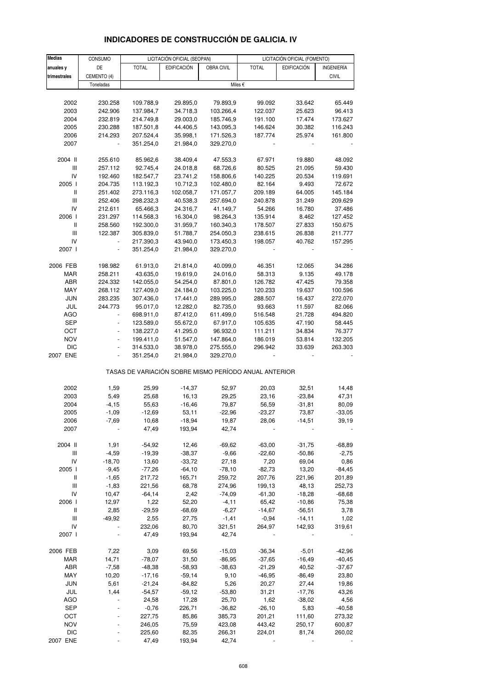| <b>Medias</b>     | CONSUMO        |                                                       | LICITACIÓN OFICIAL (SEOPAN) |                  |                  | LICITACIÓN OFICIAL (FOMENTO) |                  |
|-------------------|----------------|-------------------------------------------------------|-----------------------------|------------------|------------------|------------------------------|------------------|
| anuales y         | DE             | <b>TOTAL</b>                                          | EDIFICACIÓN                 | OBRA CIVIL       | <b>TOTAL</b>     | <b>EDIFICACIÓN</b>           | INGENIERÍA       |
| trimestrales      | CEMENTO (4)    |                                                       |                             |                  |                  |                              | <b>CIVIL</b>     |
|                   | Toneladas      |                                                       |                             |                  | Miles €          |                              |                  |
|                   |                |                                                       |                             |                  |                  |                              |                  |
| 2002              | 230.258        | 109.788,9                                             | 29.895,0                    | 79.893,9         | 99.092           | 33.642                       | 65.449           |
| 2003              | 242.906        | 137.984,7                                             | 34.718,3                    | 103.266,4        | 122.037          | 25.623                       | 96.413           |
| 2004              | 232.819        | 214.749,8                                             | 29.003,0                    | 185.746,9        | 191.100          | 17.474                       | 173.627          |
| 2005              | 230.288        | 187.501,8                                             | 44.406,5                    | 143.095,3        | 146.624          | 30.382                       | 116.243          |
| 2006              | 214.293        | 207.524,4                                             | 35.998,1                    | 171.526,3        | 187.774          | 25.974                       | 161.800          |
| 2007              |                | 351.254,0                                             | 21.984,0                    | 329.270,0        |                  |                              |                  |
| 2004 II           | 255.610        | 85.962,6                                              | 38.409,4                    | 47.553,3         | 67.971           | 19.880                       | 48.092           |
| Ш                 | 257.112        | 92.745,4                                              | 24.018,8                    | 68.726,6         | 80.525           | 21.095                       | 59.430           |
| IV                | 192.460        | 182.547,7                                             | 23.741,2                    | 158.806,6        | 140.225          | 20.534                       | 119.691          |
| 2005 l            | 204.735        | 113.192,3                                             | 10.712,3                    | 102.480,0        | 82.164           | 9.493                        | 72.672           |
| $\, \parallel$    | 251.402        | 273.116,3                                             | 102.058,7                   | 171.057,7        | 209.189          | 64.005                       | 145.184          |
| $\mathsf{III}$    | 252.406        | 298.232,3                                             | 40.538,3                    | 257.694,0        | 240.878          | 31.249                       | 209.629          |
| IV                | 212.611        | 65.466,3                                              | 24.316,7                    | 41.149,7         | 54.266           | 16.780                       | 37.486           |
| 2006              | 231.297        | 114.568,3                                             | 16.304,0                    | 98.264,3         | 135.914          | 8.462                        | 127.452          |
| Ш                 | 258.560        | 192.300,0                                             | 31.959,7                    | 160.340,3        | 178.507          | 27.833                       | 150.675          |
| Ш                 | 122.387        | 305.839,0                                             | 51.788,7                    | 254.050,3        | 238.615          | 26.838                       | 211.777          |
| IV                |                | 217.390,3                                             | 43.940,0                    | 173.450,3        | 198.057          | 40.762                       | 157.295          |
| 2007 I            |                | 351.254,0                                             | 21.984,0                    | 329.270,0        |                  |                              |                  |
| 2006 FEB          | 198.982        | 61.913,0                                              | 21.814,0                    | 40.099,0         | 46.351           | 12.065                       | 34.286           |
| <b>MAR</b>        | 258.211        | 43.635,0                                              | 19.619,0                    | 24.016,0         | 58.313           | 9.135                        | 49.178           |
| ABR               | 224.332        | 142.055,0                                             | 54.254,0                    | 87.801,0         | 126.782          | 47.425                       | 79.358           |
| MAY               | 268.112        | 127.409,0                                             | 24.184,0                    | 103.225,0        | 120.233          | 19.637                       | 100.596          |
| <b>JUN</b>        | 283.235        | 307.436,0                                             | 17.441,0                    | 289.995,0        | 288.507          | 16.437                       | 272.070          |
| JUL               | 244.773        | 95.017,0                                              | 12.282,0                    | 82.735,0         | 93.663           | 11.597                       | 82.066           |
| <b>AGO</b>        | ÷,             | 698.911,0                                             | 87.412,0                    | 611.499,0        | 516.548          | 21.728                       | 494.820          |
| <b>SEP</b>        | $\frac{1}{2}$  | 123.589,0                                             | 55.672,0                    | 67.917,0         | 105.635          | 47.190                       | 58.445           |
| OCT               |                | 138.227,0                                             | 41.295,0                    | 96.932,0         | 111.211          | 34.834                       | 76.377           |
| <b>NOV</b>        | $\blacksquare$ | 199.411,0                                             | 51.547,0                    | 147.864,0        | 186.019          | 53.814                       | 132.205          |
| <b>DIC</b>        | $\blacksquare$ | 314.533,0                                             | 38.978,0                    | 275.555,0        | 296.942          | 33.639                       | 263.303          |
| 2007 ENE          |                | 351.254,0                                             | 21.984,0                    | 329.270,0        |                  |                              |                  |
|                   |                | TASAS DE VARIACIÓN SOBRE MISMO PERÍODO ANUAL ANTERIOR |                             |                  |                  |                              |                  |
| 2002              | 1,59           | 25,99                                                 | $-14,37$                    | 52,97            | 20,03            | 32,51                        | 14,48            |
| 2003              | 5,49           | 25,68                                                 | 16,13                       | 29,25            | 23,16            | $-23,84$                     | 47,31            |
| 2004              | $-4, 15$       | 55,63                                                 | $-16,46$                    | 79,87            | 56,59            | -31,81                       | 80,09            |
| 2005              | $-1,09$        | $-12,69$                                              | 53,11                       | $-22,96$         | $-23,27$         | 73,87                        | $-33,05$         |
| 2006              | -7,69          | 10,68                                                 | -18,94                      | 19,87            | 28,06            | -14,51                       | 39,19            |
| 2007              |                | 47,49                                                 | 193,94                      | 42,74            |                  |                              |                  |
| 2004 II           | 1,91           | $-54,92$                                              | 12,46                       | $-69,62$         | $-63,00$         | $-31,75$                     | $-68,89$         |
| Ш                 | $-4,59$        | $-19,39$                                              | $-38,37$                    | $-9,66$          | $-22,60$         | $-50,86$                     | $-2,75$          |
| IV                | $-18,70$       | 13,60                                                 | $-33,72$                    | 27,18            | 7,20             | 69,04                        | 0,86             |
| 2005              | $-9,45$        | $-77,26$                                              | $-64,10$                    | $-78,10$         | $-82,73$         | 13,20                        | $-84,45$         |
| Ш                 | $-1,65$        | 217,72                                                | 165,71                      | 259,72           | 207,76           | 221,96                       | 201,89           |
| Ш                 | $-1,83$        | 221,56                                                | 68,78                       | 274,96           | 199,13           | 48,13                        | 252,73           |
| IV                | 10,47          | $-64,14$                                              | 2,42                        | $-74,09$         | $-61,30$         | $-18,28$                     | $-68,68$         |
| 2006              | 12,97          | 1,22                                                  | 52,20                       | $-4, 11$         | 65,42            | $-10,86$                     | 75,38            |
| Ш                 | 2,85           | $-29,59$                                              | $-68,69$                    | $-6,27$          | $-14,67$         | $-56,51$                     | 3,78             |
| Ш                 | $-49,92$       | 2,55                                                  | 27,75                       | $-1,41$          | $-0,94$          | $-14,11$                     | 1,02             |
| IV<br>2007        |                | 232,06<br>47,49                                       | 80,70<br>193,94             | 321,51<br>42,74  | 264,97           | 142,93                       | 319,61           |
|                   |                |                                                       |                             |                  |                  |                              |                  |
| 2006 FEB          | 7,22           | 3,09                                                  | 69,56                       | $-15,03$         | $-36,34$         | $-5,01$                      | $-42,96$         |
| MAR               | 14,71          | $-78,07$                                              | 31,50                       | $-86,95$         | $-37,65$         | $-16,49$                     | $-40,45$         |
| ABR               | $-7,58$        | $-48,38$                                              | $-58,93$                    | $-38,63$         | $-21,29$         | 40,52                        | $-37,67$         |
| MAY               | 10,20          | $-17,16$                                              | $-59,14$                    | 9,10             | $-46,95$         | $-86,49$                     | 23,80            |
| <b>JUN</b>        | 5,61           | $-21,24$                                              | $-84,82$                    | 5,26             | 20,27            | 27,44                        | 19,86            |
| JUL               | 1,44           | $-54,57$                                              | $-59,12$                    | $-53,80$         | 31,21            | $-17,76$                     | 43,26            |
| <b>AGO</b>        |                | 24,58                                                 | 17,28                       | 25,70            | 1,62             | $-38,02$                     | 4,56             |
| <b>SEP</b>        |                | $-0,76$                                               | 226,71                      | $-36,82$         | $-26, 10$        | 5,83                         | $-40,58$         |
| OCT<br><b>NOV</b> |                | 227,75<br>246,05                                      | 85,86<br>75,59              | 385,73<br>423,08 | 201,21<br>443,42 | 111,60                       | 273,32<br>600,87 |
|                   |                |                                                       |                             |                  |                  | 250,17                       |                  |

# **INDICADORES DE CONSTRUCCIÓN DE GALICIA. IV**

DIC - 225,60 82,35 266,31 224,01 81,74 260,02 2007 ENE - 47,49 193,94 42,74 - - -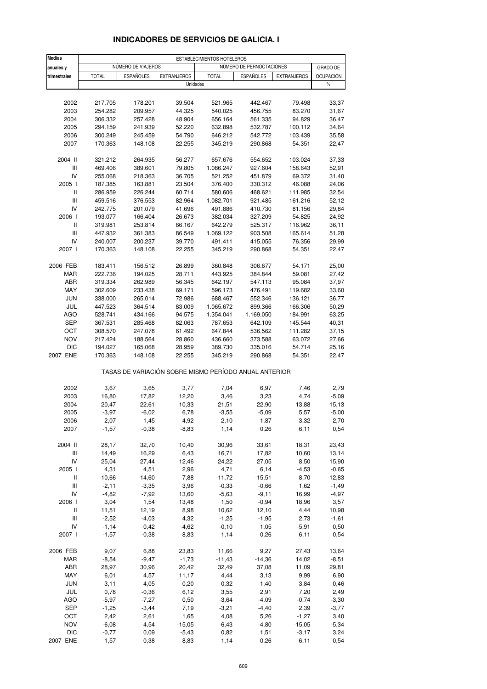| <b>Medias</b>                      | ESTABLECIMIENTOS HOTELEROS |                    |                    |                                                       |                          |                    |                  |
|------------------------------------|----------------------------|--------------------|--------------------|-------------------------------------------------------|--------------------------|--------------------|------------------|
| anuales y                          |                            | NÚMERO DE VIAJEROS |                    |                                                       | NÚMERO DE PERNOCTACIONES |                    | <b>GRADO DE</b>  |
| trimestrales                       | <b>TOTAL</b>               | <b>ESPAÑOLES</b>   | <b>EXTRANJEROS</b> | <b>TOTAL</b>                                          | <b>ESPAÑOLES</b>         | <b>EXTRANJEROS</b> | <b>OCUPACIÓN</b> |
|                                    |                            |                    | Unidades           |                                                       |                          |                    | $\%$             |
|                                    |                            |                    |                    |                                                       |                          |                    |                  |
| 2002                               | 217.705                    | 178.201            | 39.504             | 521.965                                               | 442.467                  | 79.498             | 33,37            |
| 2003                               | 254.282                    | 209.957            | 44.325             | 540.025                                               | 456.755                  | 83.270             | 31,67            |
| 2004                               | 306.332<br>294.159         | 257.428<br>241.939 | 48.904             | 656.164                                               | 561.335                  | 94.829             | 36,47            |
| 2005<br>2006                       | 300.249                    | 245.459            | 52.220<br>54.790   | 632.898<br>646.212                                    | 532.787<br>542.772       | 100.112<br>103.439 | 34,64<br>35,58   |
| 2007                               | 170.363                    | 148.108            | 22.255             | 345.219                                               | 290.868                  | 54.351             | 22,47            |
|                                    |                            |                    |                    |                                                       |                          |                    |                  |
| 2004 II                            | 321.212                    | 264.935            | 56.277             | 657.676                                               | 554.652                  | 103.024            | 37,33            |
| Ш                                  | 469.406                    | 389.601            | 79.805             | 1.086.247                                             | 927.604                  | 158.643            | 52,91            |
| IV<br>2005 l                       | 255.068                    | 218.363            | 36.705             | 521.252                                               | 451.879                  | 69.372             | 31,40            |
| Ш                                  | 187.385<br>286.959         | 163.881<br>226.244 | 23.504<br>60.714   | 376.400<br>580.606                                    | 330.312<br>468.621       | 46.088<br>111.985  | 24,06<br>32,54   |
| Ш                                  | 459.516                    | 376.553            | 82.964             | 1.082.701                                             | 921.485                  | 161.216            | 52,12            |
| IV                                 | 242.775                    | 201.079            | 41.696             | 491.886                                               | 410.730                  | 81.156             | 29,84            |
| 2006                               | 193.077                    | 166.404            | 26.673             | 382.034                                               | 327.209                  | 54.825             | 24,92            |
| Ш                                  | 319.981                    | 253.814            | 66.167             | 642.279                                               | 525.317                  | 116.962            | 36,11            |
| $\ensuremath{\mathsf{III}}\xspace$ | 447.932                    | 361.383            | 86.549             | 1.069.122                                             | 903.508                  | 165.614            | 51,28            |
| IV                                 | 240.007                    | 200.237            | 39.770             | 491.411                                               | 415.055                  | 76.356             | 29,99            |
| 2007 l                             | 170.363                    | 148.108            | 22.255             | 345.219                                               | 290.868                  | 54.351             | 22,47            |
| 2006 FEB                           | 183.411                    | 156.512            | 26.899             | 360.848                                               | 306.677                  | 54.171             | 25,00            |
| <b>MAR</b>                         | 222.736                    | 194.025            | 28.711             | 443.925                                               | 384.844                  | 59.081             | 27,42            |
| ABR                                | 319.334                    | 262.989            | 56.345             | 642.197                                               | 547.113                  | 95.084             | 37,97            |
| MAY                                | 302.609                    | 233.438            | 69.171             | 596.173                                               | 476.491                  | 119.682            | 33,60            |
| <b>JUN</b>                         | 338.000                    | 265.014            | 72.986             | 688.467                                               | 552.346                  | 136.121            | 36,77            |
| JUL                                | 447.523                    | 364.514            | 83.009             | 1.065.672                                             | 899.366                  | 166.306            | 50,29            |
| <b>AGO</b>                         | 528.741                    | 434.166            | 94.575             | 1.354.041                                             | 1.169.050                | 184.991            | 63,25            |
| <b>SEP</b>                         | 367.531                    | 285.468            | 82.063             | 787.653                                               | 642.109                  | 145.544            | 40,31            |
| OCT                                | 308.570                    | 247.078            | 61.492             | 647.844                                               | 536.562                  | 111.282            | 37,15            |
| <b>NOV</b>                         | 217.424                    | 188.564            | 28.860             | 436.660                                               | 373.588                  | 63.072             | 27,66            |
| <b>DIC</b><br>2007 ENE             | 194.027<br>170.363         | 165.068            | 28.959             | 389.730                                               | 335.016                  | 54.714<br>54.351   | 25,16<br>22,47   |
|                                    |                            | 148.108            | 22.255             | 345.219                                               | 290.868                  |                    |                  |
|                                    |                            |                    |                    | TASAS DE VARIACIÓN SOBRE MISMO PERÍODO ANUAL ANTERIOR |                          |                    |                  |
| 2002                               | 3,67                       | 3,65               | 3,77               | 7,04                                                  | 6,97                     | 7,46               | 2,79             |
| 2003                               | 16,80                      | 17,82              | 12,20              | 3,46                                                  | 3,23                     | 4,74               | $-5,09$          |
| 2004                               | 20,47                      | 22,61              | 10,33              | 21,51                                                 | 22,90                    | 13,88              | 15,13            |
| 2005                               | $-3,97$                    | $-6,02$            | 6,78               | $-3,55$                                               | $-5,09$                  | 5,57               | $-5,00$          |
| 2006                               | 2,07                       | 1,45               | 4,92               | 2,10                                                  | 1,87                     | 3,32               | 2,70             |
| 2007                               | $-1,57$                    | $-0,38$            | $-8,83$            | 1,14                                                  | 0,26                     | 6,11               | 0,54             |
| 2004 II                            | 28,17                      | 32,70              | 10,40              | 30,96                                                 | 33,61                    | 18,31              | 23,43            |
| $\ensuremath{\mathsf{III}}\xspace$ | 14,49                      | 16,29              | 6,43               | 16,71                                                 | 17,82                    | 10,60              | 13,14            |
| IV                                 | 25,04                      | 27,44              | 12,46              | 24,22                                                 | 27,05                    | 8,50               | 15,90            |
| 2005 l                             | 4,31                       | 4,51               | 2,96               | 4,71                                                  | 6,14                     | $-4,53$            | $-0,65$          |
| Ш                                  | $-10,66$                   | $-14,60$           | 7,88               | $-11,72$                                              | $-15,51$                 | 8,70               | $-12,83$         |
| Ш                                  | $-2,11$                    | $-3,35$            | 3,96               | $-0,33$                                               | $-0,66$                  | 1,62               | $-1,49$          |
| IV                                 | $-4,82$                    | $-7,92$            | 13,60              | $-5,63$                                               | $-9,11$                  | 16,99              | $-4,97$          |
| 2006 l                             | 3,04                       | 1,54               | 13,48              | 1,50                                                  | $-0,94$                  | 18,96              | 3,57             |
| Ш                                  | 11,51                      | 12,19              | 8,98               | 10,62                                                 | 12,10                    | 4,44               | 10,98            |
| Ш<br>IV                            | $-2,52$<br>$-1,14$         | $-4,03$            | 4,32               | $-1,25$                                               | $-1,95$                  | 2,73               | $-1,61$          |
| 2007 l                             | $-1,57$                    | $-0,42$<br>$-0,38$ | $-4,62$<br>$-8,83$ | $-0,10$<br>1,14                                       | 1,05<br>0,26             | $-5,91$<br>6,11    | 0,50<br>0,54     |
|                                    |                            |                    |                    |                                                       |                          |                    |                  |
| 2006 FEB                           | 9,07                       | 6,88               | 23,83              | 11,66                                                 | 9,27                     | 27,43              | 13,64            |
| MAR                                | $-8,54$                    | $-9,47$            | $-1,73$            | $-11,43$                                              | $-14,36$                 | 14,02              | $-8,51$          |
| ABR                                | 28,97                      | 30,96              | 20,42              | 32,49                                                 | 37,08                    | 11,09              | 29,81            |
| MAY                                | 6,01                       | 4,57               | 11,17              | 4,44                                                  | 3,13                     | 9,99               | 6,90             |
| <b>JUN</b>                         | 3,11                       | 4,05               | $-0,20$            | 0,32                                                  | 1,40                     | $-3,84$            | $-0,46$          |
| JUL<br><b>AGO</b>                  | 0,78<br>$-5,97$            | $-0,36$<br>$-7,27$ | 6,12<br>0,50       | 3,55<br>$-3,64$                                       | 2,91<br>$-4,09$          | 7,20<br>$-0,74$    | 2,49<br>$-3,30$  |
| <b>SEP</b>                         | $-1,25$                    | $-3,44$            | 7,19               | $-3,21$                                               | $-4,40$                  | 2,39               | $-3,77$          |
| OCT                                | 2,42                       | 2,61               | 1,65               | 4,08                                                  | 5,26                     | $-1,27$            | 3,40             |
| <b>NOV</b>                         | $-6,08$                    | $-4,54$            | $-15,05$           | $-6,43$                                               | $-4,80$                  | $-15,05$           | $-5,34$          |
| <b>DIC</b>                         | $-0,77$                    | 0,09               | $-5,43$            | 0,82                                                  | 1,51                     | $-3,17$            | 3,24             |
| 2007 ENE                           | $-1,57$                    | $-0,38$            | $-8,83$            | 1,14                                                  | 0,26                     | 6,11               | 0,54             |

#### **INDICADORES DE SERVICIOS DE GALICIA. I**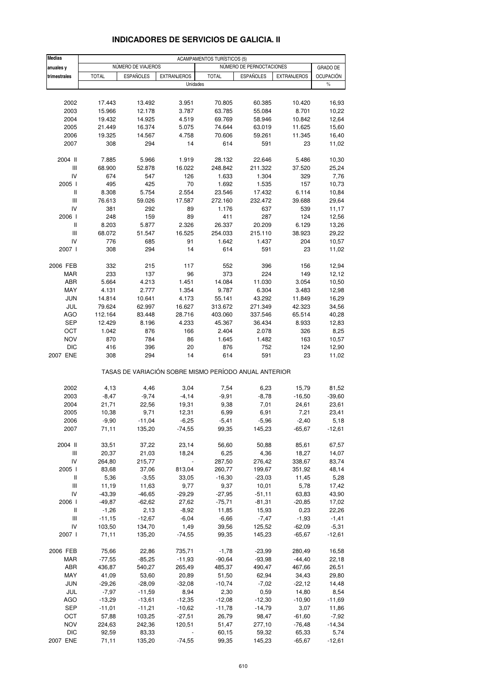| <b>Medias</b>                      | <b>ACAMPAMENTOS TURÍSTICOS (5)</b> |                    |                    |                                                       |                          |                    |                  |
|------------------------------------|------------------------------------|--------------------|--------------------|-------------------------------------------------------|--------------------------|--------------------|------------------|
| anuales y                          |                                    | NÚMERO DE VIAJEROS |                    |                                                       | NÚMERO DE PERNOCTACIONES |                    | <b>GRADO DE</b>  |
| trimestrales                       | <b>TOTAL</b>                       | <b>ESPAÑOLES</b>   | <b>EXTRANJEROS</b> | <b>TOTAL</b>                                          | <b>ESPAÑOLES</b>         | <b>EXTRANJEROS</b> | <b>OCUPACIÓN</b> |
|                                    |                                    |                    | Unidades           |                                                       |                          |                    | $\frac{0}{0}$    |
|                                    |                                    |                    |                    |                                                       |                          |                    |                  |
| 2002                               | 17.443                             | 13.492             | 3.951              | 70.805                                                | 60.385                   | 10.420             | 16,93            |
| 2003                               | 15.966                             | 12.178             | 3.787              | 63.785                                                | 55.084                   | 8.701              | 10,22            |
| 2004                               | 19.432                             | 14.925             | 4.519              | 69.769                                                | 58.946                   | 10.842             | 12,64            |
| 2005                               | 21.449                             | 16.374             | 5.075              | 74.644                                                | 63.019                   | 11.625             | 15,60            |
| 2006                               | 19.325                             | 14.567             | 4.758              | 70.606                                                | 59.261                   | 11.345             | 16,40            |
| 2007                               | 308                                | 294                | 14                 | 614                                                   | 591                      | 23                 | 11,02            |
| 2004 II                            | 7.885                              | 5.966              | 1.919              | 28.132                                                | 22.646                   | 5.486              | 10,30            |
| Ш                                  | 68.900                             | 52.878             | 16.022             | 248.842                                               | 211.322                  | 37.520             | 25,24            |
| IV                                 | 674                                | 547                | 126                | 1.633                                                 | 1.304                    | 329                | 7,76             |
| 2005 l                             | 495                                | 425                | 70                 | 1.692                                                 | 1.535                    | 157                | 10,73            |
| Ш                                  | 8.308                              | 5.754              | 2.554              | 23.546                                                | 17.432                   | 6.114              | 10,84            |
| Ш                                  | 76.613                             | 59.026             | 17.587             | 272.160                                               | 232.472                  | 39.688             | 29,64            |
| IV                                 | 381                                | 292                | 89                 | 1.176                                                 | 637                      | 539                | 11,17            |
| 2006                               | 248                                | 159                | 89                 | 411                                                   | 287                      | 124                | 12,56            |
| $\mathbf{I}$                       | 8.203                              | 5.877              | 2.326              | 26.337                                                | 20.209                   | 6.129              | 13,26            |
| Ш                                  | 68.072                             | 51.547             | 16.525             | 254.033                                               | 215.110                  | 38.923             | 29,22            |
| IV                                 | 776                                | 685                | 91                 | 1.642                                                 | 1.437                    | 204                | 10,57            |
| 2007 l                             | 308                                | 294                | 14                 | 614                                                   | 591                      | 23                 | 11,02            |
| 2006 FEB                           | 332                                | 215                | 117                | 552                                                   | 396                      | 156                | 12,94            |
| <b>MAR</b>                         | 233                                | 137                | 96                 | 373                                                   | 224                      | 149                | 12,12            |
| ABR                                | 5.664                              | 4.213              | 1.451              | 14.084                                                | 11.030                   | 3.054              | 10,50            |
| MAY                                | 4.131                              | 2.777              | 1.354              | 9.787                                                 | 6.304                    | 3.483              | 12,98            |
| <b>JUN</b>                         | 14.814                             | 10.641             | 4.173              | 55.141                                                | 43.292                   | 11.849             | 16,29            |
| JUL                                | 79.624                             | 62.997             | 16.627             | 313.672                                               | 271.349                  | 42.323             | 34,56            |
| <b>AGO</b>                         | 112.164                            | 83.448             | 28.716             | 403.060                                               | 337.546                  | 65.514             | 40,28            |
| <b>SEP</b>                         | 12.429                             | 8.196              | 4.233              | 45.367                                                | 36.434                   | 8.933              | 12,83            |
| ост                                | 1.042                              | 876                | 166                | 2.404                                                 | 2.078                    | 326                | 8,25             |
| <b>NOV</b>                         | 870                                | 784                | 86                 | 1.645                                                 | 1.482                    | 163                | 10,57            |
| <b>DIC</b>                         | 416                                | 396                | 20                 | 876                                                   | 752                      | 124                | 12,90            |
| 2007 ENE                           | 308                                | 294                | 14                 | 614                                                   | 591                      | 23                 | 11,02            |
|                                    |                                    |                    |                    | TASAS DE VARIACIÓN SOBRE MISMO PERÍODO ANUAL ANTERIOR |                          |                    |                  |
| 2002                               | 4,13                               | 4,46               | 3,04               | 7,54                                                  | 6,23                     | 15,79              | 81,52            |
| 2003                               | $-8,47$                            | $-9,74$            | $-4, 14$           | $-9,91$                                               | $-8,78$                  | $-16,50$           | $-39,60$         |
| 2004                               | 21,71                              | 22,56              | 19,31              | 9,38                                                  | 7,01                     | 24,61              | 23,61            |
| 2005                               | 10,38                              | 9,71               | 12,31              | 6,99                                                  | 6,91                     | 7,21               | 23,41            |
| 2006                               | $-9,90$                            | $-11,04$           | $-6,25$            | $-5,41$                                               | $-5,96$                  | $-2,40$            | 5,18             |
| 2007                               | 71,11                              | 135,20             | $-74,55$           | 99,35                                                 | 145,23                   | $-65,67$           | $-12,61$         |
| 2004 II                            | 33,51                              | 37,22              | 23,14              | 56,60                                                 | 50,88                    | 85,61              | 67,57            |
| $\ensuremath{\mathsf{III}}\xspace$ | 20,37                              | 21,03              | 18,24              | 6,25                                                  | 4,36                     | 18,27              | 14,07            |
| IV                                 | 264,80                             | 215,77             | $\frac{1}{2}$      | 287,50                                                | 276,42                   | 338,67             | 83,74            |
| 2005 l                             | 83,68                              | 37,06              | 813,04             | 260,77                                                | 199,67                   | 351,92             | 48,14            |
| Ш                                  | 5,36                               | $-3,55$            | 33,05              | $-16,30$                                              | $-23,03$                 | 11,45              | 5,28             |
| Ш                                  | 11,19                              | 11,63              | 9,77               | 9,37                                                  | 10,01                    | 5,78               | 17,42            |
| IV                                 | -43,39                             | $-46,65$           | $-29,29$           | $-27,95$                                              | $-51,11$                 | 63,83              | 43,90            |
| 2006                               | $-49,87$                           | $-62,62$           | 27,62              | $-75,71$                                              | $-81,31$                 | $-20,85$           | 17,02            |
| Ш                                  | $-1,26$                            | 2,13               | $-8,92$            | 11,85                                                 | 15,93                    | 0,23               | 22,26            |
| Ш                                  | $-11,15$                           | $-12,67$           | $-6,04$            | $-6,66$                                               | $-7,47$                  | $-1,93$            | $-1,41$          |
| IV                                 | 103,50                             | 134,70             | 1,49               | 39,56                                                 | 125,52                   | $-62,09$           | $-5,31$          |
| 2007 l                             | 71,11                              | 135,20             | $-74,55$           | 99,35                                                 | 145,23                   | $-65,67$           | $-12,61$         |
| 2006 FEB                           | 75,66                              | 22,86              | 735,71             | $-1,78$                                               | $-23,99$                 | 280,49             | 16,58            |
| MAR                                | $-77,55$                           | $-85,25$           | $-11,93$           | $-90,64$                                              | $-93,98$                 | $-44,40$           | 22,18            |
| ABR                                | 436,87                             | 540,27             | 265,49             | 485,37                                                | 490,47                   | 467,66             | 26,51            |
| MAY                                | 41,09                              | 53,60              | 20,89              | 51,50                                                 | 62,94                    | 34,43              | 29,80            |
| <b>JUN</b>                         | $-29,26$                           | $-28,09$           | $-32,08$           | $-10,74$                                              | $-7,02$                  | $-22,12$           | 14,48            |
| JUL                                | $-7,97$                            | $-11,59$           | 8,94               | 2,30                                                  | 0,59                     | 14,80              | 8,54             |
| AGO                                | $-13,29$                           | $-13,61$           | $-12,35$           | $-12,08$                                              | $-12,30$                 | $-10,90$           | $-11,69$         |
| <b>SEP</b>                         | $-11,01$                           | $-11,21$           | $-10,62$           | $-11,78$                                              | $-14,79$                 | 3,07               | 11,86            |
| OCT                                | 57,88                              | 103,25             | $-27,51$           | 26,79                                                 | 98,47                    | $-61,60$           | $-7,92$          |
| NOV                                | 224,63                             | 242,36             | 120,51             | 51,47                                                 | 277,10                   | $-76,48$           | $-14,34$         |
| DIC                                | 92,59                              | 83,33              |                    | 60,15                                                 | 59,32                    | 65,33              | 5,74             |
| 2007 ENE                           | 71,11                              | 135,20             | $-74,55$           | 99,35                                                 | 145,23                   | $-65,67$           | $-12,61$         |

#### **INDICADORES DE SERVICIOS DE GALICIA. II**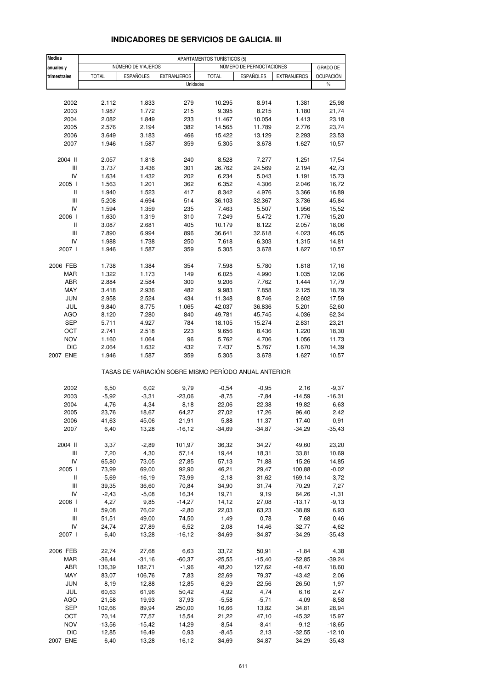| <b>Medias</b>                                 | APARTAMENTOS TURÍSTICOS (5) |                    |                                                       |                  |                          |                     |                   |
|-----------------------------------------------|-----------------------------|--------------------|-------------------------------------------------------|------------------|--------------------------|---------------------|-------------------|
| anuales y                                     |                             | NÚMERO DE VIAJEROS |                                                       |                  | NÚMERO DE PERNOCTACIONES |                     | GRADO DE          |
| trimestrales                                  | <b>TOTAL</b>                | <b>ESPAÑOLES</b>   | <b>EXTRANJEROS</b>                                    | <b>TOTAL</b>     | <b>ESPAÑOLES</b>         | <b>EXTRANJEROS</b>  | <b>OCUPACIÓN</b>  |
|                                               |                             |                    | Unidades                                              |                  |                          |                     | $\%$              |
|                                               |                             |                    |                                                       |                  |                          |                     |                   |
| 2002                                          | 2.112                       | 1.833              | 279                                                   | 10.295           | 8.914                    | 1.381               | 25,98             |
| 2003                                          | 1.987                       | 1.772              | 215                                                   | 9.395            | 8.215                    | 1.180               | 21,74             |
| 2004                                          | 2.082                       | 1.849              | 233                                                   | 11.467           | 10.054                   | 1.413               | 23,18             |
| 2005                                          | 2.576                       | 2.194              | 382                                                   | 14.565           | 11.789                   | 2.776               | 23,74             |
| 2006                                          | 3.649                       | 3.183              | 466                                                   | 15.422           | 13.129                   | 2.293               | 23,53             |
| 2007                                          | 1.946                       | 1.587              | 359                                                   | 5.305            | 3.678                    | 1.627               | 10,57             |
|                                               |                             |                    |                                                       |                  |                          |                     |                   |
| 2004 II                                       | 2.057                       | 1.818              | 240                                                   | 8.528            | 7.277                    | 1.251               | 17,54             |
| Ш<br>IV                                       | 3.737<br>1.634              | 3.436<br>1.432     | 301<br>202                                            | 26.762<br>6.234  | 24.569<br>5.043          | 2.194<br>1.191      | 42,73<br>15,73    |
| 2005 l                                        | 1.563                       | 1.201              | 362                                                   | 6.352            | 4.306                    | 2.046               | 16,72             |
| Ш                                             | 1.940                       | 1.523              | 417                                                   | 8.342            | 4.976                    | 3.366               | 16,89             |
| Ш                                             | 5.208                       | 4.694              | 514                                                   | 36.103           | 32.367                   | 3.736               | 45,84             |
| IV                                            | 1.594                       | 1.359              | 235                                                   | 7.463            | 5.507                    | 1.956               | 15,52             |
| 2006                                          | 1.630                       | 1.319              | 310                                                   | 7.249            | 5.472                    | 1.776               | 15,20             |
| Ш                                             | 3.087                       | 2.681              | 405                                                   | 10.179           | 8.122                    | 2.057               | 18,06             |
| Ш                                             | 7.890                       | 6.994              | 896                                                   | 36.641           | 32.618                   | 4.023               | 46,05             |
| IV                                            | 1.988                       | 1.738              | 250                                                   | 7.618            | 6.303                    | 1.315               | 14,81             |
| 2007 l                                        | 1.946                       | 1.587              | 359                                                   | 5.305            | 3.678                    | 1.627               | 10,57             |
|                                               |                             |                    |                                                       |                  |                          |                     |                   |
| 2006 FEB                                      | 1.738                       | 1.384              | 354                                                   | 7.598            | 5.780                    | 1.818               | 17,16             |
| <b>MAR</b>                                    | 1.322                       | 1.173              | 149                                                   | 6.025            | 4.990                    | 1.035               | 12,06             |
| ABR                                           | 2.884                       | 2.584              | 300                                                   | 9.206            | 7.762                    | 1.444               | 17,79             |
| MAY                                           | 3.418                       | 2.936              | 482                                                   | 9.983            | 7.858                    | 2.125               | 18,79             |
| <b>JUN</b>                                    | 2.958                       | 2.524              | 434                                                   | 11.348           | 8.746                    | 2.602               | 17,59             |
| JUL                                           | 9.840                       | 8.775              | 1.065                                                 | 42.037           | 36.836                   | 5.201               | 52,60             |
| <b>AGO</b>                                    | 8.120                       | 7.280              | 840                                                   | 49.781           | 45.745                   | 4.036               | 62,34             |
| <b>SEP</b>                                    | 5.711                       | 4.927              | 784                                                   | 18.105           | 15.274                   | 2.831               | 23,21             |
| ОСТ                                           | 2.741                       | 2.518              | 223                                                   | 9.656            | 8.436                    | 1.220               | 18,30             |
| <b>NOV</b>                                    | 1.160                       | 1.064              | 96                                                    | 5.762            | 4.706                    | 1.056               | 11,73             |
| <b>DIC</b>                                    | 2.064                       | 1.632              | 432                                                   | 7.437            | 5.767                    | 1.670               | 14,39             |
| 2007 ENE                                      | 1.946                       | 1.587              | 359                                                   | 5.305            | 3.678                    | 1.627               | 10,57             |
|                                               |                             |                    | TASAS DE VARIACIÓN SOBRE MISMO PERÍODO ANUAL ANTERIOR |                  |                          |                     |                   |
| 2002                                          | 6,50                        | 6,02               | 9,79                                                  | $-0,54$          | $-0,95$                  | 2,16                | $-9,37$           |
| 2003                                          | $-5,92$                     | $-3,31$            | $-23,06$                                              | $-8,75$          | $-7,84$                  | $-14,59$            | $-16,31$          |
| 2004                                          | 4,76                        | 4,34               | 8,18                                                  | 22,06            | 22,38                    | 19,82               | 6,63              |
| 2005                                          | 23,76                       | 18,67              | 64,27                                                 | 27,02            | 17,26                    | 96,40               | 2,42              |
| 2006                                          | 41,63                       | 45,06              | 21,91                                                 | 5,88             | 11,37                    | -17,40              | -0,91             |
| 2007                                          | 6,40                        | 13,28              | $-16, 12$                                             | $-34,69$         | $-34,87$                 | $-34,29$            | $-35,43$          |
|                                               |                             |                    |                                                       |                  |                          |                     |                   |
| 2004 II<br>$\ensuremath{\mathsf{III}}\xspace$ | 3,37                        | $-2,89$            | 101,97                                                | 36,32            | 34,27                    | 49,60               | 23,20             |
| IV                                            | 7,20<br>65,80               | 4,30<br>73,05      | 57,14<br>27,85                                        | 19,44<br>57,13   | 18,31<br>71,88           | 33,81<br>15,26      | 10,69<br>14,85    |
| 2005 l                                        | 73,99                       | 69,00              | 92,90                                                 | 46,21            | 29,47                    | 100,88              | $-0,02$           |
| Ш                                             | $-5,69$                     | $-16, 19$          | 73,99                                                 | $-2,18$          | $-31,62$                 | 169,14              | $-3,72$           |
| Ш                                             | 39,35                       | 36,60              | 70,84                                                 | 34,90            | 31,74                    | 70,29               | 7,27              |
| IV                                            | $-2,43$                     | $-5,08$            | 16,34                                                 | 19,71            | 9,19                     | 64,26               | -1,31             |
| 2006                                          | 4,27                        | 9,85               | $-14,27$                                              | 14,12            | 27,08                    | $-13,17$            | $-9,13$           |
| Ш                                             | 59,08                       | 76,02              | $-2,80$                                               | 22,03            | 63,23                    | $-38,89$            | 6,93              |
| Ш                                             | 51,51                       | 49,00              | 74,50                                                 | 1,49             | 0,78                     | 7,68                | 0,46              |
| IV                                            | 24,74                       | 27,89              | 6,52                                                  | 2,08             | 14,46                    | $-32,77$            | $-4,62$           |
| 2007 l                                        | 6,40                        | 13,28              | $-16, 12$                                             | $-34,69$         | $-34,87$                 | $-34,29$            | $-35,43$          |
|                                               |                             |                    |                                                       |                  |                          |                     |                   |
| 2006 FEB                                      | 22,74                       | 27,68              | 6,63                                                  | 33,72            | 50,91                    | $-1,84$             | 4,38              |
| MAR                                           | $-36,44$                    | $-31,16$           | $-60,37$                                              | $-25,55$         | $-15,40$                 | $-52,85$            | $-39,24$          |
| ABR                                           | 136,39                      | 182,71             | $-1,96$                                               | 48,20            | 127,62                   | $-48,47$            | 18,60             |
| MAY                                           | 83,07                       | 106,76             | 7,83                                                  | 22,69            | 79,37                    | $-43,42$            | 2,06              |
| <b>JUN</b>                                    | 8,19                        | 12,88              | $-12,85$                                              | 6,29             | 22,56                    | $-26,50$            | 1,97              |
| JUL                                           | 60,63                       | 61,96              | 50,42                                                 | 4,92             | 4,74                     | 6,16                | 2,47              |
| AGO                                           | 21,58                       | 19,93              | 37,93                                                 | $-5,58$          | $-5,71$                  | $-4,09$             | $-8,58$           |
| <b>SEP</b>                                    | 102,66                      | 89,94              | 250,00                                                | 16,66            | 13,82                    | 34,81               | 28,94             |
| OCT<br><b>NOV</b>                             | 70,14<br>$-13,56$           | 77,57<br>$-15,42$  | 15,54<br>14,29                                        | 21,22<br>$-8,54$ | 47,10<br>$-8,41$         | $-45,32$<br>$-9,12$ | 15,97<br>$-18,65$ |
| <b>DIC</b>                                    | 12,85                       | 16,49              | 0,93                                                  | $-8,45$          | 2,13                     | $-32,55$            | $-12,10$          |
| 2007 ENE                                      | 6,40                        | 13,28              | $-16, 12$                                             | $-34,69$         | $-34,87$                 | $-34,29$            | $-35,43$          |
|                                               |                             |                    |                                                       |                  |                          |                     |                   |

#### **INDICADORES DE SERVICIOS DE GALICIA. III**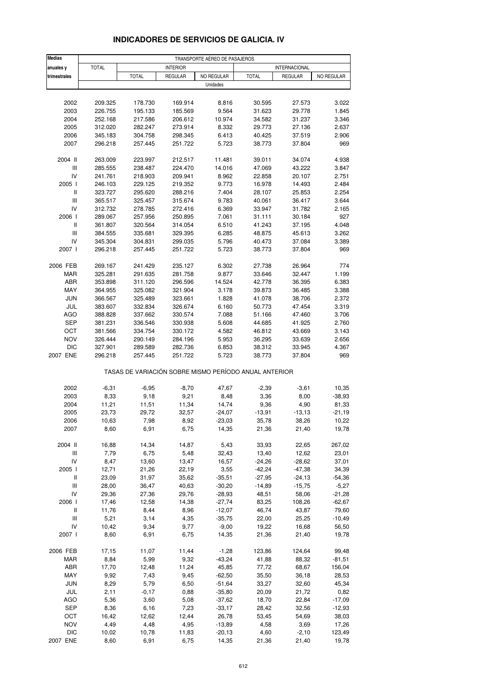| <b>Medias</b>                            | TRANSPORTE AÉREO DE PASAJEROS |                                                       |                    |                   |                      |                      |                 |
|------------------------------------------|-------------------------------|-------------------------------------------------------|--------------------|-------------------|----------------------|----------------------|-----------------|
| anuales y                                | <b>TOTAL</b>                  |                                                       | <b>INTERIOR</b>    |                   |                      | <b>INTERNACIONAL</b> |                 |
| trimestrales                             |                               | <b>TOTAL</b>                                          | <b>REGULAR</b>     | NO REGULAR        | <b>TOTAL</b>         | <b>REGULAR</b>       | NO REGULAR      |
|                                          |                               |                                                       |                    | Unidades          |                      |                      |                 |
|                                          |                               |                                                       |                    |                   |                      |                      |                 |
| 2002                                     | 209.325                       | 178.730                                               | 169.914            | 8.816             | 30.595               | 27.573               | 3.022           |
| 2003                                     | 226.755                       | 195.133                                               | 185.569            | 9.564             | 31.623               | 29.778               | 1.845           |
| 2004                                     | 252.168                       | 217.586                                               | 206.612            | 10.974            | 34.582               | 31.237               | 3.346           |
| 2005                                     | 312.020                       | 282.247                                               | 273.914            | 8.332             | 29.773               | 27.136               | 2.637           |
| 2006                                     | 345.183                       | 304.758                                               | 298.345            | 6.413             | 40.425               | 37.519               | 2.906           |
| 2007                                     | 296.218                       | 257.445                                               | 251.722            | 5.723             | 38.773               | 37.804               | 969             |
| 2004 II                                  | 263.009                       | 223.997                                               | 212.517            | 11.481            | 39.011               | 34.074               | 4.938           |
| Ш                                        | 285.555                       | 238.487                                               | 224.470            | 14.016            | 47.069               | 43.222               | 3.847           |
| IV                                       | 241.761                       | 218.903                                               | 209.941            | 8.962             | 22.858               | 20.107               | 2.751           |
| 2005 l                                   | 246.103                       | 229.125                                               | 219.352            | 9.773             | 16.978               | 14.493               | 2.484           |
| $\,$ $\,$ $\,$ $\,$                      | 323.727                       | 295.620                                               | 288.216            | 7.404             | 28.107               | 25.853               | 2.254           |
| Ш                                        | 365.517                       | 325.457                                               | 315.674            | 9.783             | 40.061               | 36.417               | 3.644           |
| IV                                       | 312.732                       | 278.785                                               | 272.416            | 6.369             | 33.947               | 31.782               | 2.165           |
| 2006                                     | 289.067                       | 257.956                                               | 250.895            | 7.061             | 31.111               | 30.184               | 927             |
| $\,$ $\,$ $\,$ $\,$                      | 361.807                       | 320.564                                               | 314.054            | 6.510             | 41.243               | 37.195               | 4.048           |
| $\ensuremath{\mathsf{III}}\xspace$       | 384.555                       | 335.681                                               | 329.395            | 6.285             | 48.875               | 45.613               | 3.262           |
| IV                                       | 345.304                       | 304.831                                               | 299.035            | 5.796             | 40.473               | 37.084               | 3.389           |
| 2007 l                                   | 296.218                       | 257.445                                               | 251.722            | 5.723             | 38.773               | 37.804               | 969             |
|                                          |                               |                                                       |                    |                   |                      |                      |                 |
| 2006 FEB                                 | 269.167                       | 241.429                                               | 235.127            | 6.302             | 27.738               | 26.964               | 774             |
| MAR                                      | 325.281                       | 291.635                                               | 281.758            | 9.877             | 33.646               | 32.447               | 1.199           |
| ABR<br>MAY                               | 353.898<br>364.955            | 311.120<br>325.082                                    | 296.596<br>321.904 | 14.524<br>3.178   | 42.778<br>39.873     | 36.395<br>36.485     | 6.383<br>3.388  |
| <b>JUN</b>                               | 366.567                       | 325.489                                               | 323.661            | 1.828             | 41.078               | 38.706               | 2.372           |
| JUL                                      | 383.607                       | 332.834                                               | 326.674            | 6.160             | 50.773               | 47.454               | 3.319           |
| <b>AGO</b>                               | 388.828                       | 337.662                                               | 330.574            | 7.088             | 51.166               | 47.460               | 3.706           |
| <b>SEP</b>                               | 381.231                       | 336.546                                               | 330.938            | 5.608             | 44.685               | 41.925               | 2.760           |
| ост                                      | 381.566                       | 334.754                                               | 330.172            | 4.582             | 46.812               | 43.669               | 3.143           |
| <b>NOV</b>                               | 326.444                       | 290.149                                               | 284.196            | 5.953             | 36.295               | 33.639               | 2.656           |
| <b>DIC</b>                               | 327.901                       | 289.589                                               | 282.736            | 6.853             | 38.312               | 33.945               | 4.367           |
| 2007 ENE                                 | 296.218                       | 257.445                                               | 251.722            | 5.723             | 38.773               | 37.804               | 969             |
|                                          |                               | TASAS DE VARIACIÓN SOBRE MISMO PERÍODO ANUAL ANTERIOR |                    |                   |                      |                      |                 |
| 2002                                     | $-6,31$                       | $-6,95$                                               | $-8,70$            | 47,67             | $-2,39$              | $-3,61$              | 10,35           |
| 2003                                     | 8,33                          | 9,18                                                  | 9,21               | 8,48              | 3,36                 | 8,00                 | $-38,93$        |
| 2004                                     | 11,21                         | 11,51                                                 | 11,34              | 14,74             | 9,36                 | 4,90                 | 81,33           |
| 2005                                     | 23,73                         | 29,72                                                 | 32,57              | $-24,07$          | $-13,91$             | $-13,13$             | $-21,19$        |
| 2006                                     | 10,63                         | 7,98                                                  | 8,92               | -23,03            | 35,78                | 38,26                | 10,22           |
| 2007                                     | 8,60                          | 6,91                                                  | 6,75               | 14,35             | 21,36                | 21,40                | 19,78           |
|                                          |                               |                                                       |                    |                   |                      |                      |                 |
| 2004 II                                  | 16,88                         | 14,34                                                 | 14,87              | 5,43              | 33,93                | 22,65                | 267,02          |
| $\ensuremath{\mathsf{III}}\xspace$<br>IV | 7,79                          | 6,75                                                  | 5,48               | 32,43             | 13,40                | 12,62                | 23,01           |
| 2005 l                                   | 8,47<br>12,71                 | 13,60<br>21,26                                        | 13,47<br>22,19     | 16,57<br>3,55     | $-24,26$<br>$-42,24$ | $-28,62$<br>$-47,38$ | 37,01<br>34,39  |
| Ш                                        | 23,09                         | 31,97                                                 | 35,62              | $-35,51$          | $-27,95$             | $-24, 13$            | $-54,36$        |
| $\ensuremath{\mathsf{III}}\xspace$       | 28,00                         | 36,47                                                 | 40,63              | $-30,20$          | $-14,89$             | $-15,75$             | $-5,27$         |
| IV                                       | 29,36                         | 27,36                                                 | 29,76              | $-28,93$          | 48,51                | 58,06                | $-21,28$        |
| 2006                                     | 17,46                         | 12,58                                                 | 14,38              | $-27,74$          | 83,25                | 108,26               | $-62,67$        |
| Ш                                        | 11,76                         | 8,44                                                  | 8,96               | $-12,07$          | 46,74                | 43,87                | 79,60           |
| $\ensuremath{\mathsf{III}}\xspace$       | 5,21                          | 3,14                                                  | 4,35               | $-35,75$          | 22,00                | 25,25                | $-10,49$        |
| IV                                       | 10,42                         | 9,34                                                  | 9,77               | $-9,00$           | 19,22                | 16,68                | 56,50           |
| 2007 l                                   | 8,60                          | 6,91                                                  | 6,75               | 14,35             | 21,36                | 21,40                | 19,78           |
|                                          |                               |                                                       |                    |                   |                      |                      |                 |
| 2006 FEB                                 | 17,15                         | 11,07                                                 | 11,44              | $-1,28$           | 123,86               | 124,64               | 99,48           |
| MAR                                      | 8,84                          | 5,99                                                  | 9,32               | $-43,24$          | 41,88                | 88,32                | $-81,51$        |
| ABR<br>MAY                               | 17,70<br>9,92                 | 12,48<br>7,43                                         | 11,24<br>9,45      | 45,85<br>$-62,50$ | 77,72<br>35,50       | 68,67<br>36,18       | 156,04<br>28,53 |
| <b>JUN</b>                               | 8,29                          | 5,79                                                  | 6,50               | $-51,64$          | 33,27                | 32,60                | 45,34           |
| JUL                                      | 2,11                          | $-0,17$                                               | 0,88               | $-35,80$          | 20,09                | 21,72                | 0,82            |
| AGO                                      | 5,36                          | 3,60                                                  | 5,08               | $-37,62$          | 18,70                | 22,84                | $-17,09$        |
| SEP                                      | 8,36                          | 6,16                                                  | 7,23               | $-33,17$          | 28,42                | 32,56                | $-12,93$        |
| OCT                                      | 16,42                         | 12,62                                                 | 12,44              | 26,78             | 53,45                | 54,69                | 38,03           |
| <b>NOV</b>                               | 4,49                          | 4,48                                                  | 4,95               | $-13,89$          | 4,58                 | 3,69                 | 17,26           |
| <b>DIC</b>                               | 10,02                         | 10,78                                                 | 11,83              | $-20,13$          | 4,60                 | $-2,10$              | 123,49          |
| 2007 ENE                                 | 8,60                          | 6,91                                                  | 6,75               | 14,35             | 21,36                | 21,40                | 19,78           |

#### **INDICADORES DE SERVICIOS DE GALICIA. IV**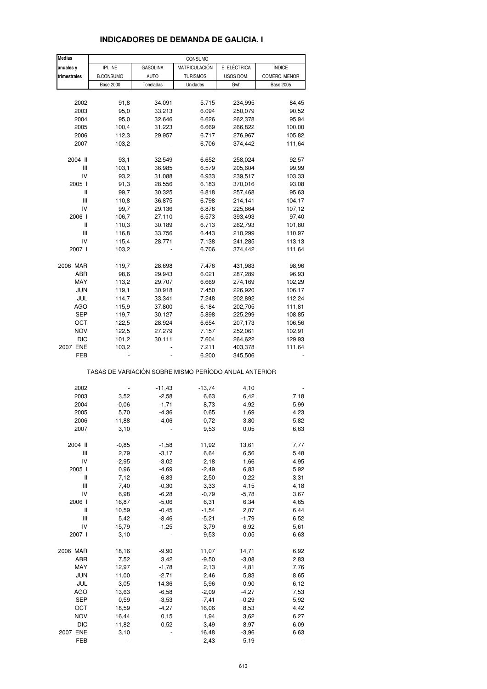| <b>Medias</b>                      |                  |                 | CONSUMO                                               |              |                  |
|------------------------------------|------------------|-----------------|-------------------------------------------------------|--------------|------------------|
| anuales y                          | IPI. INE         | <b>GASOLINA</b> | MATRICULACIÓN                                         | E. ELÉCTRICA | <b>ÍNDICE</b>    |
| trimestrales                       | <b>B.CONSUMO</b> | <b>AUTO</b>     | <b>TURISMOS</b>                                       | USOS DOM.    | COMERC. MENOR    |
|                                    | <b>Base 2000</b> | Toneladas       | Unidades                                              | Gwh          | <b>Base 2005</b> |
|                                    |                  |                 |                                                       |              |                  |
| 2002                               | 91,8             | 34.091          | 5.715                                                 | 234,995      | 84,45            |
| 2003                               | 95,0             | 33.213          | 6.094                                                 | 250,079      | 90,52            |
| 2004                               | 95,0             |                 |                                                       |              |                  |
|                                    |                  | 32.646          | 6.626                                                 | 262,378      | 95,94            |
| 2005                               | 100,4            | 31.223          | 6.669                                                 | 266,822      | 100,00           |
| 2006                               | 112,3            | 29.957          | 6.717                                                 | 276,967      | 105,82           |
| 2007                               | 103,2            |                 | 6.706                                                 | 374,442      | 111,64           |
| 2004 II                            | 93,1             | 32.549          | 6.652                                                 | 258,024      | 92,57            |
| Ш                                  | 103,1            | 36.985          | 6.579                                                 | 205,604      | 99,99            |
|                                    |                  |                 |                                                       |              |                  |
| IV                                 | 93,2             | 31.088          | 6.933                                                 | 239,517      | 103,33           |
| 2005 l                             | 91,3             | 28.556          | 6.183                                                 | 370,016      | 93,08            |
| Ш                                  | 99,7             | 30.325          | 6.818                                                 | 257,468      | 95,63            |
| $\ensuremath{\mathsf{III}}\xspace$ | 110,8            | 36.875          | 6.798                                                 | 214,141      | 104,17           |
| IV                                 | 99,7             | 29.136          | 6.878                                                 | 225,664      | 107,12           |
| 2006                               | 106,7            | 27.110          | 6.573                                                 | 393,493      | 97,40            |
| Ш                                  | 110,3            | 30.189          | 6.713                                                 | 262,793      | 101,80           |
| Ш                                  | 116,8            | 33.756          | 6.443                                                 | 210,299      | 110,97           |
| IV                                 | 115,4            | 28.771          | 7.138                                                 | 241,285      | 113,13           |
| 2007 l                             | 103,2            |                 | 6.706                                                 | 374,442      | 111,64           |
|                                    |                  |                 |                                                       |              |                  |
| 2006 MAR                           | 119,7            | 28.698          | 7.476                                                 | 431,983      | 98,96            |
| ABR                                | 98,6             | 29.943          | 6.021                                                 | 287,289      | 96,93            |
| MAY                                | 113,2            | 29.707          | 6.669                                                 | 274,169      | 102,29           |
| <b>JUN</b>                         | 119,1            | 30.918          | 7.450                                                 | 226,920      | 106,17           |
| JUL                                | 114,7            | 33.341          | 7.248                                                 | 202,892      | 112,24           |
| AGO                                | 115,9            | 37.800          | 6.184                                                 | 202,705      | 111,81           |
| <b>SEP</b>                         | 119,7            |                 |                                                       |              |                  |
|                                    |                  | 30.127          | 5.898                                                 | 225,299      | 108,85           |
| OCT                                | 122,5            | 28.924          | 6.654                                                 | 207,173      | 106,56           |
| <b>NOV</b>                         | 122,5            | 27.279          | 7.157                                                 | 252,061      | 102,91           |
| <b>DIC</b>                         | 101,2            | 30.111          | 7.604                                                 | 264,622      | 129,93           |
| 2007 ENE                           | 103,2            |                 | 7.211                                                 | 403,378      | 111,64           |
| FEB                                |                  |                 | 6.200                                                 | 345,506      |                  |
|                                    |                  |                 | TASAS DE VARIACIÓN SOBRE MISMO PERÍODO ANUAL ANTERIOR |              |                  |
|                                    |                  |                 |                                                       |              |                  |
| 2002                               |                  | $-11,43$        | $-13,74$                                              | 4,10         |                  |
| 2003                               | 3,52             | $-2,58$         | 6,63                                                  | 6,42         | 7,18             |
| 2004                               | $-0,06$          | $-1,71$         | 8,73                                                  | 4,92         | 5,99             |
| 2005                               | 5,70             | $-4,36$         | 0,65                                                  | 1,69         | 4,23             |
| 2006                               | 11,88            | $-4,06$         | 0,72                                                  | 3,80         | 5,82             |
| 2007                               | 3,10             |                 | 9,53                                                  | 0,05         | 6,63             |
| 2004 II                            |                  |                 |                                                       |              |                  |
|                                    | $-0,85$          | $-1,58$         | 11,92                                                 | 13,61        | 7,77             |
| Ш                                  | 2,79             | $-3,17$         | 6,64                                                  | 6,56         | 5,48             |
| IV                                 | $-2,95$          | $-3,02$         | 2,18                                                  | 1,66         | 4,95             |
| 2005 l                             | 0,96             | $-4,69$         | $-2,49$                                               | 6,83         | 5,92             |
| Ш                                  | 7,12             | $-6,83$         | 2,50                                                  | $-0,22$      | 3,31             |
| Ш                                  | 7,40             | $-0,30$         | 3,33                                                  | 4,15         | 4,18             |
| IV                                 | 6,98             | $-6,28$         | $-0,79$                                               | $-5,78$      | 3,67             |
| 2006 l                             | 16,87            | $-5,06$         | 6,31                                                  | 6,34         | 4,65             |
| Ш                                  | 10,59            | $-0,45$         | $-1,54$                                               | 2,07         | 6,44             |
| Ш                                  | 5,42             | $-8,46$         | $-5,21$                                               | $-1,79$      | 6,52             |
| IV                                 | 15,79            | $-1,25$         | 3,79                                                  | 6,92         | 5,61             |
| 2007 l                             | 3,10             |                 | 9,53                                                  | 0,05         | 6,63             |
|                                    |                  |                 |                                                       |              |                  |
| 2006 MAR                           | 18,16            | $-9,90$         | 11,07                                                 | 14,71        | 6,92             |
| ABR                                | 7,52             | 3,42            | $-9,50$                                               | $-3,08$      | 2,83             |
| MAY                                | 12,97            | $-1,78$         | 2,13                                                  | 4,81         | 7,76             |
| JUN                                | 11,00            | $-2,71$         | 2,46                                                  | 5,83         | 8,65             |
|                                    |                  |                 |                                                       |              |                  |
| JUL                                | 3,05             | $-14,36$        | $-5,96$                                               | $-0,90$      | 6,12             |
| <b>AGO</b>                         | 13,63            | $-6,58$         | $-2,09$                                               | $-4,27$      | 7,53             |
| <b>SEP</b>                         | 0,59             | $-3,53$         | $-7,41$                                               | $-0,29$      | 5,92             |
| OCT                                | 18,59            | $-4,27$         | 16,06                                                 | 8,53         | 4,42             |
| <b>NOV</b>                         | 16,44            | 0,15            | 1,94                                                  | 3,62         | 6,27             |
| <b>DIC</b>                         | 11,82            | 0,52            | $-3,49$                                               | 8,97         | 6,09             |
| 2007 ENE                           | 3,10             |                 | 16,48                                                 | $-3,96$      | 6,63             |
| FEB                                |                  |                 | 2,43                                                  | 5,19         |                  |

#### **INDICADORES DE DEMANDA DE GALICIA. I**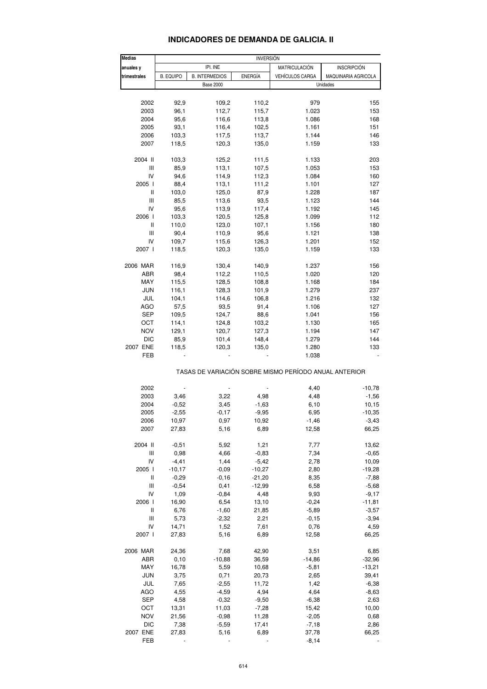#### **INDICADORES DE DEMANDA DE GALICIA. II**

| <b>Medias</b>                         |                  |                       | <b>INVERSION</b> |                                                       |                     |
|---------------------------------------|------------------|-----------------------|------------------|-------------------------------------------------------|---------------------|
| anuales y                             |                  | IPI. INE              |                  | MATRICULACIÓN                                         | <b>INSCRIPCIÓN</b>  |
| trimestrales                          | <b>B. EQUIPO</b> | <b>B. INTERMEDIOS</b> | <b>ENERGÍA</b>   | <b>VEHÍCULOS CARGA</b>                                | MAQUINARIA AGRICOLA |
|                                       |                  | <b>Base 2000</b>      |                  |                                                       | Unidades            |
|                                       |                  |                       |                  |                                                       |                     |
| 2002                                  | 92,9             | 109,2                 | 110,2            | 979                                                   | 155                 |
| 2003                                  | 96,1             | 112,7                 | 115,7            | 1.023                                                 | 153                 |
| 2004                                  | 95,6             | 116,6                 | 113,8            | 1.086                                                 | 168                 |
| 2005                                  | 93,1             | 116,4                 | 102,5            | 1.161                                                 | 151                 |
| 2006                                  | 103,3            | 117,5                 | 113,7            | 1.144                                                 | 146                 |
| 2007                                  | 118,5            | 120,3                 | 135,0            | 1.159                                                 | 133                 |
| 2004 II                               | 103,3            | 125,2                 | 111,5            | 1.133                                                 | 203                 |
| Ш                                     | 85,9             | 113,1                 | 107,5            | 1.053                                                 | 153                 |
| IV                                    | 94,6             | 114,9                 | 112,3            | 1.084                                                 | 160                 |
| 2005 l                                | 88,4             | 113,1                 | 111,2            | 1.101                                                 | 127                 |
| Ш                                     | 103,0            | 125,0                 | 87,9             | 1.228                                                 | 187                 |
| Ш                                     | 85,5             | 113,6                 | 93,5             | 1.123                                                 | 144                 |
| IV                                    | 95,6             | 113,9                 | 117,4            | 1.192                                                 | 145                 |
| 2006 l                                | 103,3            | 120,5                 | 125,8            | 1.099                                                 | 112                 |
| Ш                                     | 110,0            |                       | 107,1            |                                                       | 180                 |
|                                       |                  | 123,0                 |                  | 1.156                                                 |                     |
| Ш                                     | 90,4             | 110,9                 | 95,6             | 1.121                                                 | 138                 |
| IV                                    | 109,7            | 115,6                 | 126,3            | 1.201                                                 | 152                 |
| 2007 l                                | 118,5            | 120,3                 | 135,0            | 1.159                                                 | 133                 |
| 2006 MAR                              | 116,9            | 130,4                 | 140,9            | 1.237                                                 | 156                 |
| ABR                                   | 98,4             | 112,2                 | 110,5            | 1.020                                                 | 120                 |
| MAY                                   | 115,5            | 128,5                 | 108,8            | 1.168                                                 | 184                 |
| <b>JUN</b>                            | 116,1            | 128,3                 | 101,9            | 1.279                                                 | 237                 |
| JUL                                   | 104,1            | 114,6                 | 106,8            | 1.216                                                 | 132                 |
| AGO                                   | 57,5             | 93,5                  | 91,4             | 1.106                                                 | 127                 |
| SEP                                   | 109,5            | 124,7                 | 88,6             | 1.041                                                 | 156                 |
| OCT                                   | 114,1            | 124,8                 | 103,2            | 1.130                                                 | 165                 |
|                                       |                  |                       |                  |                                                       |                     |
| <b>NOV</b>                            | 129,1            | 120,7                 | 127,3            | 1.194                                                 | 147                 |
| <b>DIC</b>                            | 85,9             | 101,4                 | 148,4            | 1.279                                                 | 144                 |
| 2007 ENE                              | 118,5            | 120,3                 | 135,0            | 1.280                                                 | 133                 |
| FEB                                   |                  |                       |                  | 1.038                                                 |                     |
|                                       |                  |                       |                  | TASAS DE VARIACIÓN SOBRE MISMO PERÍODO ANUAL ANTERIOR |                     |
| 2002                                  |                  |                       |                  | 4,40                                                  | $-10,78$            |
| 2003                                  | 3,46             | 3,22                  | 4,98             | 4,48                                                  | $-1,56$             |
| 2004                                  | $-0,52$          | 3,45                  | $-1,63$          | 6,10                                                  | 10,15               |
| 2005                                  | $-2,55$          | $-0,17$               | $-9,95$          | 6,95                                                  | $-10,35$            |
| 2006                                  | 10,97            | 0,97                  | 10,92            | $-1,46$                                               | $-3,43$             |
| 2007                                  | 27,83            | 5,16                  | 6,89             | 12,58                                                 | 66,25               |
|                                       |                  |                       |                  |                                                       |                     |
| 2004 II                               | $-0,51$          | 5,92                  | 1,21             | 7,77                                                  | 13,62               |
| Ш                                     | 0,98             | 4,66                  | $-0,83$          | 7,34                                                  | $-0,65$             |
| IV                                    | $-4, 41$         | 1,44                  | $-5,42$          | 2,78                                                  | 10,09               |
| 2005 l                                | $-10,17$         | $-0,09$               | $-10,27$         | 2,80                                                  | $-19,28$            |
| Ш                                     | $-0,29$          | $-0,16$               | $-21,20$         | 8,35                                                  | $-7,88$             |
| $\begin{array}{c} \hline \end{array}$ | $-0,54$          | 0,41                  | $-12,99$         | 6,58                                                  | $-5,68$             |
| IV                                    | 1,09             | $-0,84$               | 4,48             | 9,93                                                  | $-9,17$             |
| 2006 l                                | 16,90            | 6,54                  | 13,10            | $-0,24$                                               | $-11,81$            |
| $\sf II$                              | 6,76             | $-1,60$               | 21,85            | $-5,89$                                               | $-3,57$             |
| Ш                                     | 5,73             | $-2,32$               | 2,21             | $-0,15$                                               | $-3,94$             |
|                                       |                  |                       |                  |                                                       |                     |
| IV                                    | 14,71            | 1,52                  | 7,61             | 0,76                                                  | 4,59                |
| 2007 l                                | 27,83            | 5,16                  | 6,89             | 12,58                                                 | 66,25               |
| 2006 MAR                              | 24,36            | 7,68                  | 42,90            | 3,51                                                  | 6,85                |
| ABR                                   | 0,10             | $-10,88$              | 36,59            | $-14,86$                                              | $-32,96$            |
| MAY                                   | 16,78            | 5,59                  | 10,68            | $-5,81$                                               | $-13,21$            |
| <b>JUN</b>                            | 3,75             | 0,71                  | 20,73            | 2,65                                                  | 39,41               |
| JUL                                   | 7,65             | $-2,55$               | 11,72            | 1,42                                                  | $-6,38$             |
| AGO                                   | 4,55             | $-4,59$               | 4,94             | 4,64                                                  | $-8,63$             |
|                                       |                  |                       |                  |                                                       |                     |
| SEP                                   | 4,58             | $-0,32$               | $-9,50$          | $-6,38$                                               | 2,63                |
| OCT                                   | 13,31            | 11,03                 | $-7,28$          | 15,42                                                 | 10,00               |
| <b>NOV</b>                            | 21,56            | $-0,98$               | 11,28            | $-2,05$                                               | 0,68                |
| <b>DIC</b>                            | 7,38             | $-5,59$               | 17,41            | $-7,18$                                               | 2,86                |
| 2007 ENE                              | 27,83            | 5,16                  | 6,89             | 37,78                                                 | 66,25               |
| FEB                                   |                  |                       |                  | $-8,14$                                               |                     |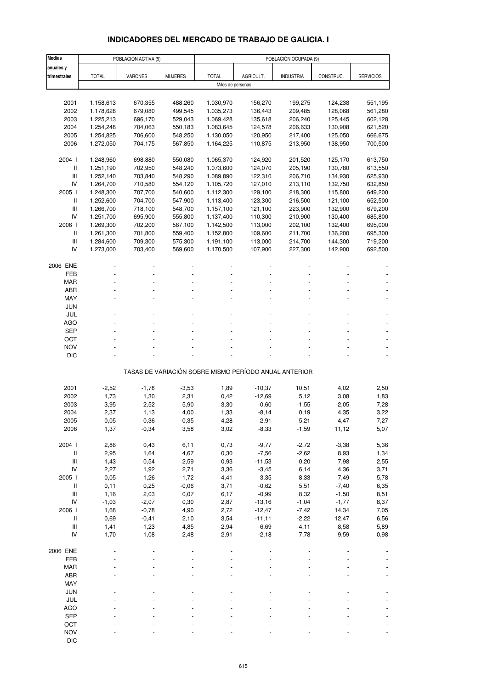# **INDICADORES DEL MERCADO DE TRABAJO DE GALICIA. I**

| <b>Medias</b>                      |              | POBLACIÓN ACTIVA (9) |                |              |                                                       | POBLACIÓN OCUPADA (9) |           |                  |
|------------------------------------|--------------|----------------------|----------------|--------------|-------------------------------------------------------|-----------------------|-----------|------------------|
| anuales y                          |              |                      |                |              |                                                       |                       |           |                  |
| trimestrales                       | <b>TOTAL</b> | VARONES              | <b>MUJERES</b> | <b>TOTAL</b> | AGRICULT.                                             | <b>INDUSTRIA</b>      | CONSTRUC. | <b>SERVICIOS</b> |
|                                    |              |                      |                |              | Miles de personas                                     |                       |           |                  |
|                                    |              |                      |                |              |                                                       |                       |           |                  |
| 2001                               | 1.158,613    | 670,355              | 488,260        | 1.030,970    | 156,270                                               | 199,275               | 124,238   | 551,195          |
| 2002                               | 1.178,628    | 679,080              | 499,545        | 1.035,273    | 136,443                                               | 209,485               | 128,068   | 561,280          |
| 2003                               | 1.225,213    | 696,170              | 529,043        | 1.069,428    | 135,618                                               | 206,240               | 125,445   | 602,128          |
|                                    |              |                      |                |              |                                                       |                       |           |                  |
| 2004                               | 1.254,248    | 704,063              | 550,183        | 1.083,645    | 124,578                                               | 206,633               | 130,908   | 621,520          |
| 2005                               | 1.254,825    | 706,600              | 548,250        | 1.130,050    | 120,950                                               | 217,400               | 125,050   | 666,675          |
| 2006                               | 1.272,050    | 704,175              | 567,850        | 1.164,225    | 110,875                                               | 213,950               | 138,950   | 700,500          |
|                                    |              |                      |                |              |                                                       |                       |           |                  |
| 2004 l                             | 1.248,960    | 698,880              | 550,080        | 1.065,370    | 124,920                                               | 201,520               | 125,170   | 613,750          |
| $\, \parallel$                     | 1.251,190    | 702,950              | 548,240        | 1.073,600    | 124,070                                               | 205,190               | 130,780   | 613,550          |
| III                                | 1.252,140    | 703,840              | 548,290        | 1.089,890    | 122,310                                               | 206,710               | 134,930   | 625,930          |
| IV                                 | 1.264,700    | 710,580              | 554,120        | 1.105,720    | 127,010                                               | 213,110               | 132,750   | 632,850          |
| 2005 l                             | 1.248,300    | 707,700              | 540,600        | 1.112,300    | 129,100                                               | 218,300               | 115,800   | 649,200          |
| $\, \parallel$                     | 1.252,600    | 704,700              | 547,900        | 1.113,400    | 123,300                                               | 216,500               | 121,100   | 652,500          |
| Ш                                  | 1.266,700    | 718,100              | 548,700        | 1.157,100    | 121,100                                               | 223,900               | 132,900   | 679,200          |
| IV                                 | 1.251,700    | 695,900              | 555,800        | 1.137,400    | 110,300                                               | 210,900               | 130,400   | 685,800          |
| 2006                               | 1.269,300    | 702,200              | 567,100        | 1.142,500    | 113,000                                               | 202,100               | 132,400   | 695,000          |
| $\mathsf{I}$                       | 1.261,300    | 701,800              | 559,400        | 1.152,800    | 109,600                                               | 211,700               | 136,200   | 695,300          |
| $\ensuremath{\mathsf{III}}\xspace$ | 1.284,600    | 709,300              | 575,300        | 1.191,100    | 113,000                                               | 214,700               | 144,300   | 719,200          |
| IV                                 | 1.273,000    | 703,400              | 569,600        | 1.170,500    | 107,900                                               | 227,300               | 142,900   | 692,500          |
|                                    |              |                      |                |              |                                                       |                       |           |                  |
| 2006 ENE                           |              |                      |                |              |                                                       |                       |           |                  |
| FEB                                |              |                      |                |              |                                                       |                       |           |                  |
| <b>MAR</b>                         |              |                      |                |              |                                                       |                       |           |                  |
| <b>ABR</b>                         |              |                      |                |              |                                                       |                       |           |                  |
|                                    |              |                      |                |              |                                                       |                       |           |                  |
| MAY                                |              |                      |                |              |                                                       |                       |           |                  |
| <b>JUN</b>                         |              |                      |                |              |                                                       |                       |           |                  |
| JUL                                |              |                      |                |              |                                                       |                       |           |                  |
| <b>AGO</b>                         |              |                      |                |              |                                                       |                       |           |                  |
| SEP                                |              |                      |                |              |                                                       |                       |           |                  |
| OCT                                |              |                      |                |              |                                                       |                       |           |                  |
| <b>NOV</b>                         |              |                      |                |              |                                                       |                       |           |                  |
| <b>DIC</b>                         |              |                      |                |              |                                                       |                       |           |                  |
|                                    |              |                      |                |              |                                                       |                       |           |                  |
|                                    |              |                      |                |              | TASAS DE VARIACIÓN SOBRE MISMO PERÍODO ANUAL ANTERIOR |                       |           |                  |
|                                    |              |                      |                |              |                                                       |                       |           |                  |
| 2001                               | $-2,52$      | $-1,78$              | $-3,53$        | 1,89         | $-10,37$                                              | 10,51                 | 4,02      | 2,50             |
| 2002                               | 1,73         | 1,30                 | 2,31           | 0,42         | $-12,69$                                              | 5,12                  | 3,08      | 1,83             |
| 2003                               | 3,95         | 2,52                 | 5,90           | 3,30         | $-0,60$                                               | $-1,55$               | $-2,05$   | 7,28             |
| 2004                               | 2,37         | 1,13                 | 4,00           | 1,33         | $-8,14$                                               | 0, 19                 | 4,35      | 3,22             |
| 2005                               | 0,05         | 0,36                 | $-0,35$        | 4,28         | $-2,91$                                               | 5,21                  | -4,47     | 7,27             |
| 2006                               | 1,37         | $-0,34$              | 3,58           | 3,02         | $-8,33$                                               | $-1,59$               | 11,12     | 5,07             |
|                                    |              |                      |                |              |                                                       |                       |           |                  |
| 2004 l                             | 2,86         | 0,43                 | 6,11           | 0,73         | $-9,77$                                               | $-2,72$               | $-3,38$   | 5,36             |
| $\, \parallel$                     | 2,95         | 1,64                 | 4,67           | 0,30         | $-7,56$                                               | $-2,62$               | 8,93      | 1,34             |
| $\mathsf{III}$                     | 1,43         | 0,54                 | 2,59           | 0,93         | $-11,53$                                              | 0,20                  | 7,98      | 2,55             |
| ${\sf IV}$                         | 2,27         | 1,92                 | 2,71           | 3,36         | $-3,45$                                               | 6,14                  | 4,36      | 3,71             |
| 2005 l                             | $-0,05$      | 1,26                 | $-1,72$        | 4,41         | 3,35                                                  | 8,33                  | $-7,49$   | 5,78             |
| $\, \parallel$                     |              |                      |                |              |                                                       |                       |           |                  |
| $\ensuremath{\mathsf{III}}\xspace$ | 0,11         | 0,25                 | $-0,06$        | 3,71         | $-0,62$                                               | 5,51                  | $-7,40$   | 6,35             |
|                                    | 1,16         | 2,03                 | 0,07           | 6,17         | $-0,99$                                               | 8,32                  | $-1,50$   | 8,51             |
| ${\sf IV}$                         | $-1,03$      | $-2,07$              | 0,30           | 2,87         | $-13,16$                                              | $-1,04$               | $-1,77$   | 8,37             |
| 2006                               | 1,68         | $-0,78$              | 4,90           | 2,72         | $-12,47$                                              | $-7,42$               | 14,34     | 7,05             |
| $\, \parallel$                     | 0,69         | $-0,41$              | 2,10           | 3,54         | $-11,11$                                              | $-2,22$               | 12,47     | 6,56             |
| $\ensuremath{\mathsf{III}}\xspace$ | 1,41         | $-1,23$              | 4,85           | 2,94         | $-6,69$                                               | $-4,11$               | 8,58      | 5,89             |
| IV                                 | 1,70         | 1,08                 | 2,48           | 2,91         | $-2,18$                                               | 7,78                  | 9,59      | 0,98             |
|                                    |              |                      |                |              |                                                       |                       |           |                  |
| 2006 ENE                           |              |                      |                |              |                                                       |                       |           |                  |
| FEB                                |              |                      |                |              |                                                       |                       |           |                  |
| MAR                                |              |                      |                |              |                                                       |                       |           |                  |
| ABR                                |              |                      |                |              |                                                       |                       |           |                  |
| MAY                                |              |                      |                |              |                                                       |                       |           |                  |
| <b>JUN</b>                         |              |                      |                |              |                                                       |                       |           |                  |
| JUL                                |              |                      |                |              |                                                       |                       |           |                  |
| AGO                                |              |                      |                |              |                                                       |                       |           |                  |
| <b>SEP</b>                         |              |                      |                |              |                                                       |                       |           |                  |
| OCT                                |              |                      |                |              |                                                       |                       |           |                  |
| <b>NOV</b>                         |              |                      |                |              |                                                       |                       |           |                  |
|                                    |              |                      |                |              |                                                       |                       |           |                  |
| <b>DIC</b>                         |              |                      |                |              |                                                       |                       |           |                  |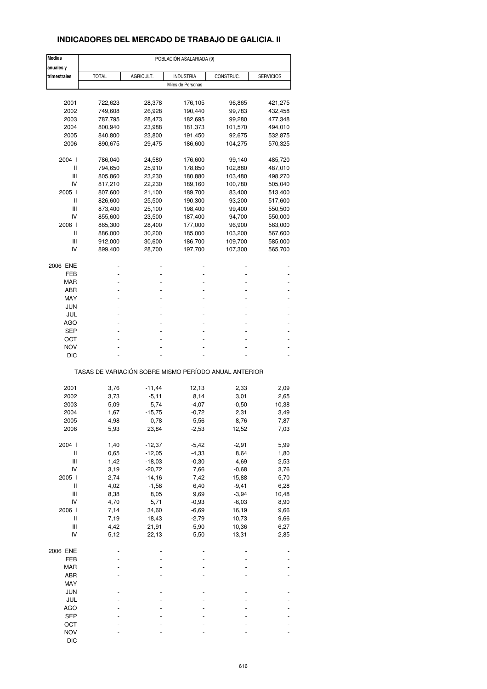## **INDICADORES DEL MERCADO DE TRABAJO DE GALICIA. II**

| <b>Medias</b>                      |                                                       |           | POBLACIÓN ASALARIADA (9) |           |                  |
|------------------------------------|-------------------------------------------------------|-----------|--------------------------|-----------|------------------|
| anuales y                          |                                                       |           |                          |           |                  |
| trimestrales                       | <b>TOTAL</b>                                          | AGRICULT. | <b>INDUSTRIA</b>         | CONSTRUC. | <b>SERVICIOS</b> |
|                                    |                                                       |           | Miles de Personas        |           |                  |
|                                    |                                                       |           |                          |           |                  |
| 2001                               | 722,623                                               | 28,378    | 176,105                  | 96,865    | 421,275          |
| 2002                               | 749,608                                               | 26,928    | 190,440                  | 99,783    | 432,458          |
| 2003                               | 787,795                                               | 28,473    | 182,695                  | 99,280    | 477,348          |
| 2004                               | 800,940                                               | 23,988    | 181,373                  | 101,570   | 494,010          |
| 2005                               | 840,800                                               | 23,800    | 191,450                  | 92,675    | 532,875          |
| 2006                               | 890,675                                               | 29,475    | 186,600                  | 104,275   | 570,325          |
|                                    |                                                       |           |                          |           |                  |
| 2004 l                             | 786,040                                               | 24,580    | 176,600                  | 99,140    | 485,720          |
| Ш                                  | 794,650                                               | 25,910    | 178,850                  | 102,880   | 487,010          |
| Ш                                  | 805,860                                               | 23,230    | 180,880                  | 103,480   | 498,270          |
| IV                                 | 817,210                                               | 22,230    | 189,160                  | 100,780   | 505,040          |
| 2005 l                             | 807,600                                               | 21,100    | 189,700                  | 83,400    | 513,400          |
| Ш                                  | 826,600                                               | 25,500    | 190,300                  | 93,200    | 517,600          |
|                                    |                                                       |           |                          |           |                  |
| Ш                                  | 873,400                                               | 25,100    | 198,400                  | 99,400    | 550,500          |
| IV                                 | 855,600                                               | 23,500    | 187,400                  | 94,700    | 550,000          |
| 2006                               | 865,300                                               | 28,400    | 177,000                  | 96,900    | 563,000          |
| Ш                                  | 886,000                                               | 30,200    | 185,000                  | 103,200   | 567,600          |
| Ш                                  | 912,000                                               | 30,600    | 186,700                  | 109,700   | 585,000          |
| IV                                 | 899,400                                               | 28,700    | 197,700                  | 107,300   | 565,700          |
|                                    |                                                       |           |                          |           |                  |
| 2006 ENE                           |                                                       |           |                          |           |                  |
| FEB                                |                                                       |           |                          |           |                  |
| MAR                                |                                                       |           |                          |           |                  |
| ABR                                |                                                       |           |                          |           |                  |
| MAY                                |                                                       |           |                          |           |                  |
| JUN                                |                                                       |           |                          |           |                  |
|                                    |                                                       |           |                          |           |                  |
| JUL                                |                                                       |           |                          |           |                  |
| <b>AGO</b>                         |                                                       |           |                          |           |                  |
| SEP                                |                                                       |           |                          |           |                  |
| ост                                |                                                       |           |                          |           |                  |
| <b>NOV</b>                         |                                                       |           |                          |           |                  |
| DIC                                |                                                       |           |                          |           |                  |
|                                    | TASAS DE VARIACIÓN SOBRE MISMO PERÍODO ANUAL ANTERIOR |           |                          |           |                  |
|                                    |                                                       |           |                          |           |                  |
| 2001                               | 3,76                                                  | $-11,44$  | 12,13                    | 2,33      | 2,09             |
| 2002                               | 3,73                                                  | $-5,11$   | 8,14                     | 3,01      | 2,65             |
| 2003                               | 5,09                                                  | 5,74      | $-4,07$                  | $-0,50$   | 10,38            |
| 2004                               | 1,67                                                  | $-15,75$  | $-0,72$                  | 2,31      | 3,49             |
|                                    |                                                       |           |                          |           |                  |
| 2005<br>2006                       | 4,98                                                  | $-0,78$   | 5,56<br>$-2,53$          | $-8,76$   | 7,87             |
|                                    | 5,93                                                  | 23,84     |                          | 12,52     | 7,03             |
| 2004 l                             | 1,40                                                  | $-12,37$  | $-5,42$                  | $-2,91$   | 5,99             |
| $\sf II$                           | 0,65                                                  | $-12,05$  | $-4,33$                  | 8,64      | 1,80             |
| $\ensuremath{\mathsf{III}}\xspace$ | 1,42                                                  | $-18,03$  | $-0,30$                  | 4,69      | 2,53             |
| IV                                 | 3,19                                                  | $-20,72$  | 7,66                     | $-0,68$   | 3,76             |
| 2005 l                             | 2,74                                                  | $-14,16$  |                          |           |                  |
|                                    |                                                       |           | 7,42                     | $-15,88$  | 5,70             |
| $\sf II$                           | 4,02                                                  | $-1,58$   | 6,40                     | $-9,41$   | 6,28             |
| $\ensuremath{\mathsf{III}}\xspace$ | 8,38                                                  | 8,05      | 9,69                     | $-3,94$   | 10,48            |
| IV                                 | 4,70                                                  | 5,71      | $-0,93$                  | $-6,03$   | 8,90             |
| 2006                               | 7,14                                                  | 34,60     | $-6,69$                  | 16,19     | 9,66             |
| $\sf II$                           | 7,19                                                  | 18,43     | $-2,79$                  | 10,73     | 9,66             |
|                                    |                                                       |           |                          |           |                  |
| Ш                                  | 4,42                                                  | 21,91     | $-5,90$                  | 10,36     | 6,27             |
| IV                                 | 5,12                                                  | 22,13     | 5,50                     | 13,31     | 2,85             |
| 2006 ENE                           |                                                       |           |                          |           |                  |
| FEB                                |                                                       |           |                          |           |                  |
| MAR                                |                                                       |           |                          |           |                  |
| ABR                                |                                                       |           |                          |           |                  |
|                                    |                                                       |           |                          |           |                  |
| MAY                                |                                                       |           |                          |           |                  |
| JUN                                |                                                       |           |                          |           |                  |
| JUL                                |                                                       |           |                          |           |                  |
| <b>AGO</b>                         |                                                       |           |                          |           |                  |
| <b>SEP</b>                         |                                                       |           |                          |           |                  |
| OCT                                |                                                       |           |                          |           |                  |
|                                    |                                                       |           |                          |           |                  |
| <b>NOV</b>                         |                                                       |           |                          |           |                  |
| DIC                                |                                                       |           |                          |           |                  |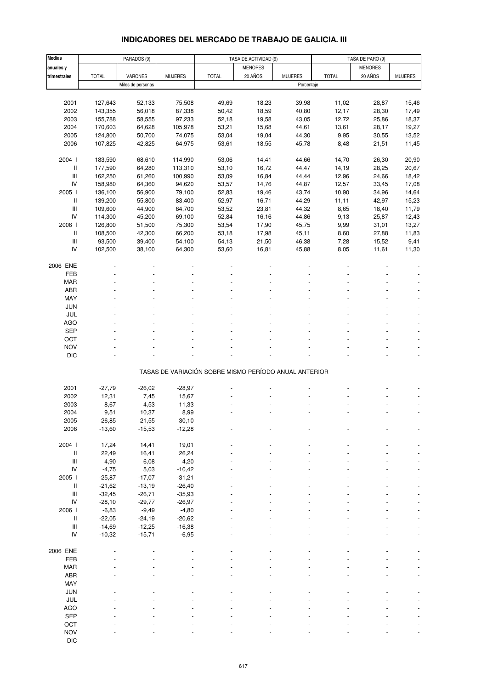# **INDICADORES DEL MERCADO DE TRABAJO DE GALICIA. III**

| <b>Medias</b>                      |              | PARADOS (9)       |                |                                                       | TASA DE ACTIVIDAD (9) |                |              | TASA DE PARO (9) |                |
|------------------------------------|--------------|-------------------|----------------|-------------------------------------------------------|-----------------------|----------------|--------------|------------------|----------------|
| anuales y                          |              |                   |                |                                                       | <b>MENORES</b>        |                |              | <b>MENORES</b>   |                |
| trimestrales                       | <b>TOTAL</b> | VARONES           | <b>MUJERES</b> | <b>TOTAL</b>                                          | 20 AÑOS               | <b>MUJERES</b> | <b>TOTAL</b> | 20 AÑOS          | <b>MUJERES</b> |
|                                    |              | Miles de personas |                |                                                       |                       | Porcentaje     |              |                  |                |
|                                    |              |                   |                |                                                       |                       |                |              |                  |                |
| 2001                               | 127,643      | 52,133            | 75,508         | 49,69                                                 | 18,23                 | 39,98          | 11,02        | 28,87            | 15,46          |
|                                    |              |                   |                |                                                       |                       |                |              |                  |                |
| 2002                               | 143,355      | 56,018            | 87,338         | 50,42                                                 | 18,59                 | 40,80          | 12,17        | 28,30            | 17,49          |
| 2003                               | 155,788      | 58,555            | 97,233         | 52,18                                                 | 19,58                 | 43,05          | 12,72        | 25,86            | 18,37          |
| 2004                               | 170,603      | 64,628            | 105,978        | 53,21                                                 | 15,68                 | 44,61          | 13,61        | 28,17            | 19,27          |
| 2005                               | 124,800      | 50,700            | 74,075         | 53,04                                                 | 19,04                 | 44,30          | 9,95         | 30,55            | 13,52          |
| 2006                               | 107,825      | 42,825            | 64,975         | 53,61                                                 | 18,55                 | 45,78          | 8,48         | 21,51            | 11,45          |
|                                    |              |                   |                |                                                       |                       |                |              |                  |                |
| 2004 l                             | 183,590      | 68,610            | 114,990        | 53,06                                                 | 14,41                 | 44,66          | 14,70        | 26,30            | 20,90          |
| II                                 | 177,590      | 64,280            | 113,310        | 53,10                                                 | 16,72                 | 44,47          | 14,19        | 28,25            | 20,67          |
| $\ensuremath{\mathsf{III}}\xspace$ | 162,250      | 61,260            | 100,990        | 53,09                                                 | 16,84                 | 44,44          | 12,96        | 24,66            | 18,42          |
| IV                                 | 158,980      | 64,360            | 94,620         | 53,57                                                 | 14,76                 | 44,87          | 12,57        | 33,45            | 17,08          |
| 2005 l                             | 136,100      | 56,900            | 79,100         | 52,83                                                 | 19,46                 | 43,74          | 10,90        | 34,96            | 14,64          |
| Ш                                  | 139,200      | 55,800            | 83,400         | 52,97                                                 | 16,71                 | 44,29          | 11,11        | 42,97            | 15,23          |
| $\ensuremath{\mathsf{III}}\xspace$ | 109,600      | 44,900            | 64,700         | 53,52                                                 | 23,81                 | 44,32          | 8,65         | 18,40            | 11,79          |
| IV                                 | 114,300      | 45,200            | 69,100         | 52,84                                                 | 16,16                 | 44,86          | 9,13         | 25,87            | 12,43          |
| 2006                               | 126,800      | 51,500            | 75,300         | 53,54                                                 | 17,90                 | 45,75          | 9,99         | 31,01            | 13,27          |
| II                                 | 108,500      | 42,300            | 66,200         | 53,18                                                 | 17,98                 | 45,11          | 8,60         | 27,88            | 11,83          |
| $\ensuremath{\mathsf{III}}\xspace$ | 93,500       | 39,400            | 54,100         | 54,13                                                 | 21,50                 | 46,38          | 7,28         | 15,52            | 9,41           |
| IV                                 | 102,500      | 38,100            | 64,300         | 53,60                                                 | 16,81                 | 45,88          | 8,05         | 11,61            | 11,30          |
|                                    |              |                   |                |                                                       |                       |                |              |                  |                |
| 2006 ENE                           |              |                   |                |                                                       |                       |                |              |                  |                |
| FEB                                |              |                   |                |                                                       |                       |                |              |                  |                |
| <b>MAR</b>                         |              |                   |                |                                                       |                       |                |              |                  |                |
| <b>ABR</b>                         |              |                   |                |                                                       |                       |                |              |                  |                |
|                                    |              |                   |                |                                                       |                       |                |              |                  |                |
| MAY                                |              |                   |                |                                                       |                       |                |              |                  |                |
| <b>JUN</b>                         |              |                   |                |                                                       |                       |                |              |                  |                |
| JUL                                |              |                   |                |                                                       |                       |                |              |                  |                |
| <b>AGO</b>                         |              |                   |                |                                                       |                       |                |              |                  |                |
| <b>SEP</b>                         |              |                   |                |                                                       |                       |                |              |                  |                |
| OCT                                |              |                   |                |                                                       |                       |                |              |                  |                |
| <b>NOV</b>                         |              |                   |                |                                                       |                       |                |              |                  |                |
| <b>DIC</b>                         |              |                   |                |                                                       |                       |                |              |                  |                |
|                                    |              |                   |                |                                                       |                       |                |              |                  |                |
|                                    |              |                   |                | TASAS DE VARIACIÓN SOBRE MISMO PERÍODO ANUAL ANTERIOR |                       |                |              |                  |                |
|                                    |              |                   |                |                                                       |                       |                |              |                  |                |
| 2001                               | $-27,79$     | $-26,02$          | $-28,97$       |                                                       |                       |                |              |                  |                |
| 2002                               | 12,31        | 7,45              | 15,67          |                                                       |                       |                |              |                  |                |
| 2003                               | 8,67         | 4,53              | 11,33          |                                                       |                       |                |              |                  |                |
| 2004                               | 9,51         | 10,37             | 8,99           |                                                       |                       |                |              |                  |                |
| 2005                               | -26,85       | $-21,55$          | $-30,10$       |                                                       |                       |                |              |                  |                |
| 2006                               | $-13,60$     | $-15,53$          | $-12,28$       |                                                       |                       |                |              |                  |                |
|                                    |              |                   |                |                                                       |                       |                |              |                  |                |
| 2004 l                             | 17,24        | 14,41             | 19,01          |                                                       |                       |                |              |                  |                |
| II                                 | 22,49        | 16,41             | 26,24          |                                                       |                       |                |              |                  |                |
| $\ensuremath{\mathsf{III}}\xspace$ | 4,90         | 6,08              | 4,20           |                                                       |                       |                |              |                  |                |
| IV                                 | $-4,75$      | 5,03              | $-10,42$       |                                                       |                       |                |              |                  |                |
|                                    |              |                   |                |                                                       |                       |                |              |                  |                |
| 2005 l                             | $-25,87$     | $-17,07$          | $-31,21$       |                                                       |                       |                |              |                  |                |
| II                                 | $-21,62$     | $-13,19$          | $-26,40$       |                                                       |                       |                |              |                  |                |
| $\ensuremath{\mathsf{III}}\xspace$ | $-32,45$     | $-26,71$          | $-35,93$       |                                                       |                       |                |              |                  |                |
| IV                                 | $-28,10$     | $-29,77$          | $-26,97$       |                                                       |                       |                |              |                  |                |
| 2006                               | $-6,83$      | $-9,49$           | $-4,80$        |                                                       |                       |                |              |                  |                |
| $\, \parallel$                     | $-22,05$     | $-24,19$          | $-20,62$       |                                                       |                       |                |              |                  |                |
| $\ensuremath{\mathsf{III}}\xspace$ | $-14,69$     | $-12,25$          | $-16,38$       |                                                       |                       |                |              |                  |                |
| IV                                 | $-10,32$     | $-15,71$          | $-6,95$        |                                                       |                       |                |              |                  |                |
|                                    |              |                   |                |                                                       |                       |                |              |                  |                |
| 2006 ENE                           |              |                   |                |                                                       |                       |                |              |                  |                |
| FEB                                |              |                   |                |                                                       |                       |                |              |                  |                |
| <b>MAR</b>                         |              |                   |                |                                                       |                       |                |              |                  |                |
| ABR                                |              |                   |                |                                                       |                       |                |              |                  |                |
| MAY                                |              |                   |                |                                                       |                       |                |              |                  |                |
| JUN                                |              |                   |                |                                                       |                       |                |              |                  |                |
| JUL                                |              |                   |                |                                                       |                       |                |              |                  |                |
| <b>AGO</b>                         |              |                   |                |                                                       |                       |                |              |                  |                |
| SEP                                |              |                   |                |                                                       |                       |                |              |                  |                |
| OCT                                |              |                   |                |                                                       |                       |                |              |                  |                |
|                                    |              |                   |                |                                                       |                       |                |              |                  |                |
| <b>NOV</b>                         |              |                   |                |                                                       |                       |                |              |                  |                |
| <b>DIC</b>                         |              |                   |                |                                                       |                       |                |              |                  |                |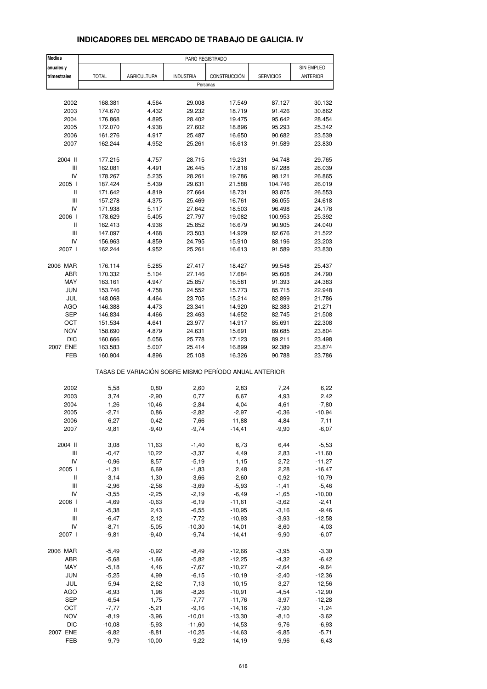| <b>Medias</b>                      |              |                    | PARO REGISTRADO  |                                                       |                  |                 |
|------------------------------------|--------------|--------------------|------------------|-------------------------------------------------------|------------------|-----------------|
| anuales y                          |              |                    |                  |                                                       |                  | SIN EMPLEO      |
| trimestrales                       | <b>TOTAL</b> | <b>AGRICULTURA</b> | <b>INDUSTRIA</b> | CONSTRUCCIÓN                                          | <b>SERVICIOS</b> | <b>ANTERIOR</b> |
|                                    |              |                    | Personas         |                                                       |                  |                 |
|                                    |              |                    |                  |                                                       |                  |                 |
| 2002                               | 168.381      | 4.564              | 29.008           | 17.549                                                | 87.127           | 30.132          |
| 2003                               | 174.670      | 4.432              | 29.232           | 18.719                                                | 91.426           | 30.862          |
| 2004                               | 176.868      | 4.895              | 28.402           | 19.475                                                | 95.642           | 28.454          |
| 2005                               | 172.070      | 4.938              | 27.602           | 18.896                                                | 95.293           | 25.342          |
| 2006                               | 161.276      | 4.917              | 25.487           | 16.650                                                | 90.682           | 23.539          |
| 2007                               | 162.244      | 4.952              | 25.261           | 16.613                                                | 91.589           | 23.830          |
| 2004 II                            | 177.215      | 4.757              | 28.715           | 19.231                                                | 94.748           | 29.765          |
| $\ensuremath{\mathsf{III}}\xspace$ | 162.081      | 4.491              | 26.445           | 17.818                                                | 87.288           | 26.039          |
| IV                                 | 178.267      | 5.235              | 28.261           | 19.786                                                | 98.121           | 26.865          |
| 2005 l                             | 187.424      | 5.439              | 29.631           | 21.588                                                | 104.746          | 26.019          |
| $\sf II$                           | 171.642      | 4.819              | 27.664           | 18.731                                                | 93.875           | 26.553          |
| Ш                                  | 157.278      | 4.375              | 25.469           | 16.761                                                | 86.055           | 24.618          |
| IV                                 | 171.938      | 5.117              | 27.642           | 18.503                                                | 96.498           | 24.178          |
| 2006 l                             | 178.629      | 5.405              | 27.797           | 19.082                                                | 100.953          | 25.392          |
| Ш                                  | 162.413      | 4.936              | 25.852           | 16.679                                                | 90.905           | 24.040          |
| $\ensuremath{\mathsf{III}}\xspace$ | 147.097      | 4.468              | 23.503           | 14.929                                                | 82.676           | 21.522          |
| IV                                 | 156.963      | 4.859              | 24.795           | 15.910                                                | 88.196           | 23.203          |
| 2007 l                             | 162.244      | 4.952              | 25.261           | 16.613                                                | 91.589           | 23.830          |
| 2006 MAR                           |              |                    |                  |                                                       |                  |                 |
|                                    | 176.114      | 5.285<br>5.104     | 27.417           | 18.427                                                | 99.548           | 25.437          |
| ABR                                | 170.332      |                    | 27.146           | 17.684                                                | 95.608           | 24.790          |
| MAY                                | 163.161      | 4.947              | 25.857           | 16.581                                                | 91.393           | 24.383          |
| <b>JUN</b>                         | 153.746      | 4.758              | 24.552           | 15.773                                                | 85.715           | 22.948          |
| JUL                                | 148.068      | 4.464              | 23.705           | 15.214                                                | 82.899           | 21.786          |
| <b>AGO</b>                         | 146.388      | 4.473              | 23.341           | 14.920                                                | 82.383           | 21.271          |
| SEP                                | 146.834      | 4.466              | 23.463           | 14.652                                                | 82.745           | 21.508          |
| ОСТ                                | 151.534      | 4.641              | 23.977           | 14.917                                                | 85.691           | 22.308          |
| <b>NOV</b>                         | 158.690      | 4.879              | 24.631           | 15.691                                                | 89.685           | 23.804          |
| <b>DIC</b>                         | 160.666      | 5.056              | 25.778           | 17.123                                                | 89.211           | 23.498          |
| 2007 ENE                           | 163.583      | 5.007              | 25.414           | 16.899                                                | 92.389           | 23.874          |
| FEB                                | 160.904      | 4.896              | 25.108           | 16.326                                                | 90.788           | 23.786          |
|                                    |              |                    |                  | TASAS DE VARIACIÓN SOBRE MISMO PERÍODO ANUAL ANTERIOR |                  |                 |
| 2002                               | 5,58         | 0,80               | 2,60             | 2,83                                                  | 7,24             | 6,22            |
| 2003                               | 3,74         | $-2,90$            | 0,77             | 6,67                                                  | 4,93             | 2,42            |
| 2004                               | 1,26         | 10,46              | $-2,84$          | 4,04                                                  | 4,61             | $-7,80$         |
| 2005                               | $-2,71$      | 0,86               | $-2,82$          | $-2,97$                                               | $-0,36$          | $-10,94$        |
| 2006                               | -6,27        | -0,42              | $-7,66$          | -11,88                                                | -4,84            | -7,11           |
| 2007                               | $-9,81$      | $-9,40$            | $-9,74$          | $-14,41$                                              | $-9,90$          | $-6,07$         |
|                                    |              |                    |                  |                                                       |                  |                 |
| 2004 II                            | 3,08         | 11,63              | $-1,40$          | 6,73                                                  | 6,44             | $-5,53$         |
| Ш                                  | $-0,47$      | 10,22              | $-3,37$          | 4,49                                                  | 2,83             | $-11,60$        |
| IV                                 | $-0,96$      | 8,57               | $-5,19$          | 1,15                                                  | 2,72             | $-11,27$        |
| 2005 l                             | $-1,31$      | 6,69               | $-1,83$          | 2,48                                                  | 2,28             | $-16,47$        |
| Ш                                  | $-3,14$      | 1,30               | $-3,66$          | $-2,60$                                               | $-0,92$          | $-10,79$        |
| Ш                                  | $-2,96$      | $-2,58$            | $-3,69$          | $-5,93$                                               | $-1,41$          | $-5,46$         |
| IV                                 | $-3,55$      | $-2,25$            | $-2,19$          | $-6,49$                                               | $-1,65$          | $-10,00$        |
| 2006 l                             | $-4,69$      | $-0,63$            | $-6,19$          | $-11,61$                                              | $-3,62$          | $-2,41$         |
| Ш                                  | $-5,38$      | 2,43               | $-6,55$          | $-10,95$                                              | $-3,16$          | $-9,46$         |
| Ш                                  | $-6,47$      | 2,12               | $-7,72$          | $-10,93$                                              | $-3,93$          | $-12,58$        |
| IV                                 | $-8,71$      | $-5,05$            | $-10,30$         | $-14,01$                                              | $-8,60$          | $-4,03$         |
| 2007 l                             | $-9,81$      | $-9,40$            | $-9,74$          | $-14,41$                                              | $-9,90$          | $-6,07$         |
| 2006 MAR                           | $-5,49$      | $-0,92$            | $-8,49$          | $-12,66$                                              | $-3,95$          | $-3,30$         |
| ABR                                | $-5,68$      | $-1,66$            | $-5,82$          | $-12,25$                                              | $-4,32$          | $-6,42$         |
| MAY                                | $-5,18$      | 4,46               | $-7,67$          | $-10,27$                                              | $-2,64$          | $-9,64$         |
| JUN                                | $-5,25$      | 4,99               | $-6,15$          | $-10,19$                                              | $-2,40$          | $-12,36$        |
| JUL                                | $-5,94$      | 2,62               | $-7,13$          | $-10, 15$                                             | $-3,27$          | $-12,56$        |
| AGO                                | $-6,93$      | 1,98               | $-8,26$          | $-10,91$                                              | $-4,54$          | $-12,90$        |
| <b>SEP</b>                         | $-6,54$      | 1,75               | $-7,77$          | $-11,76$                                              | $-3,97$          | $-12,28$        |
| OCT                                | $-7,77$      | $-5,21$            | $-9,16$          | $-14,16$                                              |                  | $-1,24$         |
| <b>NOV</b>                         | $-8,19$      |                    | $-10,01$         | $-13,30$                                              | $-7,90$          | $-3,62$         |
|                                    |              | $-3,96$            |                  |                                                       | $-8,10$          |                 |
| <b>DIC</b>                         | $-10,08$     | $-5,93$            | $-11,60$         | $-14,53$                                              | $-9,76$          | $-6,93$         |

#### **INDICADORES DEL MERCADO DE TRABAJO DE GALICIA. IV**

2007 ENE -9,82 -8,81 -10,25 -14,63 -9,85 -5,71 FEB -9,79 -10,00 -9,22 -14,19 -9,96 -6,43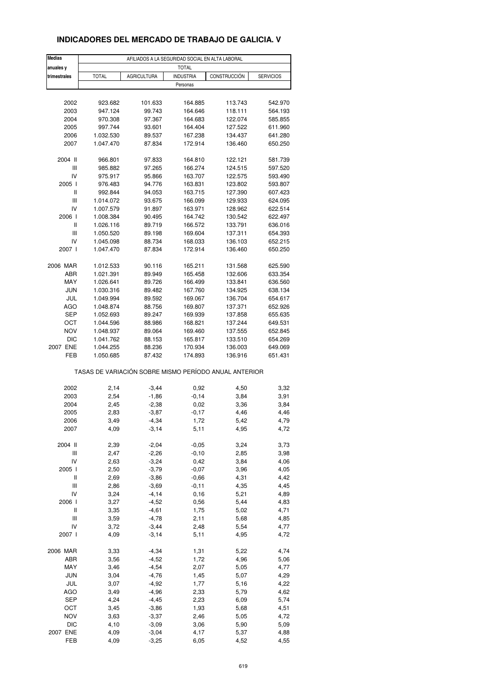## **INDICADORES DEL MERCADO DE TRABAJO DE GALICIA. V**

| <b>Medias</b> |                                                       |                    | AFILIADOS A LA SEGURIDAD SOCIAL EN ALTA LABORAL |              |                  |
|---------------|-------------------------------------------------------|--------------------|-------------------------------------------------|--------------|------------------|
| anuales y     |                                                       |                    | <b>TOTAL</b>                                    |              |                  |
| trimestrales  | <b>TOTAL</b>                                          | <b>AGRICULTURA</b> | <b>INDUSTRIA</b>                                | CONSTRUCCIÓN | <b>SERVICIOS</b> |
|               |                                                       |                    | Personas                                        |              |                  |
|               |                                                       |                    |                                                 |              |                  |
| 2002          | 923.682                                               | 101.633            | 164.885                                         | 113.743      | 542.970          |
| 2003          | 947.124                                               | 99.743             | 164.646                                         | 118.111      | 564.193          |
| 2004          | 970.308                                               | 97.367             | 164.683                                         | 122.074      | 585.855          |
| 2005          | 997.744                                               | 93.601             | 164.404                                         | 127.522      | 611.960          |
| 2006          | 1.032.530                                             | 89.537             | 167.238                                         | 134.437      | 641.280          |
| 2007          | 1.047.470                                             | 87.834             | 172.914                                         | 136.460      | 650.250          |
|               |                                                       |                    |                                                 |              |                  |
| 2004 II       | 966.801                                               | 97.833             | 164.810                                         | 122.121      | 581.739          |
| Ш             | 985.882                                               | 97.265             | 166.274                                         | 124.515      | 597.520          |
| IV            | 975.917                                               | 95.866             | 163.707                                         | 122.575      | 593.490          |
| 2005 l        | 976.483                                               | 94.776             | 163.831                                         | 123.802      | 593.807          |
| $\sf II$      | 992.844                                               | 94.053             | 163.715                                         | 127.390      | 607.423          |
| Ш             | 1.014.072                                             | 93.675             | 166.099                                         | 129.933      | 624.095          |
| IV            | 1.007.579                                             | 91.897             | 163.971                                         | 128.962      | 622.514          |
| 2006          | 1.008.384                                             | 90.495             | 164.742                                         | 130.542      | 622.497          |
| Ш             | 1.026.116                                             | 89.719             | 166.572                                         | 133.791      | 636.016          |
| Ш             | 1.050.520                                             | 89.198             | 169.604                                         | 137.311      | 654.393          |
| IV            | 1.045.098                                             | 88.734             | 168.033                                         | 136.103      | 652.215          |
| 2007 l        | 1.047.470                                             | 87.834             | 172.914                                         | 136.460      | 650.250          |
|               |                                                       |                    |                                                 |              |                  |
| 2006 MAR      | 1.012.533                                             | 90.116             | 165.211                                         | 131.568      | 625.590          |
| ABR           | 1.021.391                                             | 89.949             | 165.458                                         | 132.606      | 633.354          |
| MAY           | 1.026.641                                             | 89.726             | 166.499                                         | 133.841      | 636.560          |
| <b>JUN</b>    | 1.030.316                                             | 89.482             | 167.760                                         | 134.925      | 638.134          |
| JUL           | 1.049.994                                             | 89.592             | 169.067                                         | 136.704      | 654.617          |
| <b>AGO</b>    | 1.048.874                                             | 88.756             | 169.807                                         | 137.371      | 652.926          |
| <b>SEP</b>    | 1.052.693                                             | 89.247             | 169.939                                         | 137.858      | 655.635          |
| ОСТ           | 1.044.596                                             | 88.986             | 168.821                                         | 137.244      | 649.531          |
| <b>NOV</b>    | 1.048.937                                             | 89.064             | 169.460                                         | 137.555      | 652.845          |
| <b>DIC</b>    | 1.041.762                                             | 88.153             | 165.817                                         | 133.510      | 654.269          |
| 2007 ENE      | 1.044.255                                             | 88.236             | 170.934                                         | 136.003      | 649.069          |
| FEB           | 1.050.685                                             | 87.432             | 174.893                                         | 136.916      | 651.431          |
|               | TASAS DE VARIACIÓN SOBRE MISMO PERÍODO ANUAL ANTERIOR |                    |                                                 |              |                  |
|               |                                                       |                    |                                                 |              |                  |
| 2002          | 2,14                                                  | $-3,44$            | 0,92                                            | 4,50         | 3,32             |
| 2003          | 2,54                                                  | $-1,86$            | $-0,14$                                         | 3,84         | 3,91             |
| 2004          | 2,45                                                  | $-2,38$            | 0,02                                            | 3,36         | 3,84             |
| 2005          | 2,83                                                  | $-3,87$            | $-0,17$                                         | 4,46         | 4,46             |
| 2006          | 3,49                                                  | -4,34              | 1,72                                            | 5,42         | 4,79             |
| 2007          | 4,09                                                  | $-3,14$            | 5,11                                            | 4,95         | 4,72             |
| 2004 II       | 2,39                                                  | $-2,04$            | $-0,05$                                         | 3,24         | 3,73             |
| Ш             | 2,47                                                  | $-2,26$            | $-0,10$                                         | 2,85         | 3,98             |
| IV            | 2,63                                                  | $-3,24$            | 0,42                                            | 3,84         | 4,06             |
| 2005 l        | 2,50                                                  | $-3,79$            | $-0,07$                                         | 3,96         | 4,05             |
| Ш             | 2,69                                                  | $-3,86$            | $-0,66$                                         | 4,31         | 4,42             |
|               |                                                       |                    |                                                 |              |                  |
| Ш             | 2,86                                                  | $-3,69$            | $-0, 11$                                        | 4,35         | 4,45             |
| IV            | 3,24                                                  | $-4,14$            | 0,16                                            | 5,21         | 4,89             |
| 2006          | 3,27                                                  | $-4,52$            | 0,56                                            | 5,44         | 4,83             |
| Ш             | 3,35                                                  | $-4,61$            | 1,75                                            | 5,02         | 4,71             |
| Ш             | 3,59                                                  | $-4,78$            | 2,11                                            | 5,68         | 4,85             |
| IV            | 3,72                                                  | $-3,44$            | 2,48                                            | 5,54         | 4,77             |
| 2007 l        | 4,09                                                  | $-3,14$            | 5,11                                            | 4,95         | 4,72             |
| 2006 MAR      | 3,33                                                  | $-4,34$            | 1,31                                            | 5,22         | 4,74             |
| ABR           | 3,56                                                  | $-4,52$            | 1,72                                            | 4,96         | 5,06             |
| MAY           | 3,46                                                  | $-4,54$            | 2,07                                            | 5,05         |                  |
|               |                                                       |                    |                                                 |              | 4,77             |
| <b>JUN</b>    | 3,04                                                  | $-4,76$            | 1,45                                            | 5,07         | 4,29             |
| JUL           | 3,07                                                  | $-4,92$            | 1,77                                            | 5,16         | 4,22             |
| AGO           | 3,49                                                  | $-4,96$            | 2,33                                            | 5,79         | 4,62             |
| <b>SEP</b>    | 4,24                                                  | $-4,45$            | 2,23                                            | 6,09         | 5,74             |
| OCT           | 3,45                                                  | $-3,86$            | 1,93                                            | 5,68         | 4,51             |
| NOV           | 3,63                                                  | $-3,37$            | 2,46                                            | 5,05         | 4,72             |
| <b>DIC</b>    | 4,10                                                  | $-3,09$            | 3,06                                            | 5,90         | 5,09             |
| 2007 ENE      | 4,09                                                  | $-3,04$            | 4,17                                            | 5,37         | 4,88             |
| FEB           | 4,09                                                  | $-3,25$            | 6,05                                            | 4,52         | 4,55             |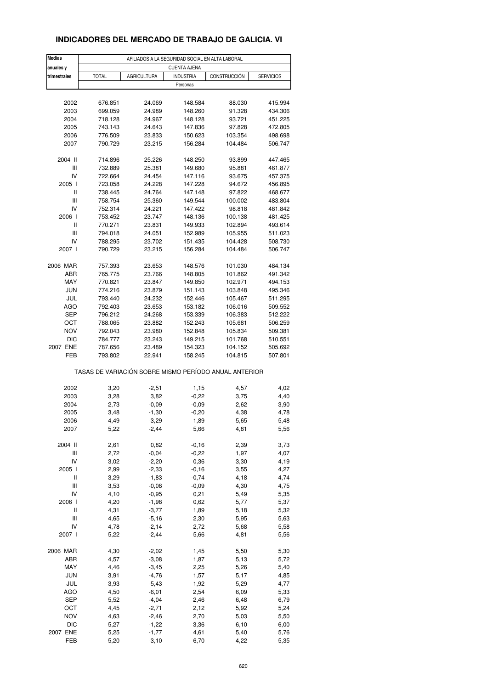## **INDICADORES DEL MERCADO DE TRABAJO DE GALICIA. VI**

| <b>Medias</b>                      |                                                       | AFILIADOS A LA SEGURIDAD SOCIAL EN ALTA LABORAL |                     |              |                  |
|------------------------------------|-------------------------------------------------------|-------------------------------------------------|---------------------|--------------|------------------|
| anuales y                          |                                                       |                                                 | <b>CUENTA AJENA</b> |              |                  |
| trimestrales                       | <b>TOTAL</b>                                          | <b>AGRICULTURA</b>                              | <b>INDUSTRIA</b>    | CONSTRUCCIÓN | <b>SERVICIOS</b> |
|                                    |                                                       |                                                 | Personas            |              |                  |
|                                    |                                                       |                                                 |                     |              |                  |
| 2002                               | 676.851                                               | 24.069                                          | 148.584             | 88.030       | 415.994          |
| 2003                               | 699.059                                               | 24.989                                          | 148.260             | 91.328       | 434.306          |
| 2004                               | 718.128                                               | 24.967                                          | 148.128             | 93.721       | 451.225          |
| 2005                               | 743.143                                               | 24.643                                          | 147.836             | 97.828       | 472.805          |
| 2006                               | 776.509                                               | 23.833                                          | 150.623             | 103.354      | 498.698          |
| 2007                               | 790.729                                               | 23.215                                          | 156.284             | 104.484      | 506.747          |
| 2004 II                            | 714.896                                               | 25.226                                          | 148.250             | 93.899       | 447.465          |
| Ш                                  | 732.889                                               | 25.381                                          | 149.680             | 95.881       | 461.877          |
| IV                                 | 722.664                                               | 24.454                                          | 147.116             | 93.675       | 457.375          |
| 2005 l                             | 723.058                                               | 24.228                                          | 147.228             | 94.672       | 456.895          |
| Ш                                  | 738.445                                               | 24.764                                          | 147.148             | 97.822       | 468.677          |
| $\ensuremath{\mathsf{III}}\xspace$ | 758.754                                               | 25.360                                          | 149.544             | 100.002      | 483.804          |
| IV                                 | 752.314                                               | 24.221                                          | 147.422             | 98.818       | 481.842          |
| 2006                               | 753.452                                               | 23.747                                          | 148.136             | 100.138      | 481.425          |
| Ш                                  | 770.271                                               | 23.831                                          | 149.933             | 102.894      | 493.614          |
| Ш                                  | 794.018                                               | 24.051                                          | 152.989             | 105.955      | 511.023          |
| IV                                 | 788.295                                               | 23.702                                          | 151.435             | 104.428      | 508.730          |
| 2007 l                             | 790.729                                               | 23.215                                          | 156.284             | 104.484      | 506.747          |
| 2006 MAR                           | 757.393                                               | 23.653                                          | 148.576             | 101.030      | 484.134          |
| ABR                                | 765.775                                               | 23.766                                          | 148.805             | 101.862      | 491.342          |
| MAY                                | 770.821                                               | 23.847                                          | 149.850             | 102.971      | 494.153          |
| <b>JUN</b>                         | 774.216                                               | 23.879                                          | 151.143             | 103.848      | 495.346          |
| JUL                                | 793.440                                               | 24.232                                          | 152.446             | 105.467      | 511.295          |
| AGO                                | 792.403                                               | 23.653                                          | 153.182             | 106.016      | 509.552          |
| <b>SEP</b>                         | 796.212                                               | 24.268                                          | 153.339             | 106.383      | 512.222          |
| OCT                                | 788.065                                               | 23.882                                          | 152.243             | 105.681      | 506.259          |
| NOV                                | 792.043                                               | 23.980                                          | 152.848             | 105.834      | 509.381          |
| <b>DIC</b>                         | 784.777                                               | 23.243                                          | 149.215             | 101.768      | 510.551          |
| 2007 ENE                           | 787.656                                               | 23.489                                          | 154.323             | 104.152      | 505.692          |
| FEB                                | 793.802                                               | 22.941                                          | 158.245             | 104.815      | 507.801          |
|                                    | TASAS DE VARIACIÓN SOBRE MISMO PERÍODO ANUAL ANTERIOR |                                                 |                     |              |                  |
|                                    |                                                       |                                                 |                     |              |                  |
| 2002                               | 3,20                                                  | $-2,51$                                         | 1,15                | 4,57         | 4,02             |
| 2003                               | 3,28                                                  | 3,82                                            | $-0,22$             | 3,75         | 4,40             |
| 2004                               | 2,73                                                  | $-0,09$                                         | $-0,09$             | 2,62         | 3,90             |
| 2005                               | 3,48                                                  | $-1,30$                                         | $-0,20$             | 4,38         | 4,78             |
| 2006                               | 4,49                                                  | -3,29                                           | 1,89                | 5,65         | 5,48             |
| 2007                               | 5,22                                                  | $-2,44$                                         | 5,66                | 4,81         | 5,56             |
| 2004 II                            | 2,61                                                  | 0,82                                            | $-0,16$             | 2,39         | 3,73             |
| Ш                                  | 2,72                                                  | $-0,04$                                         | $-0,22$             | 1,97         | 4,07             |
| IV                                 | 3,02                                                  | $-2,20$                                         | 0,36                | 3,30         | 4,19             |
| 2005 l                             | 2,99                                                  | $-2,33$                                         | $-0,16$             | 3,55         | 4,27             |
| Ш                                  | 3,29                                                  | $-1,83$                                         | $-0,74$             | 4,18         | 4,74             |
| Ш                                  | 3,53                                                  | $-0,08$                                         | $-0,09$             | 4,30         | 4,75             |
| IV                                 | 4,10                                                  | $-0,95$                                         | 0,21                | 5,49         | 5,35             |
| 2006                               | 4,20                                                  | $-1,98$                                         | 0,62                | 5,77         | 5,37             |
| Ш                                  | 4,31                                                  | $-3,77$                                         | 1,89                | 5,18         | 5,32             |
| $\ensuremath{\mathsf{III}}\xspace$ | 4,65                                                  | $-5,16$                                         | 2,30                | 5,95         | 5,63             |
| IV                                 | 4,78                                                  | $-2,14$                                         | 2,72                | 5,68         | 5,58             |
| 2007 l                             | 5,22                                                  | $-2,44$                                         | 5,66                | 4,81         | 5,56             |
|                                    |                                                       |                                                 |                     |              |                  |
| 2006 MAR<br>ABR                    | 4,30<br>4,57                                          | $-2,02$<br>$-3,08$                              | 1,45                | 5,50<br>5,13 | 5,30             |
|                                    |                                                       |                                                 | 1,87                |              | 5,72             |
| MAY                                | 4,46                                                  | $-3,45$                                         | 2,25                | 5,26         | 5,40             |
| <b>JUN</b>                         | 3,91                                                  | $-4,76$                                         | 1,57                | 5,17         | 4,85             |
| JUL                                | 3,93                                                  | $-5,43$                                         | 1,92                | 5,29         | 4,77             |
| AGO                                | 4,50                                                  | $-6,01$                                         | 2,54                | 6,09         | 5,33             |
| <b>SEP</b>                         | 5,52                                                  | $-4,04$                                         | 2,46                | 6,48         | 6,79             |
| OCT                                | 4,45                                                  | $-2,71$                                         | 2,12                | 5,92         | 5,24             |
| NOV                                | 4,63                                                  | $-2,46$                                         | 2,70                | 5,03         | 5,50             |
| <b>DIC</b>                         | 5,27                                                  | $-1,22$                                         | 3,36                | 6,10         | 6,00             |
| 2007 ENE                           | 5,25                                                  | $-1,77$                                         | 4,61                | 5,40         | 5,76             |
| FEB                                | 5,20                                                  | $-3,10$                                         | 6,70                | 4,22         | 5,35             |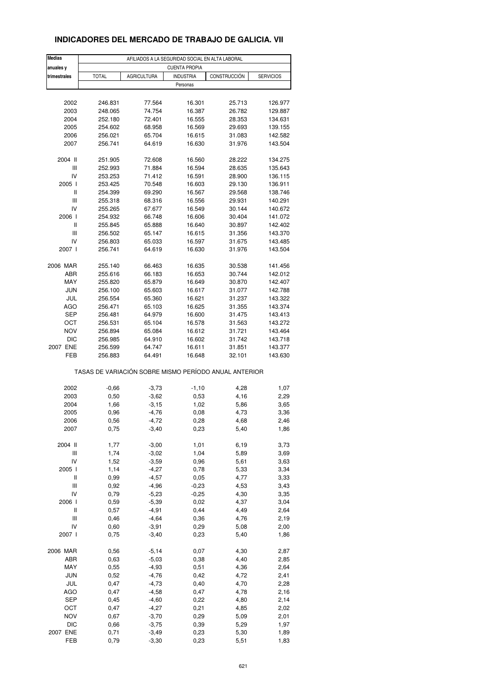#### **INDICADORES DEL MERCADO DE TRABAJO DE GALICIA. VII**

| <b>Medias</b>          |                    |                  | AFILIADOS A LA SEGURIDAD SOCIAL EN ALTA LABORAL       |                  |                    |
|------------------------|--------------------|------------------|-------------------------------------------------------|------------------|--------------------|
| anuales y              |                    |                  | <b>CUENTA PROPIA</b>                                  |                  |                    |
| trimestrales           | <b>TOTAL</b>       | AGRICULTURA      | <b>INDUSTRIA</b>                                      | CONSTRUCCIÓN     | <b>SERVICIOS</b>   |
|                        |                    |                  | Personas                                              |                  |                    |
|                        |                    |                  |                                                       |                  |                    |
| 2002                   | 246.831            | 77.564           | 16.301                                                | 25.713           | 126.977            |
| 2003                   | 248.065            | 74.754           | 16.387                                                | 26.782           | 129.887            |
| 2004                   | 252.180            | 72.401           | 16.555                                                | 28.353           | 134.631            |
| 2005                   | 254.602            | 68.958           | 16.569                                                | 29.693           | 139.155            |
| 2006                   | 256.021            | 65.704           | 16.615                                                | 31.083           | 142.582            |
| 2007                   | 256.741            | 64.619           | 16.630                                                | 31.976           | 143.504            |
| 2004 II                | 251.905            | 72.608           | 16.560                                                | 28.222           | 134.275            |
| Ш                      | 252.993            | 71.884           | 16.594                                                | 28.635           | 135.643            |
| IV                     | 253.253            | 71.412           | 16.591                                                | 28.900           | 136.115            |
| 2005 l                 | 253.425            | 70.548           | 16.603                                                | 29.130           | 136.911            |
| Ш                      | 254.399            | 69.290           | 16.567                                                | 29.568           | 138.746            |
| Ш                      | 255.318            | 68.316           | 16.556                                                | 29.931           | 140.291            |
| IV                     | 255.265            | 67.677           | 16.549                                                | 30.144           | 140.672            |
| 2006                   | 254.932            | 66.748           | 16.606                                                | 30.404           | 141.072            |
| Ш                      | 255.845            | 65.888           | 16.640                                                | 30.897           | 142.402            |
| Ш                      | 256.502            | 65.147           | 16.615                                                | 31.356           | 143.370            |
| IV                     | 256.803            | 65.033           | 16.597                                                | 31.675           | 143.485            |
| 2007 l                 | 256.741            | 64.619           | 16.630                                                | 31.976           | 143.504            |
|                        |                    |                  |                                                       |                  |                    |
| 2006 MAR               | 255.140            | 66.463           | 16.635                                                | 30.538           | 141.456            |
| ABR<br>MAY             | 255.616            | 66.183           | 16.653                                                | 30.744           | 142.012            |
|                        | 255.820            | 65.879           | 16.649                                                | 30.870           | 142.407            |
| <b>JUN</b>             | 256.100            | 65.603           | 16.617                                                | 31.077           | 142.788            |
| JUL                    | 256.554            | 65.360           | 16.621                                                | 31.237           | 143.322            |
| AGO                    | 256.471            | 65.103           | 16.625                                                | 31.355           | 143.374            |
| <b>SEP</b>             | 256.481            | 64.979           | 16.600                                                | 31.475           | 143.413            |
| OCT                    | 256.531            | 65.104           | 16.578                                                | 31.563           | 143.272            |
| <b>NOV</b>             | 256.894            | 65.084           | 16.612                                                | 31.721           | 143.464            |
| <b>DIC</b><br>2007 ENE | 256.985            | 64.910           | 16.602                                                | 31.742           | 143.718            |
| FEB                    | 256.599<br>256.883 | 64.747<br>64.491 | 16.611<br>16.648                                      | 31.851<br>32.101 | 143.377<br>143.630 |
|                        |                    |                  |                                                       |                  |                    |
|                        |                    |                  | TASAS DE VARIACIÓN SOBRE MISMO PERÍODO ANUAL ANTERIOR |                  |                    |
| 2002                   | $-0,66$            | $-3,73$          | $-1,10$                                               | 4,28             | 1,07               |
| 2003                   | 0,50               | $-3,62$          | 0,53                                                  | 4,16             | 2,29               |
| 2004                   | 1,66               | $-3,15$          | 1,02                                                  | 5,86             | 3,65               |
| 2005                   | 0,96               | $-4,76$          | 0,08                                                  | 4,73             | 3,36               |
| 2006                   | 0,56               | -4,72            | 0,28                                                  | 4,68             | 2,46               |
| 2007                   | 0,75               | $-3,40$          | 0,23                                                  | 5,40             | 1,86               |
|                        |                    |                  |                                                       |                  |                    |
| 2004 II                | 1,77               | $-3,00$          | 1,01                                                  | 6,19             | 3,73               |
| Ш                      | 1,74               | $-3,02$          | 1,04                                                  | 5,89             | 3,69               |
| IV                     | 1,52               | $-3,59$          | 0,96                                                  | 5,61             | 3,63               |
| 2005 l                 | 1,14               | $-4,27$          | 0,78                                                  | 5,33             | 3,34               |
| Ш                      | 0,99               | $-4,57$          | 0,05                                                  | 4,77             | 3,33               |
| Ш                      | 0,92               | $-4,96$          | $-0,23$                                               | 4,53             | 3,43               |
| IV                     | 0,79               | $-5,23$          | $-0,25$                                               | 4,30             | 3,35               |
| 2006                   | 0,59               | $-5,39$          | 0,02                                                  | 4,37             | 3,04               |
| $\sf II$               | 0,57               | $-4,91$          | 0,44                                                  | 4,49             | 2,64               |
| Ш                      | 0,46               | $-4,64$          | 0,36                                                  | 4,76             | 2,19               |
| IV<br>2007 l           | 0,60<br>0,75       | $-3,91$          | 0,29<br>0,23                                          | 5,08<br>5,40     | 2,00               |
|                        |                    | $-3,40$          |                                                       |                  | 1,86               |
| 2006 MAR               | 0,56               | $-5,14$          | 0,07                                                  | 4,30             | 2,87               |
| ABR                    | 0,63               | $-5,03$          | 0,38                                                  | 4,40             | 2,85               |
| MAY                    | 0,55               | $-4,93$          | 0,51                                                  | 4,36             | 2,64               |
| <b>JUN</b>             | 0,52               | $-4,76$          | 0,42                                                  | 4,72             | 2,41               |
| JUL                    | 0,47               | $-4,73$          | 0,40                                                  | 4,70             | 2,28               |
| AGO                    | 0,47               | $-4,58$          | 0,47                                                  | 4,78             | 2,16               |
| <b>SEP</b>             | 0,45               | $-4,60$          | 0,22                                                  | 4,80             | 2,14               |
| OCT                    | 0,47               | $-4,27$          | 0,21                                                  | 4,85             | 2,02               |
| <b>NOV</b>             | 0,67               | $-3,70$          | 0,29                                                  | 5,09             | 2,01               |
| <b>DIC</b>             | 0,66               | $-3,75$          | 0,39                                                  | 5,29             | 1,97               |
| 2007 ENE               | 0,71               | $-3,49$          | 0,23                                                  | 5,30             | 1,89               |
| FEB                    | 0,79               | $-3,30$          | 0,23                                                  | 5,51             | 1,83               |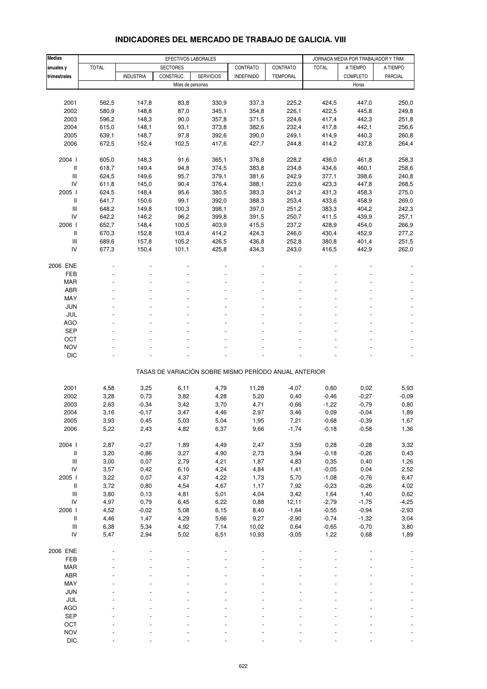#### **Medias | EFECTIVOS LABORALES | GENETA POR TRABAJADOR Y TRIM. anuales y** TOTAL SECTORES CONTRATO CONTRATO TOTAL A TIEMPO A TIEMPO **trimestrales | |** INDUSTRIA | CONSTRUC. | SERVICIOS | INDEFINIDO | TEMPORAL | | COMPLETO | PARCIAL Miles de personas Horas et al. 2009, et al. 2009, et al. 2009, et al. 2009, et al. 2009, et al. 2009, et al. 2009, et al. 2009, et al. 2009, et al. 2009, et al. 2009, et al. 2009, et al. 2009, et al. 2009, et al. 2009, et 2001 562,5 147,8 83,8 330,9 337,3 225,2 424,5 447,0 250,0 2002 580,9 148,8 87,0 345,1 354,8 226,1 422,5 445,8 249,8 2003 596,2 148,3 90,0 357,8 371,5 224,6 417,4 442,3 251,8 2004 615,0 148,1 93,1 373,8 382,6 232,4 417,8 442,1 256,6 2005 639,1 148,7 97,8 392,6 390,0 249,1 414,9 440,3 260,8 2006 672,5 152,4 102,5 417,6 427,7 244,8 414,2 437,8 264,4 2004 I 605,0 148,3 91,6 365,1 376,8 228,2 436,0 461,8 258,3 II 618,7 149,4 94,8 374,5 383,8 234,8 434,6 460,1 258,6 III 624,5 149,6 95,7 379,1 381,6 242,9 377,1 398,6 240,8 IV 611,8 145,0 90,4 376,4 388,1 223,6 423,3 447,8 268,5 2005 I 624,5 148,4 95,6 380,5 383,3 241,2 431,3 458,3 275,0 II 641,7 150,6 99,1 392,0 388,3 253,4 433,6 458,9 269,0 III 648,2 149,8 100,3 398,1 397,0 251,2 383,3 404,2 242,3 IV 642,2 146,2 96,2 399,8 391,5 250,7 411,5 439,9 257,1 2006 I 652,7 148,4 100,5 403,9 415,5 237,2 428,9 454,0 266,9 II 670,3 152,8 103,4 414,2 424,3 246,0 430,4 452,9 277,2 III 689,6 157,8 105,2 426,5 436,8 252,8 380,8 401,4 251,5 IV 677,3 150,4 101,1 425,8 434,3 243,0 416,5 442,9 262,0 2006 ENE - - - - - - - - - FEB - - - - - - - - -  $\sf{MAR}$  . The set of the set of the set of the set of the set of the set of the set of the set of the set of the set of the set of the set of the set of the set of the set of the set of the set of the set of the set of th ABR - - - - - - - - - MAY - - - - - - - - - JUN - - - - - - - - - JUL - - - - - - - - - AGO - - - - - - - - -  $\begin{array}{lllllllllllll} \text{SEP} & \text{~~} & \text{~~} & \text{~~} & \text{~~} & \text{~~} & \text{~~} & \text{~~} & \text{~~} & \text{~~} & \text{~~} & \text{~~} & \text{~~} & \text{~~} & \text{~~} & \text{~~} & \text{~~} & \text{~~} & \text{~~} & \text{~~} & \text{~~} & \text{~~} \end{array}$ OCT the set of the set of the set of the set of the set of the set of the set of the set of the set of the set NOV - - - - - - - - - DIC - - - - - - - - - TASAS DE VARIACIÓN SOBRE MISMO PERÍODO ANUAL ANTERIOR 2001 4,58 3,25 6,11 4,79 11,28 -4,07 0,60 0,02 5,93 2002 3,28 0,73 3,82 4,28 5,20 0,40 -0,46 -0,27 -0,09 2003 2,63 -0,34 3,42 3,70 4,71 -0,66 -1,22 -0,79 0,80 2004 3,16 -0,17 3,47 4,46 2,97 3,46 0,09 -0,04 1,89 2005 3,93 0,45 5,03 5,04 1,95 7,21 -0,68 -0,39 1,67 2006 5,22 2,43 4,82 6,37 9,66 -1,74 -0,18 -0,58 1,36 2004 I 2,87 -0,27 1,89 4,49 2,47 3,59 0,28 -0,28 3,32 II 3,20 -0,86 3,27 4,90 2,73 3,94 -0,18 -0,26 0,43 III 3,00 0,07 2,79 4,21 1,87 4,83 0,35 0,40 1,26 IV 3,57 0,42 6,10 4,24 4,84 1,41 -0,05 0,04 2,52 2005 I 3,22 0,07 4,37 4,22 1,73 5,70 -1,08 -0,76 6,47 II 3,72 0,80 4,54 4,67 1,17 7,92 -0,23 -0,26 4,02 III 3,80 0,13 4,81 5,01 4,04 3,42 1,64 1,40 0,62 IV 4,97 0,79 6,45 6,22 0,88 12,11 -2,79 -1,75 -4,25 2006 I 4,52 -0,02 5,08 6,15 8,40 -1,64 -0,55 -0,94 -2,93 II 4,46 1,47 4,29 5,66 9,27 -2,90 -0,74 -1,32 3,04 III 6,38 5,34 4,92 7,14 10,02 0,64 -0,65 -0,70 3,80 IV 5,47 2,94 5,02 6,51 10,93 -3,05 1,22 0,68 1,89 2006 ENE - - - - - - - - - FEB - - - - - - - - - MAR - - - - - - - - - ABR - - - - - - - - - MAY - - - - - - - - - JUN - - - - - - - - - JUL - - - - - - - - - AGO - - - - - - - - -  $\begin{array}{lllllllllllll} \text{SEP} & \text{~~} & \text{~~} & \text{~~} & \text{~~} & \text{~~} & \text{~~} & \text{~~} & \text{~~} & \text{~~} & \text{~~} & \text{~~} & \text{~~} & \text{~~} & \text{~~} & \text{~~} & \text{~~} & \text{~~} & \text{~~} & \text{~~} & \text{~~} & \text{~~} \end{array}$

#### **INDICADORES DEL MERCADO DE TRABAJO DE GALICIA. VIII**

OCT the second contract of the second contract of the second contract of the second contract of the second contract of the second contract of the second contract of the second contract of the second contract of the second NOV - - - - - - - - - DIC - - - - - - - - -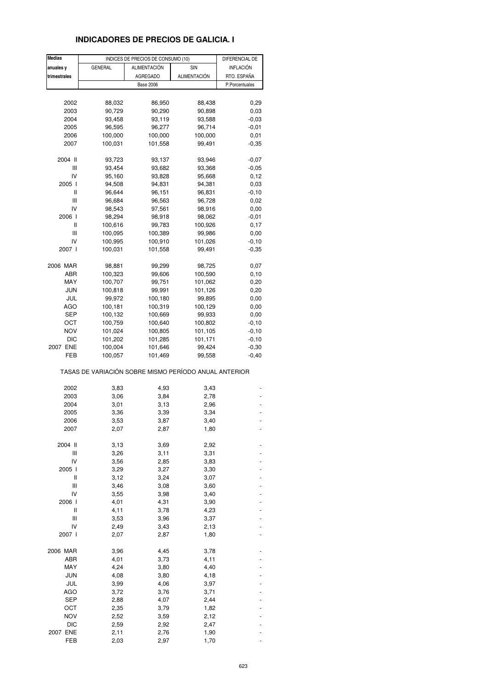## **INDICADORES DE PRECIOS DE GALICIA. I**

| <b>Medias</b>                         |                                                       | INDICES DE PRECIOS DE CONSUMO (10) |                     | DIFERENCIAL DE |
|---------------------------------------|-------------------------------------------------------|------------------------------------|---------------------|----------------|
| anuales y                             | <b>GENERAL</b>                                        | <b>ALIMENTACIÓN</b>                | SIN                 | INFLACIÓN      |
| trimestrales                          |                                                       | <b>AGREGADO</b>                    | <b>ALIMENTACIÓN</b> | RTO. ESPAÑA    |
|                                       |                                                       | <b>Base 2006</b>                   |                     | P.Porcentuales |
|                                       |                                                       |                                    |                     |                |
| 2002                                  | 88,032                                                | 86,950                             | 88,438              | 0,29           |
|                                       | 90,729                                                | 90,290                             |                     | 0,03           |
| 2003                                  |                                                       |                                    | 90,898              |                |
| 2004                                  | 93,458                                                | 93,119                             | 93,588              | $-0,03$        |
| 2005                                  | 96,595                                                | 96,277                             | 96,714              | $-0,01$        |
| 2006                                  | 100,000                                               | 100,000                            | 100,000             | 0,01           |
| 2007                                  | 100,031                                               | 101,558                            | 99,491              | $-0,35$        |
| 2004 II                               | 93,723                                                | 93,137                             | 93,946              | $-0,07$        |
| Ш                                     | 93,454                                                | 93,682                             | 93,368              | $-0,05$        |
| IV                                    | 95,160                                                | 93,828                             | 95,668              | 0,12           |
| 2005 l                                | 94,508                                                | 94,831                             | 94,381              | 0,03           |
| Ш                                     | 96,644                                                | 96,151                             | 96,831              | $-0,10$        |
| Ш                                     |                                                       |                                    |                     |                |
|                                       | 96,684                                                | 96,563                             | 96,728              | 0,02           |
| IV                                    | 98,543                                                | 97,561                             | 98,916              | 0,00           |
| 2006                                  | 98,294                                                | 98,918                             | 98,062              | $-0,01$        |
| Ш                                     | 100,616                                               | 99,783                             | 100,926             | 0.17           |
| Ш                                     | 100,095                                               | 100,389                            | 99,986              | 0,00           |
| IV                                    | 100,995                                               | 100,910                            | 101,026             | $-0, 10$       |
| 2007 l                                | 100,031                                               | 101,558                            | 99,491              | $-0,35$        |
|                                       |                                                       |                                    |                     |                |
| 2006 MAR                              | 98,881                                                | 99,299                             | 98,725              | 0,07           |
| ABR                                   | 100,323                                               | 99,606                             | 100,590             | 0,10           |
| MAY                                   | 100,707                                               | 99,751                             | 101,062             | 0,20           |
| JUN                                   | 100,818                                               | 99,991                             | 101,126             | 0,20           |
| JUL                                   | 99,972                                                | 100,180                            | 99,895              | 0,00           |
| AGO                                   | 100,181                                               | 100,319                            | 100,129             | 0,00           |
| SEP                                   | 100,132                                               | 100,669                            | 99,933              | 0,00           |
| ост                                   | 100,759                                               | 100,640                            | 100,802             | $-0,10$        |
| <b>NOV</b>                            | 101,024                                               | 100,805                            | 101,105             | $-0,10$        |
| <b>DIC</b>                            | 101,202                                               | 101,285                            | 101,171             | $-0, 10$       |
| 2007 ENE                              | 100,004                                               | 101,646                            | 99,424              | $-0,30$        |
| FEB                                   | 100,057                                               | 101,469                            | 99,558              | $-0,40$        |
|                                       | TASAS DE VARIACIÓN SOBRE MISMO PERÍODO ANUAL ANTERIOR |                                    |                     |                |
| 2002                                  | 3,83                                                  | 4,93                               | 3,43                |                |
| 2003                                  | 3,06                                                  | 3,84                               | 2,78                |                |
| 2004                                  | 3,01                                                  | 3,13                               | 2,96                |                |
| 2005                                  | 3,36                                                  | 3,39                               | 3,34                |                |
| 2006                                  |                                                       |                                    |                     |                |
| 2007                                  | 3,53<br>2,07                                          | 3,87                               | 3,40<br>1,80        |                |
|                                       |                                                       | 2,87                               |                     |                |
| 2004 II                               | 3,13                                                  | 3,69                               | 2,92                |                |
| Ш                                     | 3,26                                                  | 3,11                               | 3,31                |                |
| IV                                    | 3,56                                                  | 2,85                               | 3,83                |                |
| 2005 l                                | 3,29                                                  | 3,27                               | 3,30                |                |
| $\begin{array}{c} \hline \end{array}$ | 3,12                                                  | 3,24                               | 3,07                |                |
| Ш                                     | 3,46                                                  | 3,08                               | 3,60                |                |
| IV                                    | 3,55                                                  | 3,98                               | 3,40                |                |
| 2006 l                                | 4,01                                                  | 4,31                               | 3,90                |                |
| Ш                                     | 4,11                                                  | 3,78                               | 4,23                |                |
| Ш                                     | 3,53                                                  | 3,96                               | 3,37                |                |
| IV                                    |                                                       |                                    |                     |                |
|                                       | 2,49                                                  | 3,43                               | 2,13                |                |
| 2007 l                                | 2,07                                                  | 2,87                               | 1,80                |                |
| 2006 MAR                              | 3,96                                                  | 4,45                               | 3,78                |                |
| ABR                                   | 4,01                                                  | 3,73                               | 4,11                |                |
| MAY                                   | 4,24                                                  | 3,80                               | 4,40                |                |
| <b>JUN</b>                            | 4,08                                                  | 3,80                               | 4,18                |                |
| JUL                                   | 3,99                                                  | 4,06                               | 3,97                |                |
| <b>AGO</b>                            | 3,72                                                  | 3,76                               | 3,71                |                |
| SEP                                   | 2,88                                                  | 4,07                               | 2,44                |                |
| ост                                   | 2,35                                                  | 3,79                               | 1,82                |                |
| <b>NOV</b>                            |                                                       |                                    |                     |                |
| <b>DIC</b>                            | 2,52<br>2,59                                          | 3,59                               | 2,12<br>2,47        |                |
|                                       |                                                       | 2,92                               |                     |                |
| 2007 ENE                              | 2,11                                                  | 2,76                               | 1,90                |                |
| FEB                                   | 2,03                                                  | 2,97                               | 1,70                |                |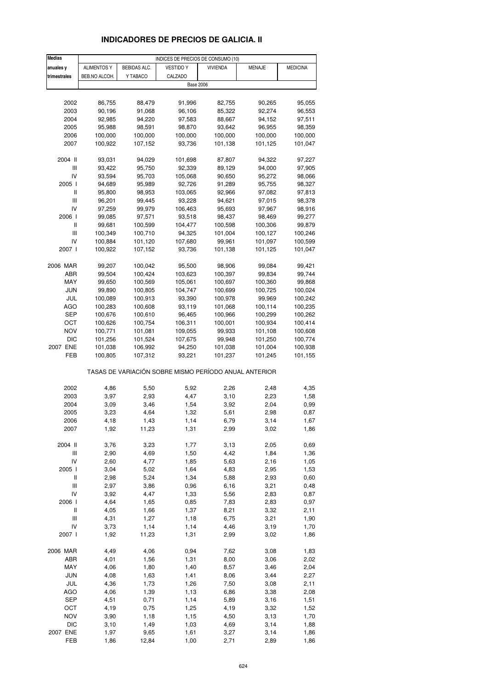# **INDICADORES DE PRECIOS DE GALICIA. II**

| <b>Medias</b>                      |                    |                    | INDICES DE PRECIOS DE CONSUMO (10)                    |                    |                  |                    |
|------------------------------------|--------------------|--------------------|-------------------------------------------------------|--------------------|------------------|--------------------|
| anuales y                          | <b>ALIMENTOS Y</b> | BEBIDAS ALC.       | <b>VESTIDO Y</b>                                      | <b>VIVIENDA</b>    | MENAJE           | <b>MEDICINA</b>    |
| trimestrales                       | BEB.NO ALCOH.      | Y TABACO           | CALZADO                                               |                    |                  |                    |
|                                    |                    |                    | <b>Base 2006</b>                                      |                    |                  |                    |
|                                    |                    |                    |                                                       |                    |                  |                    |
| 2002                               | 86,755             | 88,479             | 91,996                                                | 82,755             | 90,265           | 95,055             |
| 2003                               | 90,196             | 91,068             | 96,106                                                | 85,322             | 92,274           | 96,553             |
| 2004                               | 92,985             | 94,220             | 97,583                                                | 88,667             | 94,152           | 97,511             |
| 2005                               | 95,988             | 98,591             | 98,870                                                | 93,642             | 96,955           | 98,359             |
| 2006                               | 100,000            | 100,000            | 100,000                                               | 100,000            | 100,000          | 100,000            |
| 2007                               | 100,922            | 107,152            | 93,736                                                | 101,138            | 101,125          | 101,047            |
|                                    |                    |                    |                                                       |                    |                  |                    |
| 2004 II                            | 93,031             | 94,029             | 101,698                                               | 87,807             | 94,322           | 97,227             |
| Ш                                  | 93,422             | 95,750             | 92,339                                                | 89,129             | 94,000           | 97,905             |
| IV                                 | 93,594             | 95,703             | 105,068                                               | 90,650             | 95,272           | 98,066             |
| 2005 l                             | 94,689             | 95,989             | 92,726                                                | 91,289             | 95,755           | 98,327             |
| Ш                                  | 95,800             | 98,953             | 103,065                                               | 92,966             | 97,082           | 97,813             |
| $\mathsf{III}$                     | 96,201             | 99,445             | 93,228                                                | 94,621             | 97,015           | 98,378             |
| IV                                 | 97,259             | 99,979             | 106,463                                               | 95,693             | 97,967           | 98,916             |
| 2006 l                             | 99,085             | 97,571             | 93,518                                                | 98,437             | 98,469           | 99,277             |
| Ш                                  | 99,681             | 100,599            | 104,477                                               | 100,598            | 100,306          | 99,879             |
| Ш                                  | 100,349            | 100,710            | 94,325                                                | 101,004            | 100,127          | 100,246            |
| IV                                 | 100,884            | 101,120            | 107,680                                               | 99,961             | 101,097          | 100,599            |
| 2007 l                             | 100,922            | 107,152            | 93,736                                                | 101,138            | 101,125          | 101,047            |
|                                    |                    |                    |                                                       |                    |                  |                    |
| 2006 MAR<br>ABR                    | 99,207<br>99,504   | 100,042<br>100,424 | 95,500<br>103,623                                     | 98,906<br>100,397  | 99,084<br>99,834 | 99,421             |
| MAY                                | 99,650             | 100,569            | 105,061                                               |                    | 100,360          | 99,744             |
| <b>JUN</b>                         |                    |                    |                                                       | 100,697            | 100,725          | 99,868             |
| JUL                                | 99,890             | 100,805            | 104,747                                               | 100,699            | 99,969           | 100,024            |
| AGO                                | 100,089<br>100,283 | 100,913<br>100,608 | 93,390<br>93,119                                      | 100,978<br>101,068 | 100,114          | 100,242<br>100,235 |
| SEP                                | 100,676            | 100,610            | 96,465                                                | 100,966            | 100,299          | 100,262            |
| ОСТ                                | 100,626            | 100,754            | 106,311                                               | 100,001            | 100,934          | 100,414            |
| NOV                                | 100,771            | 101,081            | 109,055                                               | 99,933             | 101,108          | 100,608            |
| <b>DIC</b>                         | 101,256            | 101,524            | 107,675                                               | 99,948             | 101,250          | 100,774            |
| 2007 ENE                           | 101,038            | 106,992            | 94,250                                                | 101,038            | 101,004          | 100,938            |
| FEB                                | 100,805            | 107,312            | 93,221                                                | 101,237            | 101,245          | 101,155            |
|                                    |                    |                    | TASAS DE VARIACIÓN SOBRE MISMO PERÍODO ANUAL ANTERIOR |                    |                  |                    |
|                                    |                    |                    |                                                       |                    |                  |                    |
| 2002                               | 4,86               | 5,50               | 5,92                                                  | 2,26               | 2,48             | 4,35               |
| 2003                               | 3,97               | 2,93               | 4,47                                                  | 3,10               | 2,23             | 1,58               |
| 2004                               | 3,09               | 3,46               | 1,54                                                  | 3,92               | 2,04             | 0,99               |
| 2005                               | 3,23               | 4,64               | 1,32                                                  | 5,61               | 2,98             | 0,87               |
| 2006                               | 4,18               | 1,43               | 1,14                                                  | 6,79               | 3,14             | 1,67               |
| 2007                               | 1,92               | 11,23              | 1,31                                                  | 2,99               | 3,02             | 1,86               |
| 2004 II                            | 3,76               | 3,23               | 1,77                                                  | 3,13               | 2,05             | 0,69               |
| $\ensuremath{\mathsf{III}}\xspace$ | 2,90               | 4,69               | 1,50                                                  | 4,42               | 1,84             | 1,36               |
| IV                                 | 2,60               | 4,77               | 1,85                                                  | 5,63               | 2,16             | 1,05               |
| 2005 l                             | 3,04               | 5,02               | 1,64                                                  | 4,83               | 2,95             | 1,53               |
| $\,$ $\,$ $\,$ $\,$                | 2,98               | 5,24               | 1,34                                                  | 5,88               | 2,93             | 0,60               |
| Ш                                  | 2,97               | 3,86               | 0,96                                                  | 6,16               | 3,21             | 0,48               |
| IV                                 | 3,92               | 4,47               | 1,33                                                  | 5,56               | 2,83             | 0,87               |
| 2006 l                             | 4,64               | 1,65               | 0,85                                                  | 7,83               | 2,83             | 0,97               |
| Ш                                  | 4,05               | 1,66               | 1,37                                                  | 8,21               | 3,32             | 2,11               |
| $\ensuremath{\mathsf{III}}\xspace$ | 4,31               | 1,27               | 1,18                                                  | 6,75               | 3,21             | 1,90               |
| IV                                 | 3,73               | 1,14               | 1,14                                                  | 4,46               | 3,19             | 1,70               |
| 2007 l                             | 1,92               | 11,23              | 1,31                                                  | 2,99               | 3,02             | 1,86               |
| 2006 MAR                           | 4,49               | 4,06               | 0,94                                                  | 7,62               | 3,08             | 1,83               |
| ABR                                | 4,01               | 1,56               | 1,31                                                  | 8,00               | 3,06             | 2,02               |
| MAY                                | 4,06               | 1,80               | 1,40                                                  | 8,57               | 3,46             | 2,04               |
| <b>JUN</b>                         | 4,08               | 1,63               | 1,41                                                  | 8,06               | 3,44             | 2,27               |
| JUL                                | 4,36               | 1,73               | 1,26                                                  | 7,50               | 3,08             | 2,11               |
| <b>AGO</b>                         | 4,06               | 1,39               | 1,13                                                  | 6,86               | 3,38             | 2,08               |
| <b>SEP</b>                         | 4,51               | 0,71               | 1,14                                                  | 5,89               | 3,16             | 1,51               |
| OCT                                | 4,19               | 0,75               | 1,25                                                  | 4,19               | 3,32             | 1,52               |
| <b>NOV</b>                         | 3,90               | 1,18               | 1,15                                                  | 4,50               | 3,13             | 1,70               |
| <b>DIC</b>                         | 3,10               | 1,49               | 1,03                                                  | 4,69               | 3,14             | 1,88               |
| 2007 ENE                           | 1,97               | 9,65               | 1,61                                                  | 3,27               | 3,14             | 1,86               |
| FEB                                | 1,86               | 12,84              | 1,00                                                  | 2,71               | 2,89             | 1,86               |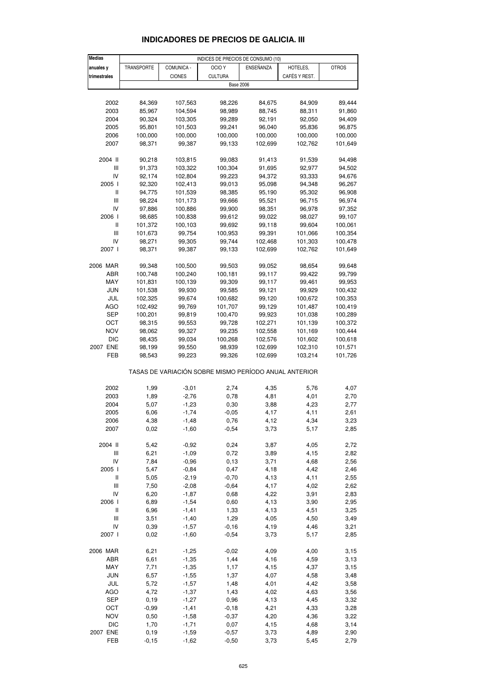| <b>Medias</b>                      |              |                    | INDICES DE PRECIOS DE CONSUMO (10)                    |              |               |              |
|------------------------------------|--------------|--------------------|-------------------------------------------------------|--------------|---------------|--------------|
| anuales y                          | TRANSPORTE   | COMUNICA -         | OCIO <sub>Y</sub>                                     | ENSEÑANZA    | HOTELES,      | <b>OTROS</b> |
| trimestrales                       |              | <b>CIONES</b>      | <b>CULTURA</b>                                        |              | CAFÉS Y REST. |              |
|                                    |              |                    | <b>Base 2006</b>                                      |              |               |              |
|                                    |              |                    |                                                       |              |               |              |
| 2002                               | 84,369       | 107,563            | 98,226                                                | 84,675       | 84,909        | 89,444       |
| 2003                               | 85,967       | 104,594            | 98,989                                                | 88,745       | 88,311        | 91,860       |
| 2004                               | 90,324       | 103,305            | 99,289                                                | 92,191       | 92,050        | 94,409       |
|                                    | 95,801       | 101,503            |                                                       | 96,040       | 95,836        |              |
| 2005                               |              |                    | 99,241                                                |              |               | 96,875       |
| 2006                               | 100,000      | 100,000            | 100,000                                               | 100,000      | 100,000       | 100,000      |
| 2007                               | 98,371       | 99,387             | 99,133                                                | 102,699      | 102,762       | 101,649      |
| 2004 II                            | 90,218       | 103,815            | 99,083                                                | 91,413       | 91,539        | 94,498       |
| Ш                                  | 91,373       | 103,322            | 100,304                                               | 91,695       | 92,977        | 94,502       |
| IV                                 |              |                    | 99,223                                                |              |               |              |
|                                    | 92,174       | 102,804            |                                                       | 94,372       | 93,333        | 94,676       |
| 2005 l                             | 92,320       | 102,413            | 99,013                                                | 95,098       | 94,348        | 96,267       |
| Ш                                  | 94,775       | 101,539            | 98,385                                                | 95,190       | 95,302        | 96,908       |
| III                                | 98,224       | 101,173            | 99,666                                                | 95,521       | 96,715        | 96,974       |
| IV                                 | 97,886       | 100,886            | 99,900                                                | 98,351       | 96,978        | 97,352       |
| 2006                               | 98,685       | 100,838            | 99,612                                                | 99,022       | 98,027        | 99,107       |
| Ш                                  | 101,372      | 100,103            | 99,692                                                | 99,118       | 99,604        | 100,061      |
| III                                | 101,673      | 99,754             | 100,953                                               | 99,391       | 101,066       | 100,354      |
| IV                                 | 98,271       | 99,305             | 99,744                                                | 102,468      | 101,303       | 100,478      |
| 2007 l                             | 98,371       | 99,387             | 99,133                                                | 102,699      | 102,762       | 101,649      |
|                                    |              |                    |                                                       |              |               |              |
| 2006 MAR                           | 99,348       | 100,500            | 99,503                                                | 99,052       | 98,654        | 99,648       |
| ABR                                | 100,748      | 100,240            | 100,181                                               | 99,117       | 99,422        | 99,799       |
| MAY                                | 101,831      | 100,139            | 99,309                                                | 99,117       | 99,461        | 99,953       |
| <b>JUN</b>                         | 101,538      | 99,930             | 99,585                                                | 99,121       | 99,929        | 100,432      |
| JUL                                | 102,325      | 99,674             | 100,682                                               | 99,120       | 100,672       | 100,353      |
| <b>AGO</b>                         | 102,492      | 99,769             | 101,707                                               | 99,129       | 101,487       | 100,419      |
|                                    |              |                    |                                                       |              |               |              |
| <b>SEP</b>                         | 100,201      | 99,819             | 100,470                                               | 99,923       | 101,038       | 100,289      |
| ОСТ                                | 98,315       | 99,553             | 99,728                                                | 102,271      | 101,139       | 100,372      |
| NOV                                | 98,062       | 99,327             | 99,235                                                | 102,558      | 101,169       | 100,444      |
| DIC                                | 98,435       | 99,034             | 100,268                                               | 102,576      | 101,602       | 100,618      |
| 2007 ENE                           | 98,199       | 99,550             | 98,939                                                | 102,699      | 102,310       | 101,571      |
| FEB                                | 98,543       | 99,223             | 99,326                                                | 102,699      | 103,214       | 101,726      |
|                                    |              |                    | TASAS DE VARIACIÓN SOBRE MISMO PERÍODO ANUAL ANTERIOR |              |               |              |
|                                    |              |                    |                                                       |              |               |              |
| 2002                               | 1,99         | $-3,01$            | 2,74                                                  | 4,35         | 5,76          | 4,07         |
| 2003                               | 1,89         | $-2,76$            | 0,78                                                  | 4,81         | 4,01          | 2,70         |
| 2004                               | 5,07         | $-1,23$            | 0,30                                                  | 3,88         | 4,23          | 2,77         |
| 2005                               | 6,06         | $-1,74$            | $-0,05$                                               | 4,17         | 4,11          | 2,61         |
| 2006                               | 4,38         | $-1,48$            | 0,76                                                  | 4,12         | 4,34          | 3,23         |
| 2007                               | 0,02         | $-1,60$            | $-0,54$                                               | 3,73         | 5,17          | 2,85         |
|                                    |              |                    |                                                       |              |               |              |
| 2004 II                            | 5,42         | $-0,92$            | 0,24                                                  | 3,87         | 4,05          | 2,72         |
| Ш                                  | 6,21         | $-1,09$            | 0,72                                                  | 3,89         | 4,15          | 2,82         |
| IV                                 | 7,84         | $-0,96$            | 0, 13                                                 | 3,71         | 4,68          | 2,56         |
| 2005 l                             | 5,47         | $-0,84$            | 0,47                                                  | 4,18         | 4,42          | 2,46         |
| Ш                                  | 5,05         | $-2,19$            | $-0,70$                                               | 4,13         | 4,11          | 2,55         |
| $\ensuremath{\mathsf{III}}\xspace$ | 7,50         | $-2,08$            | $-0,64$                                               | 4,17         | 4,02          | 2,62         |
| IV                                 | 6,20         | $-1,87$            | 0,68                                                  | 4,22         | 3,91          | 2,83         |
| 2006 l                             | 6,89         | $-1,54$            | 0,60                                                  | 4,13         | 3,90          | 2,95         |
| Ш                                  | 6,96         | $-1,41$            | 1,33                                                  | 4,13         | 4,51          | 3,25         |
| $\mathbf{III}$                     | 3,51         | $-1,40$            | 1,29                                                  | 4,05         | 4,50          | 3,49         |
|                                    |              |                    |                                                       |              |               |              |
| IV<br>2007 l                       | 0,39<br>0,02 | $-1,57$<br>$-1,60$ | $-0,16$<br>$-0,54$                                    | 4,19<br>3,73 | 4,46          | 3,21         |
|                                    |              |                    |                                                       |              | 5,17          | 2,85         |
| 2006 MAR                           | 6,21         | $-1,25$            | $-0,02$                                               | 4,09         | 4,00          | 3,15         |
| ABR                                | 6,61         | $-1,35$            | 1,44                                                  | 4,16         | 4,59          | 3,13         |
| MAY                                | 7,71         | $-1,35$            | 1,17                                                  | 4,15         | 4,37          | 3,15         |
| <b>JUN</b>                         | 6,57         | $-1,55$            | 1,37                                                  | 4,07         | 4,58          | 3,48         |
|                                    |              |                    |                                                       |              |               |              |
| JUL                                | 5,72         | $-1,57$            | 1,48                                                  | 4,01         | 4,42          | 3,58         |
| <b>AGO</b>                         | 4,72         | $-1,37$            | 1,43                                                  | 4,02         | 4,63          | 3,56         |
| SEP                                | 0,19         | $-1,27$            | 0,96                                                  | 4,13         | 4,45          | 3,32         |
| OCT                                | $-0,99$      | $-1,41$            | $-0,18$                                               | 4,21         | 4,33          | 3,28         |
| <b>NOV</b>                         | 0,50         | $-1,58$            | $-0,37$                                               | 4,20         | 4,36          | 3,22         |
| <b>DIC</b>                         | 1,70         | $-1,71$            | 0,07                                                  | 4,15         | 4,68          | 3,14         |
| 2007 ENE                           | 0, 19        | $-1,59$            | $-0,57$                                               | 3,73         | 4,89          | 2,90         |

## **INDICADORES DE PRECIOS DE GALICIA. III**

FEB -0,15 -1,62 -0,50 3,73 5,45 2,79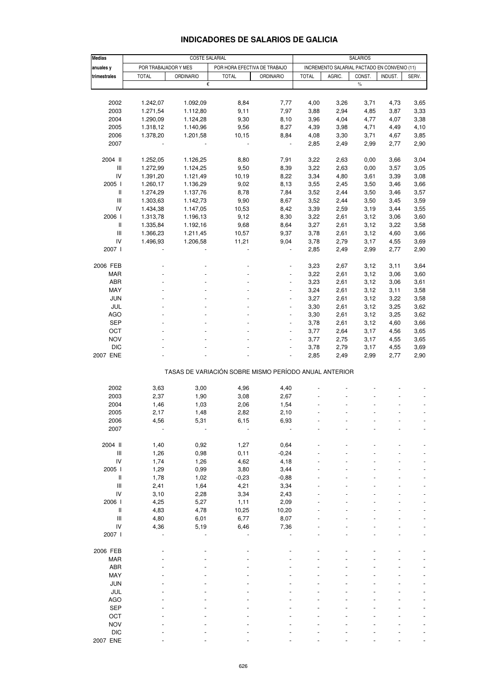| <b>INDICADORES DE SALARIOS DE GALICIA</b> |
|-------------------------------------------|
|-------------------------------------------|

| <b>Medias</b>                      |                      | <b>COSTE SALARIAL</b>                                 |                              |                          |              |                                              | <b>SALARIOS</b> |         |       |
|------------------------------------|----------------------|-------------------------------------------------------|------------------------------|--------------------------|--------------|----------------------------------------------|-----------------|---------|-------|
| anuales y                          | POR TRABAJADOR Y MES |                                                       | POR HORA EFECTIVA DE TRABAJO |                          |              | INCREMENTO SALARIAL PACTADO EN CONVENIO (11) |                 |         |       |
| trimestrales                       | <b>TOTAL</b>         | <b>ORDINARIO</b>                                      | <b>TOTAL</b>                 | <b>ORDINARIO</b>         | <b>TOTAL</b> | AGRIC.                                       | CONST.          | INDUST. | SERV. |
|                                    |                      | €                                                     |                              |                          |              |                                              | $\frac{0}{0}$   |         |       |
|                                    |                      |                                                       |                              |                          |              |                                              |                 |         |       |
|                                    |                      |                                                       |                              |                          |              |                                              |                 |         |       |
| 2002                               | 1.242,07             | 1.092,09                                              | 8,84                         | 7,77                     | 4,00         | 3,26                                         | 3,71            | 4,73    | 3,65  |
| 2003                               | 1.271,54             | 1.112,80                                              | 9,11                         | 7,97                     | 3,88         | 2,94                                         | 4,85            | 3,87    | 3,33  |
| 2004                               | 1.290,09             | 1.124,28                                              | 9,30                         | 8,10                     | 3,96         | 4,04                                         | 4,77            | 4,07    | 3,38  |
| 2005                               | 1.318,12             | 1.140,96                                              | 9,56                         | 8,27                     | 4,39         | 3,98                                         | 4,71            | 4,49    | 4,10  |
| 2006                               | 1.378,20             | 1.201,58                                              | 10,15                        | 8,84                     | 4,08         | 3,30                                         | 3,71            | 4,67    | 3,85  |
| 2007                               |                      |                                                       |                              | $\overline{\phantom{a}}$ | 2,85         | 2,49                                         | 2,99            | 2,77    | 2,90  |
|                                    |                      |                                                       |                              |                          |              |                                              |                 |         |       |
| 2004 II                            | 1.252,05             | 1.126,25                                              | 8,80                         | 7,91                     | 3,22         | 2,63                                         | 0,00            | 3,66    | 3,04  |
| $\ensuremath{\mathsf{III}}\xspace$ | 1.272,99             | 1.124,25                                              | 9,50                         | 8,39                     | 3,22         | 2,63                                         | 0,00            | 3,57    | 3,05  |
| IV                                 | 1.391,20             | 1.121,49                                              | 10,19                        | 8,22                     | 3,34         | 4,80                                         | 3,61            | 3,39    | 3,08  |
| 2005                               | 1.260,17             | 1.136,29                                              | 9,02                         | 8,13                     | 3,55         | 2,45                                         | 3,50            | 3,46    | 3,66  |
| $\ensuremath{\mathsf{II}}$         | 1.274,29             | 1.137,76                                              | 8,78                         | 7,84                     | 3,52         | 2,44                                         | 3,50            | 3,46    | 3,57  |
| $\ensuremath{\mathsf{III}}\xspace$ | 1.303,63             | 1.142,73                                              | 9,90                         | 8,67                     | 3,52         | 2,44                                         | 3,50            | 3,45    | 3,59  |
| IV                                 | 1.434,38             | 1.147,05                                              | 10,53                        | 8,42                     | 3,39         | 2,59                                         | 3,19            | 3,44    | 3,55  |
| 2006                               | 1.313,78             | 1.196,13                                              | 9,12                         | 8,30                     | 3,22         | 2,61                                         | 3,12            | 3,06    | 3,60  |
| $\,$ $\,$ $\,$ $\,$                | 1.335,84             | 1.192,16                                              | 9,68                         | 8,64                     | 3,27         | 2,61                                         | 3,12            | 3,22    | 3,58  |
| $\mathsf{III}$                     | 1.366,23             | 1.211,45                                              | 10,57                        | 9,37                     | 3,78         | 2,61                                         | 3,12            | 4,60    | 3,66  |
| ${\sf IV}$                         | 1.496,93             | 1.206,58                                              | 11,21                        | 9,04                     | 3,78         | 2,79                                         | 3,17            | 4,55    | 3,69  |
| 2007 l                             |                      |                                                       |                              |                          | 2,85         | 2,49                                         | 2,99            | 2,77    | 2,90  |
|                                    |                      |                                                       |                              |                          |              |                                              |                 |         |       |
| 2006 FEB                           |                      |                                                       |                              |                          | 3,23         | 2,67                                         | 3,12            | 3,11    | 3,64  |
| MAR                                |                      |                                                       |                              |                          | 3,22         | 2,61                                         | 3,12            | 3,06    | 3,60  |
| ABR                                |                      |                                                       |                              |                          | 3,23         | 2,61                                         | 3,12            | 3,06    | 3,61  |
| MAY                                |                      |                                                       |                              | $\overline{\phantom{a}}$ | 3,24         | 2,61                                         | 3,12            | 3,11    | 3,58  |
|                                    |                      |                                                       |                              |                          |              |                                              |                 |         |       |
| <b>JUN</b>                         |                      |                                                       |                              |                          | 3,27         | 2,61                                         | 3,12            | 3,22    | 3,58  |
| JUL                                |                      |                                                       |                              | $\overline{\phantom{a}}$ | 3,30         | 2,61                                         | 3,12            | 3,25    | 3,62  |
| AGO                                |                      |                                                       |                              | $\blacksquare$           | 3,30         | 2,61                                         | 3,12            | 3,25    | 3,62  |
| <b>SEP</b>                         |                      |                                                       |                              |                          | 3,78         | 2,61                                         | 3,12            | 4,60    | 3,66  |
| OCT                                |                      |                                                       |                              | $\overline{\phantom{a}}$ | 3,77         | 2,64                                         | 3,17            | 4,56    | 3,65  |
| <b>NOV</b>                         |                      |                                                       |                              | $\blacksquare$           | 3,77         | 2,75                                         | 3,17            | 4,55    | 3,65  |
| <b>DIC</b>                         |                      |                                                       |                              |                          | 3,78         | 2,79                                         | 3,17            | 4,55    | 3,69  |
| 2007 ENE                           |                      |                                                       |                              |                          | 2,85         | 2,49                                         | 2,99            | 2,77    | 2,90  |
|                                    |                      | TASAS DE VARIACIÓN SOBRE MISMO PERÍODO ANUAL ANTERIOR |                              |                          |              |                                              |                 |         |       |
|                                    |                      |                                                       |                              |                          |              |                                              |                 |         |       |
| 2002                               | 3,63                 | 3,00                                                  | 4,96                         | 4,40                     |              |                                              |                 |         |       |
| 2003                               | 2,37                 | 1,90                                                  | 3,08                         | 2,67                     |              |                                              |                 |         |       |
| 2004                               | 1,46                 | 1,03                                                  | 2,06                         | 1,54                     |              |                                              |                 |         |       |
| 2005                               | 2,17                 | 1,48                                                  | 2,82                         | 2,10                     |              |                                              |                 |         |       |
| 2006                               | 4,56                 | 5,31                                                  | 6,15                         | 6,93                     |              |                                              |                 |         |       |
| 2007                               |                      |                                                       |                              |                          |              |                                              |                 |         |       |
|                                    |                      |                                                       |                              |                          |              |                                              |                 |         |       |
| 2004 II                            | 1,40                 | 0,92                                                  | 1,27                         | 0,64                     |              |                                              |                 |         |       |
| $\ensuremath{\mathsf{III}}\xspace$ | 1,26                 | 0,98                                                  | 0,11                         | $-0,24$                  |              |                                              |                 |         |       |
| IV                                 | 1,74                 | 1,26                                                  | 4,62                         | 4,18                     |              |                                              |                 |         |       |
| 2005                               | 1,29                 | 0,99                                                  | 3,80                         | 3,44                     |              |                                              |                 |         |       |
| $\ensuremath{\mathsf{II}}$         | 1,78                 | 1,02                                                  | $-0,23$                      | $-0,88$                  |              |                                              |                 |         |       |
| $\mathsf{III}$                     | 2,41                 | 1,64                                                  | 4,21                         | 3,34                     |              |                                              |                 |         |       |
| IV                                 | 3,10                 | 2,28                                                  | 3,34                         | 2,43                     |              |                                              |                 |         |       |
| 2006 l                             | 4,25                 | 5,27                                                  | 1,11                         | 2,09                     |              |                                              |                 |         |       |
| Ш                                  | 4,83                 | 4,78                                                  | 10,25                        | 10,20                    |              |                                              |                 |         |       |
| $\mathsf{III}$                     | 4,80                 | 6,01                                                  | 6,77                         | 8,07                     |              |                                              |                 |         |       |
| IV                                 | 4,36                 | 5,19                                                  | 6,46                         | 7,36                     |              |                                              |                 |         |       |
| 2007 l                             |                      |                                                       |                              |                          |              |                                              |                 |         |       |
|                                    |                      |                                                       |                              |                          |              |                                              |                 |         |       |
| 2006 FEB                           |                      |                                                       |                              |                          |              |                                              |                 |         |       |
| <b>MAR</b>                         |                      |                                                       |                              |                          |              |                                              |                 |         |       |
| ABR                                |                      |                                                       |                              |                          |              |                                              |                 |         |       |
| MAY                                |                      |                                                       |                              |                          |              |                                              |                 |         |       |
|                                    |                      |                                                       |                              |                          |              |                                              |                 |         |       |
| <b>JUN</b>                         |                      |                                                       |                              |                          |              |                                              |                 |         |       |
| JUL                                |                      |                                                       |                              |                          |              |                                              |                 |         |       |
| <b>AGO</b>                         |                      |                                                       |                              |                          |              |                                              |                 |         |       |
| <b>SEP</b>                         |                      |                                                       |                              |                          |              |                                              |                 |         |       |
| OCT                                |                      |                                                       |                              |                          |              |                                              |                 |         |       |
| <b>NOV</b>                         |                      |                                                       |                              |                          |              |                                              |                 |         |       |
| <b>DIC</b>                         |                      |                                                       |                              |                          |              |                                              |                 |         |       |
| 2007 ENE                           |                      |                                                       |                              |                          |              |                                              |                 |         |       |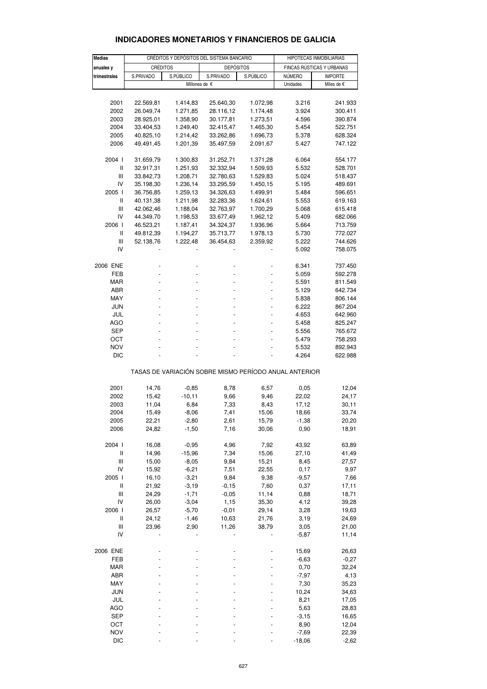| <b>INDICADORES MONETARIOS Y FINANCIEROS DE GALICIA</b> |  |  |
|--------------------------------------------------------|--|--|
|--------------------------------------------------------|--|--|

| <b>Medias</b>                    | CRÉDITOS Y DEPÓSITOS DEL SISTEMA BANCARIO |               |                                                       |                        | HIPOTECAS INMOBILIARIAS   |                |  |
|----------------------------------|-------------------------------------------|---------------|-------------------------------------------------------|------------------------|---------------------------|----------------|--|
| anuales y                        | <b>CRÉDITOS</b>                           |               | <b>DEPÓSITOS</b>                                      |                        | FINCAS RÚSTICAS Y URBANAS |                |  |
| trimestrales                     | S.PRIVADO                                 | S.PÚBLICO     |                                                       | S.PÚBLICO<br>S.PRIVADO |                           | <b>IMPORTE</b> |  |
|                                  |                                           | Millones de € |                                                       |                        | NÚMERO<br>Unidades        | Miles de €     |  |
|                                  |                                           |               |                                                       |                        |                           |                |  |
| 2001                             | 22.569,81                                 | 1.414,83      | 25.640,30                                             | 1.072,98               | 3.216                     | 241.933        |  |
|                                  |                                           |               |                                                       |                        |                           |                |  |
| 2002                             | 26.049,74                                 | 1.271,85      | 28.116,12                                             | 1.174,48               | 3.924                     | 300.411        |  |
| 2003                             | 28.925,01                                 | 1.358,90      | 30.177,81                                             | 1.273,51               | 4.596                     | 390.874        |  |
| 2004                             | 33.404,53                                 | 1.249,40      | 32.415,47                                             | 1.465,30               | 5.454                     | 522.751        |  |
| 2005                             | 40.825,10                                 | 1.214,42      | 33.262,86                                             | 1.696,73               | 5.378                     | 628.324        |  |
| 2006                             | 49.491,45                                 | 1.201,39      | 35.497,59                                             | 2.091,67               | 5.427                     | 747.122        |  |
|                                  |                                           |               |                                                       |                        |                           |                |  |
| 2004 l                           | 31.659,79                                 | 1.300,83      | 31.252,71                                             | 1.371,28               | 6.064                     | 554.177        |  |
| Ш                                | 32.917,31                                 | 1.251,93      | 32.332,94                                             | 1.509,93               | 5.532                     | 528.701        |  |
| Ш                                | 33.842,73                                 | 1.208,71      | 32.780,63                                             | 1.529,83               | 5.024                     | 518.437        |  |
| IV                               | 35.198,30                                 | 1.236,14      | 33.295,59                                             | 1.450,15               | 5.195                     | 489.691        |  |
| 2005 l                           | 36.756,85                                 | 1.259,13      | 34.326,63                                             | 1.499,91               | 5.484                     | 596.651        |  |
| Ш                                | 40.131,38                                 | 1.211,98      | 32.283,36                                             | 1.624,61               | 5.553                     | 619.163        |  |
| Ш                                | 42.062,46                                 | 1.188,04      | 32.763,97                                             | 1.700,29               | 5.068                     | 615.418        |  |
| IV                               | 44.349,70                                 | 1.198,53      | 33.677,49                                             | 1.962,12               | 5.409                     | 682.066        |  |
| 2006 l                           | 46.523,21                                 | 1.187,41      | 34.324,37                                             | 1.936,96               | 5.664                     | 713.759        |  |
| $\sf II$                         |                                           |               |                                                       |                        |                           |                |  |
|                                  | 49.812,39                                 | 1.194,27      | 35.713,77                                             | 1.978,13               | 5.730                     | 772.027        |  |
| Ш                                | 52.138,76                                 | 1.222,48      | 36.454,63                                             | 2.359,92               | 5.222                     | 744.626        |  |
| IV                               |                                           |               |                                                       |                        | 5.092                     | 758.075        |  |
|                                  |                                           |               |                                                       |                        |                           |                |  |
| 2006 ENE                         |                                           |               |                                                       |                        | 6.341                     | 737.450        |  |
| FEB                              |                                           |               |                                                       |                        | 5.059                     | 592.278        |  |
| <b>MAR</b>                       |                                           |               |                                                       |                        | 5.591                     | 811.549        |  |
| ABR                              |                                           |               |                                                       |                        | 5.129                     | 642.734        |  |
| MAY                              |                                           |               |                                                       |                        | 5.838                     | 806.144        |  |
| JUN                              | L,                                        |               |                                                       | ÷,                     | 6.222                     | 867.204        |  |
| JUL                              |                                           |               |                                                       |                        | 4.653                     | 642.960        |  |
| AGO                              |                                           |               |                                                       |                        | 5.458                     | 825.247        |  |
| SEP                              |                                           |               |                                                       | ÷,                     | 5.556                     | 765.672        |  |
| OCT                              |                                           |               |                                                       |                        | 5.479                     | 758.293        |  |
|                                  |                                           |               |                                                       |                        |                           |                |  |
| <b>NOV</b>                       |                                           |               |                                                       |                        | 5.532                     | 892.943        |  |
| <b>DIC</b>                       |                                           |               |                                                       |                        | 4.264                     | 622.988        |  |
|                                  |                                           |               | TASAS DE VARIACIÓN SOBRE MISMO PERÍODO ANUAL ANTERIOR |                        |                           |                |  |
|                                  |                                           |               |                                                       |                        |                           |                |  |
| 2001                             | 14,76                                     | $-0,85$       | 8,78                                                  | 6,57                   | 0,05                      | 12,04          |  |
| 2002                             | 15,42                                     | $-10,11$      | 9,66                                                  | 9,46                   | 22,02                     | 24,17          |  |
| 2003                             | 11,04                                     | 6,84          | 7,33                                                  | 8,43                   | 17,12                     | 30,11          |  |
| 2004                             | 15,49                                     | $-8,06$       | 7,41                                                  | 15,06                  | 18,66                     | 33,74          |  |
| 2005                             | 22,21                                     | $-2,80$       | 2,61                                                  | 15,79                  | $-1,38$                   | 20,20          |  |
| 2006                             | 24,82                                     | $-1,50$       | 7,16                                                  | 30,06                  | 0,90                      | 18,91          |  |
|                                  |                                           |               |                                                       |                        |                           |                |  |
| 2004 l                           | 16,08                                     | $-0,95$       | 4,96                                                  | 7,92                   | 43,92                     | 63,89          |  |
| Ш                                | 14,96                                     | $-15,96$      | 7,34                                                  | 15,06                  | 27,10                     | 41,49          |  |
| Ш                                |                                           |               |                                                       |                        |                           |                |  |
|                                  | 15,00                                     | $-8,05$       | 9,84                                                  | 15,21                  | 8,45                      | 27,57          |  |
| IV                               | 15,92                                     | $-6,21$       | 7,51                                                  | 22,55                  | 0,17                      | 9,97           |  |
| 2005 l                           | 16,10                                     | $-3,21$       | 9,84                                                  | 9,38                   | $-9,57$                   | 7,66           |  |
| $\label{eq:1} \pmb{\mathsf{II}}$ | 21,92                                     | $-3,19$       | $-0,15$                                               | 7,60                   | 0,37                      | 17,11          |  |
| Ш                                | 24,29                                     | $-1,71$       | $-0,05$                                               | 11,14                  | 0,88                      | 18,71          |  |
| IV                               | 26,00                                     | $-3,04$       | 1,15                                                  | 35,30                  | 4,12                      | 39,28          |  |
| 2006 l                           | 26,57                                     | $-5,70$       | $-0,01$                                               | 29,14                  | 3,28                      | 19,63          |  |
| Ш                                | 24,12                                     | $-1,46$       | 10,63                                                 | 21,76                  | 3,19                      | 24,69          |  |
| Ш                                | 23,96                                     | 2,90          | 11,26                                                 | 38,79                  | 3,05                      | 21,00          |  |
| IV                               |                                           |               |                                                       |                        | $-5,87$                   | 11,14          |  |
|                                  |                                           |               |                                                       |                        |                           |                |  |
| 2006 ENE                         |                                           |               |                                                       |                        | 15,69                     | 26,63          |  |
| FEB                              |                                           |               |                                                       |                        | $-6,63$                   | $-0,27$        |  |
|                                  |                                           |               |                                                       |                        |                           |                |  |
| <b>MAR</b>                       |                                           |               |                                                       |                        | 0,70                      | 32,24          |  |
| ABR                              |                                           |               |                                                       |                        | $-7,97$                   | 4,13           |  |
| MAY                              |                                           |               |                                                       |                        | 7,30                      | 35,23          |  |
| <b>JUN</b>                       |                                           |               |                                                       |                        | 10,24                     | 34,63          |  |
| JUL                              |                                           |               |                                                       |                        | 8,21                      | 17,05          |  |
| <b>AGO</b>                       |                                           |               |                                                       |                        | 5,63                      | 28,83          |  |
| SEP                              |                                           |               |                                                       |                        | $-3,15$                   | 16,65          |  |
| ОСТ                              |                                           |               |                                                       |                        | 8,90                      | 12,04          |  |
| <b>NOV</b>                       |                                           |               |                                                       |                        | $-7,69$                   | 22,39          |  |
| <b>DIC</b>                       |                                           |               |                                                       |                        | $-18,06$                  | $-2,62$        |  |